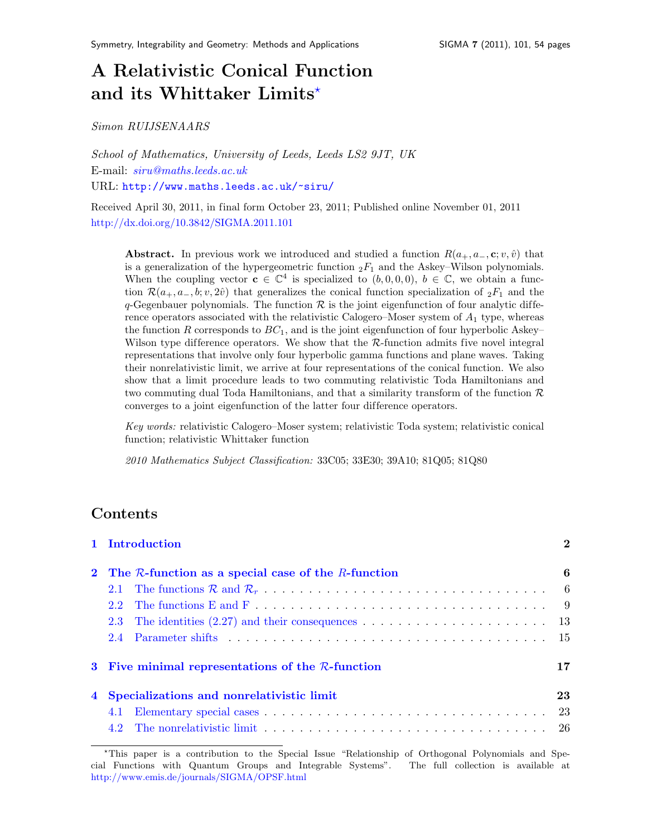# A Relativistic Conical Function and its Whittaker Limits<sup>\*</sup>

Simon RUIJSENAARS

School of Mathematics, University of Leeds, Leeds LS2 9JT, UK E-mail: [siru@maths.leeds.ac.uk](mailto:siru@maths.leeds.ac.uk) URL: <http://www.maths.leeds.ac.uk/~siru/>

Received April 30, 2011, in final form October 23, 2011; Published online November 01, 2011 <http://dx.doi.org/10.3842/SIGMA.2011.101>

**Abstract.** In previous work we introduced and studied a function  $R(a_{+}, a_{-}, \mathbf{c}; v, \hat{v})$  that is a generalization of the hypergeometric function  ${}_2F_1$  and the Askey–Wilson polynomials. When the coupling vector  $\mathbf{c} \in \mathbb{C}^4$  is specialized to  $(b, 0, 0, 0)$ ,  $b \in \mathbb{C}$ , we obtain a function  $\mathcal{R}(a_+, a_-, b; v, 2\hat{v})$  that generalizes the conical function specialization of  ${}_2F_1$  and the q-Gegenbauer polynomials. The function  $\mathcal R$  is the joint eigenfunction of four analytic difference operators associated with the relativistic Calogero–Moser system of  $A_1$  type, whereas the function R corresponds to  $BC<sub>1</sub>$ , and is the joint eigenfunction of four hyperbolic Askey– Wilson type difference operators. We show that the  $\mathcal{R}\text{-function}$  admits five novel integral representations that involve only four hyperbolic gamma functions and plane waves. Taking their nonrelativistic limit, we arrive at four representations of the conical function. We also show that a limit procedure leads to two commuting relativistic Toda Hamiltonians and two commuting dual Toda Hamiltonians, and that a similarity transform of the function  $\mathcal{R}$ converges to a joint eigenfunction of the latter four dif ference operators.

Key words: relativistic Calogero–Moser system; relativistic Toda system; relativistic conical function; relativistic Whittaker function

2010 Mathematics Subject Classification: 33C05; 33E30; 39A10; 81Q05; 81Q80

## Contents

| 1 Introduction                                             | $\overline{2}$ |
|------------------------------------------------------------|----------------|
| 2 The $R$ -function as a special case of the $R$ -function | 6              |
|                                                            |                |
|                                                            |                |
|                                                            |                |
|                                                            |                |
| 3 Five minimal representations of the $R$ -function        | 17             |
| 4 Specializations and nonrelativistic limit                | 23             |
| 4.1                                                        |                |
|                                                            |                |

<span id="page-0-0"></span><sup>?</sup>This paper is a contribution to the Special Issue "Relationship of Orthogonal Polynomials and Special Functions with Quantum Groups and Integrable Systems". The full collection is available at <http://www.emis.de/journals/SIGMA/OPSF.html>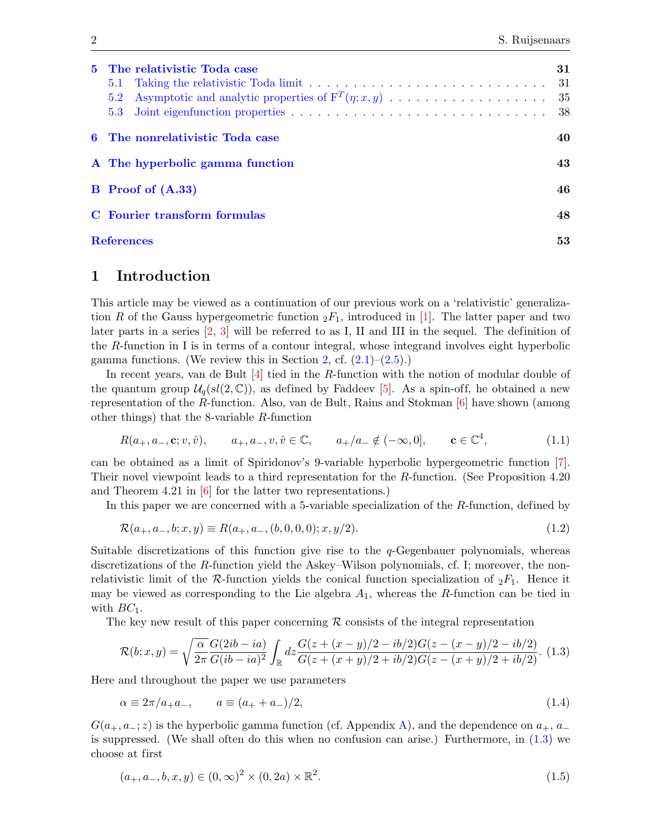| 5 The relativistic Toda case<br>5.1<br>5.2 | 31<br>-31 |
|--------------------------------------------|-----------|
| 6 The nonrelativistic Toda case            | 40        |
| A The hyperbolic gamma function            | 43        |
| <b>B</b> Proof of (A.33)                   | 46        |
| C Fourier transform formulas               | 48        |
| <b>References</b>                          | 53        |

### <span id="page-1-0"></span>1 Introduction

This article may be viewed as a continuation of our previous work on a 'relativistic' generalization R of the Gauss hypergeometric function  ${}_2F_1$ , introduced in [\[1\]](#page-52-1). The latter paper and two later parts in a series [\[2,](#page-52-2) [3\]](#page-52-3) will be referred to as I, II and III in the sequel. The definition of the  $R$ -function in I is in terms of a contour integral, whose integrand involves eight hyperbolic gamma functions. (We review this in Section [2,](#page-5-0) cf.  $(2.1)$ – $(2.5)$ .)

In recent years, van de Bult  $[4]$  tied in the R-function with the notion of modular double of the quantum group  $\mathcal{U}_q(sl(2,\mathbb{C}))$ , as defined by Faddeev [\[5\]](#page-52-5). As a spin-off, he obtained a new representation of the R-function. Also, van de Bult, Rains and Stokman [\[6\]](#page-52-6) have shown (among other things) that the 8-variable R-function

<span id="page-1-4"></span>
$$
R(a_+, a_-, \mathbf{c}; v, \hat{v}), \qquad a_+, a_-, v, \hat{v} \in \mathbb{C}, \qquad a_+/a_- \notin (-\infty, 0], \qquad \mathbf{c} \in \mathbb{C}^4,\tag{1.1}
$$

can be obtained as a limit of Spiridonov's 9-variable hyperbolic hypergeometric function [\[7\]](#page-52-7). Their novel viewpoint leads to a third representation for the R-function. (See Proposition 4.20 and Theorem 4.21 in [\[6\]](#page-52-6) for the latter two representations.)

In this paper we are concerned with a 5-variable specialization of the R-function, defined by

<span id="page-1-2"></span>
$$
\mathcal{R}(a_+, a_-, b; x, y) \equiv R(a_+, a_-, (b, 0, 0, 0); x, y/2). \tag{1.2}
$$

Suitable discretizations of this function give rise to the q-Gegenbauer polynomials, whereas discretizations of the R-function yield the Askey–Wilson polynomials, cf. I; moreover, the nonrelativistic limit of the R-function yields the conical function specialization of  ${}_2F_1$ . Hence it may be viewed as corresponding to the Lie algebra  $A_1$ , whereas the R-function can be tied in with  $BC_1$ .

The key new result of this paper concerning  $R$  consists of the integral representation

<span id="page-1-1"></span>
$$
\mathcal{R}(b;x,y) = \sqrt{\frac{\alpha}{2\pi}} \frac{G(2ib - ia)}{G(ib - ia)^2} \int_{\mathbb{R}} dz \frac{G(z + (x - y)/2 - ib/2)G(z - (x - y)/2 - ib/2)}{G(z + (x + y)/2 + ib/2)G(z - (x + y)/2 + ib/2)}.
$$
(1.3)

Here and throughout the paper we use parameters

<span id="page-1-5"></span>
$$
\alpha \equiv 2\pi/a_{+}a_{-}, \qquad a \equiv (a_{+} + a_{-})/2, \tag{1.4}
$$

 $G(a_{+}, a_{-}; z)$  is the hyperbolic gamma function (cf. Appendix [A\)](#page-42-0), and the dependence on  $a_{+}, a_{-}$ is suppressed. (We shall often do this when no confusion can arise.) Furthermore, in [\(1.3\)](#page-1-1) we choose at first

<span id="page-1-3"></span>
$$
(a_+, a_-, b, x, y) \in (0, \infty)^2 \times (0, 2a) \times \mathbb{R}^2.
$$
\n(1.5)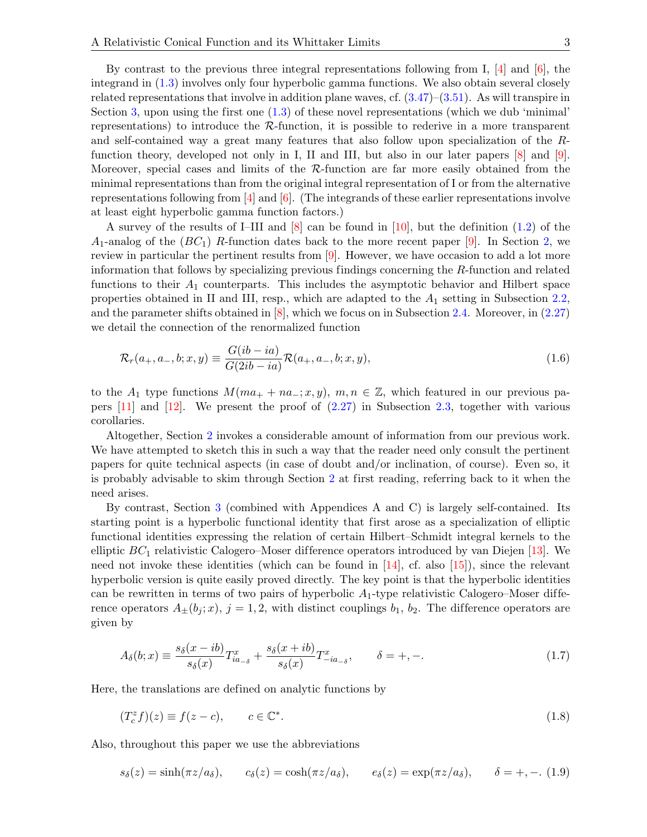By contrast to the previous three integral representations following from I,  $\left[4\right]$  and  $\left[6\right]$ , the integrand in [\(1.3\)](#page-1-1) involves only four hyperbolic gamma functions. We also obtain several closely related representations that involve in addition plane waves, cf.  $(3.47)$ – $(3.51)$ . As will transpire in Section [3,](#page-16-0) upon using the first one [\(1.3\)](#page-1-1) of these novel representations (which we dub 'minimal' representations) to introduce the  $R$ -function, it is possible to rederive in a more transparent and self-contained way a great many features that also follow upon specialization of the Rfunction theory, developed not only in I, II and III, but also in our later papers [\[8\]](#page-52-8) and [\[9\]](#page-52-9). Moreover, special cases and limits of the  $R$ -function are far more easily obtained from the minimal representations than from the original integral representation of I or from the alternative representations following from  $[4]$  and  $[6]$ . (The integrands of these earlier representations involve at least eight hyperbolic gamma function factors.)

A survey of the results of I–III and [\[8\]](#page-52-8) can be found in [\[10\]](#page-52-10), but the definition [\(1.2\)](#page-1-2) of the  $A_1$ -analog of the  $(BC_1)$  R-function dates back to the more recent paper [\[9\]](#page-52-9). In Section [2,](#page-5-0) we review in particular the pertinent results from [\[9\]](#page-52-9). However, we have occasion to add a lot more information that follows by specializing previous findings concerning the R-function and related functions to their  $A_1$  counterparts. This includes the asymptotic behavior and Hilbert space properties obtained in II and III, resp., which are adapted to the  $A_1$  setting in Subsection [2.2,](#page-8-0) and the parameter shifts obtained in [\[8\]](#page-52-8), which we focus on in Subsection [2.4.](#page-14-0) Moreover, in [\(2.27\)](#page-8-1) we detail the connection of the renormalized function

<span id="page-2-0"></span>
$$
\mathcal{R}_r(a_+, a_-, b; x, y) \equiv \frac{G(i b - i a)}{G(2i b - i a)} \mathcal{R}(a_+, a_-, b; x, y), \tag{1.6}
$$

to the  $A_1$  type functions  $M(ma_+ + na_-; x, y)$ ,  $m, n \in \mathbb{Z}$ , which featured in our previous papers  $[11]$  and  $[12]$ . We present the proof of  $(2.27)$  in Subsection [2.3,](#page-12-0) together with various corollaries.

Altogether, Section [2](#page-5-0) invokes a considerable amount of information from our previous work. We have attempted to sketch this in such a way that the reader need only consult the pertinent papers for quite technical aspects (in case of doubt and/or inclination, of course). Even so, it is probably advisable to skim through Section [2](#page-5-0) at first reading, referring back to it when the need arises.

By contrast, Section [3](#page-16-0) (combined with Appendices A and C) is largely self-contained. Its starting point is a hyperbolic functional identity that first arose as a specialization of elliptic functional identities expressing the relation of certain Hilbert–Schmidt integral kernels to the elliptic  $BC_1$  relativistic Calogero–Moser difference operators introduced by van Diejen [\[13\]](#page-52-13). We need not invoke these identities (which can be found in [\[14\]](#page-52-14), cf. also [\[15\]](#page-52-15)), since the relevant hyperbolic version is quite easily proved directly. The key point is that the hyperbolic identities can be rewritten in terms of two pairs of hyperbolic  $A_1$ -type relativistic Calogero–Moser difference operators  $A_{\pm}(b_j; x)$ ,  $j = 1, 2$ , with distinct couplings  $b_1$ ,  $b_2$ . The difference operators are given by

<span id="page-2-1"></span>
$$
A_{\delta}(b;x) \equiv \frac{s_{\delta}(x-ib)}{s_{\delta}(x)} T_{ia_{-\delta}}^{x} + \frac{s_{\delta}(x+ib)}{s_{\delta}(x)} T_{-ia_{-\delta}}^{x}, \qquad \delta = +, -.
$$
 (1.7)

Here, the translations are defined on analytic functions by

$$
(T_c^z f)(z) \equiv f(z - c), \qquad c \in \mathbb{C}^*.
$$
\n
$$
(1.8)
$$

Also, throughout this paper we use the abbreviations

<span id="page-2-2"></span>
$$
s_{\delta}(z) = \sinh(\pi z/a_{\delta}), \qquad c_{\delta}(z) = \cosh(\pi z/a_{\delta}), \qquad e_{\delta}(z) = \exp(\pi z/a_{\delta}), \qquad \delta = +, -. \tag{1.9}
$$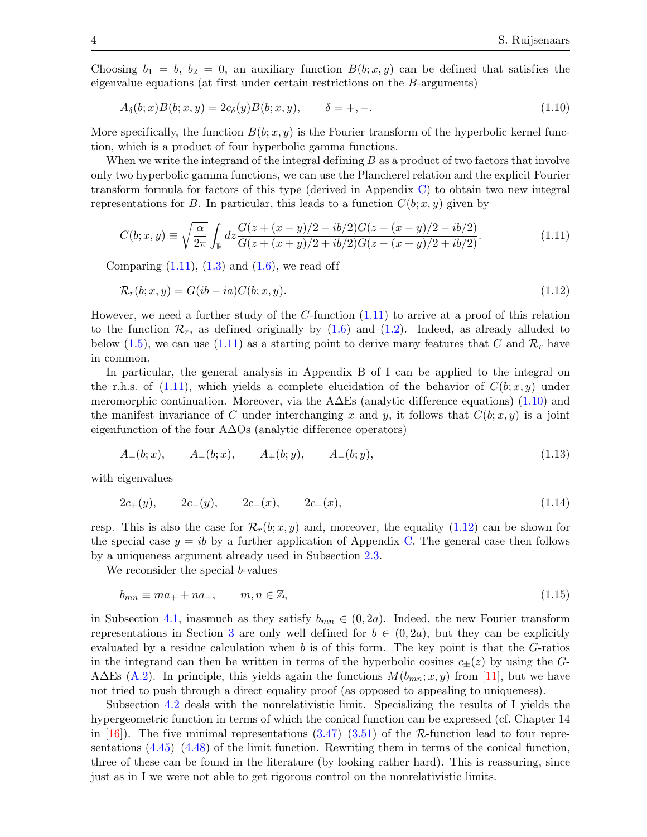Choosing  $b_1 = b$ ,  $b_2 = 0$ , an auxiliary function  $B(b; x, y)$  can be defined that satisfies the eigenvalue equations (at first under certain restrictions on the B-arguments)

<span id="page-3-1"></span>
$$
A_{\delta}(b;x)B(b;x,y) = 2c_{\delta}(y)B(b;x,y), \qquad \delta = +, -.
$$
\n(1.10)

More specifically, the function  $B(b; x, y)$  is the Fourier transform of the hyperbolic kernel function, which is a product of four hyperbolic gamma functions.

When we write the integrand of the integral defining  $B$  as a product of two factors that involve only two hyperbolic gamma functions, we can use the Plancherel relation and the explicit Fourier transform formula for factors of this type (derived in Appendix [C\)](#page-47-0) to obtain two new integral representations for B. In particular, this leads to a function  $C(b; x, y)$  given by

<span id="page-3-0"></span>
$$
C(b;x,y) \equiv \sqrt{\frac{\alpha}{2\pi}} \int_{\mathbb{R}} dz \frac{G(z+(x-y)/2 - ib/2)G(z-(x-y)/2 - ib/2)}{G(z+(x+y)/2 + ib/2)G(z-(x+y)/2 + ib/2)}.
$$
(1.11)

Comparing  $(1.11)$ ,  $(1.3)$  and  $(1.6)$ , we read off

<span id="page-3-2"></span>
$$
\mathcal{R}_r(b; x, y) = G(ib - ia)C(b; x, y). \tag{1.12}
$$

However, we need a further study of the  $C$ -function  $(1.11)$  to arrive at a proof of this relation to the function  $\mathcal{R}_r$ , as defined originally by  $(1.6)$  and  $(1.2)$ . Indeed, as already alluded to below [\(1.5\)](#page-1-3), we can use [\(1.11\)](#page-3-0) as a starting point to derive many features that C and  $\mathcal{R}_r$  have in common.

In particular, the general analysis in Appendix B of I can be applied to the integral on the r.h.s. of [\(1.11\)](#page-3-0), which yields a complete elucidation of the behavior of  $C(b; x, y)$  under meromorphic continuation. Moreover, via the  $A\Delta E$ s (analytic difference equations) [\(1.10\)](#page-3-1) and the manifest invariance of C under interchanging x and y, it follows that  $C(b; x, y)$  is a joint eigenfunction of the four  $A\Delta\Omega$  (analytic difference operators)

<span id="page-3-3"></span>
$$
A_{+}(b;x), \qquad A_{-}(b;x), \qquad A_{+}(b;y), \qquad A_{-}(b;y), \tag{1.13}
$$

with eigenvalues

<span id="page-3-4"></span>
$$
2c_{+}(y), \t 2c_{-}(y), \t 2c_{+}(x), \t 2c_{-}(x), \t (1.14)
$$

resp. This is also the case for  $\mathcal{R}_r(b; x, y)$  and, moreover, the equality [\(1.12\)](#page-3-2) can be shown for the special case  $y = ib$  by a further application of Appendix [C.](#page-47-0) The general case then follows by a uniqueness argument already used in Subsection [2.3.](#page-12-0)

We reconsider the special *b*-values

<span id="page-3-5"></span>
$$
b_{mn} \equiv ma_+ + na_-, \qquad m, n \in \mathbb{Z}, \tag{1.15}
$$

in Subsection [4.1,](#page-22-1) inasmuch as they satisfy  $b_{mn} \in (0, 2a)$ . Indeed, the new Fourier transform representations in Section [3](#page-16-0) are only well defined for  $b \in (0, 2a)$ , but they can be explicitly evaluated by a residue calculation when b is of this form. The key point is that the  $G$ -ratios in the integrand can then be written in terms of the hyperbolic cosines  $c_{\pm}(z)$  by using the G-A $\Delta$ Es [\(A.2\)](#page-42-1). In principle, this yields again the functions  $M(b_{mn}; x, y)$  from [\[11\]](#page-52-11), but we have not tried to push through a direct equality proof (as opposed to appealing to uniqueness).

Subsection [4.2](#page-25-0) deals with the nonrelativistic limit. Specializing the results of I yields the hypergeometric function in terms of which the conical function can be expressed (cf. Chapter 14 in  $[16]$ . The five minimal representations  $(3.47)$ – $(3.51)$  of the R-function lead to four representations  $(4.45)-(4.48)$  $(4.45)-(4.48)$  of the limit function. Rewriting them in terms of the conical function, three of these can be found in the literature (by looking rather hard). This is reassuring, since just as in I we were not able to get rigorous control on the nonrelativistic limits.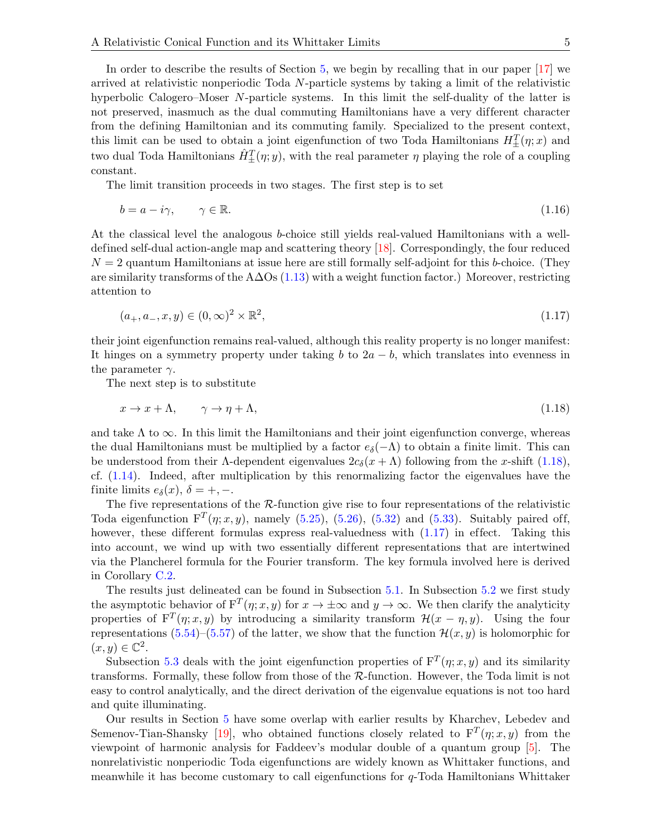In order to describe the results of Section [5,](#page-30-0) we begin by recalling that in our paper [\[17\]](#page-52-17) we arrived at relativistic nonperiodic Toda N-particle systems by taking a limit of the relativistic hyperbolic Calogero–Moser N-particle systems. In this limit the self-duality of the latter is not preserved, inasmuch as the dual commuting Hamiltonians have a very different character from the defining Hamiltonian and its commuting family. Specialized to the present context, this limit can be used to obtain a joint eigenfunction of two Toda Hamiltonians  $H_{\pm}^{T}(\eta; x)$  and two dual Toda Hamiltonians  $\hat{H}_{\pm}^T(\eta; y)$ , with the real parameter  $\eta$  playing the role of a coupling constant.

The limit transition proceeds in two stages. The first step is to set

<span id="page-4-2"></span>
$$
b = a - i\gamma, \qquad \gamma \in \mathbb{R}.\tag{1.16}
$$

At the classical level the analogous b-choice still yields real-valued Hamiltonians with a welldefined self-dual action-angle map and scattering theory [\[18\]](#page-53-0). Correspondingly, the four reduced  $N = 2$  quantum Hamiltonians at issue here are still formally self-adjoint for this b-choice. (They are similarity transforms of the A $\Delta$ Os [\(1.13\)](#page-3-3) with a weight function factor.) Moreover, restricting attention to

<span id="page-4-1"></span>
$$
(a_+, a_-, x, y) \in (0, \infty)^2 \times \mathbb{R}^2,
$$
\n(1.17)

their joint eigenfunction remains real-valued, although this reality property is no longer manifest: It hinges on a symmetry property under taking b to  $2a - b$ , which translates into evenness in the parameter  $\gamma$ .

The next step is to substitute

<span id="page-4-0"></span>
$$
x \to x + \Lambda, \qquad \gamma \to \eta + \Lambda,\tag{1.18}
$$

and take  $\Lambda$  to  $\infty$ . In this limit the Hamiltonians and their joint eigenfunction converge, whereas the dual Hamiltonians must be multiplied by a factor  $e_{\delta}(-\Lambda)$  to obtain a finite limit. This can be understood from their  $\Lambda$ -dependent eigenvalues  $2c_{\delta}(x + \Lambda)$  following from the x-shift [\(1.18\)](#page-4-0), cf. [\(1.14\)](#page-3-4). Indeed, after multiplication by this renormalizing factor the eigenvalues have the finite limits  $e_{\delta}(x)$ ,  $\delta = +, -$ .

The five representations of the  $R$ -function give rise to four representations of the relativistic Toda eigenfunction  $F^T(\eta; x, y)$ , namely [\(5.25\)](#page-33-0), [\(5.26\)](#page-33-1), [\(5.32\)](#page-33-2) and [\(5.33\)](#page-33-3). Suitably paired off, however, these different formulas express real-valuedness with  $(1.17)$  in effect. Taking this into account, we wind up with two essentially different representations that are intertwined via the Plancherel formula for the Fourier transform. The key formula involved here is derived in Corollary [C.2.](#page-52-18)

The results just delineated can be found in Subsection [5.1.](#page-30-1) In Subsection [5.2](#page-34-0) we first study the asymptotic behavior of  $F^{T}(\eta; x, y)$  for  $x \to \pm \infty$  and  $y \to \infty$ . We then clarify the analyticity properties of  $F^{T}(\eta; x, y)$  by introducing a similarity transform  $\mathcal{H}(x - \eta, y)$ . Using the four representations [\(5.54\)](#page-36-0)–[\(5.57\)](#page-36-1) of the latter, we show that the function  $\mathcal{H}(x, y)$  is holomorphic for  $(x, y) \in \mathbb{C}^2$ .

Subsection [5.3](#page-37-0) deals with the joint eigenfunction properties of  $F^{T}(\eta; x, y)$  and its similarity transforms. Formally, these follow from those of the R-function. However, the Toda limit is not easy to control analytically, and the direct derivation of the eigenvalue equations is not too hard and quite illuminating.

Our results in Section [5](#page-30-0) have some overlap with earlier results by Kharchev, Lebedev and Semenov-Tian-Shansky [\[19\]](#page-53-1), who obtained functions closely related to  $F^{T}(\eta; x, y)$  from the viewpoint of harmonic analysis for Faddeev's modular double of a quantum group [\[5\]](#page-52-5). The nonrelativistic nonperiodic Toda eigenfunctions are widely known as Whittaker functions, and meanwhile it has become customary to call eigenfunctions for q-Toda Hamiltonians Whittaker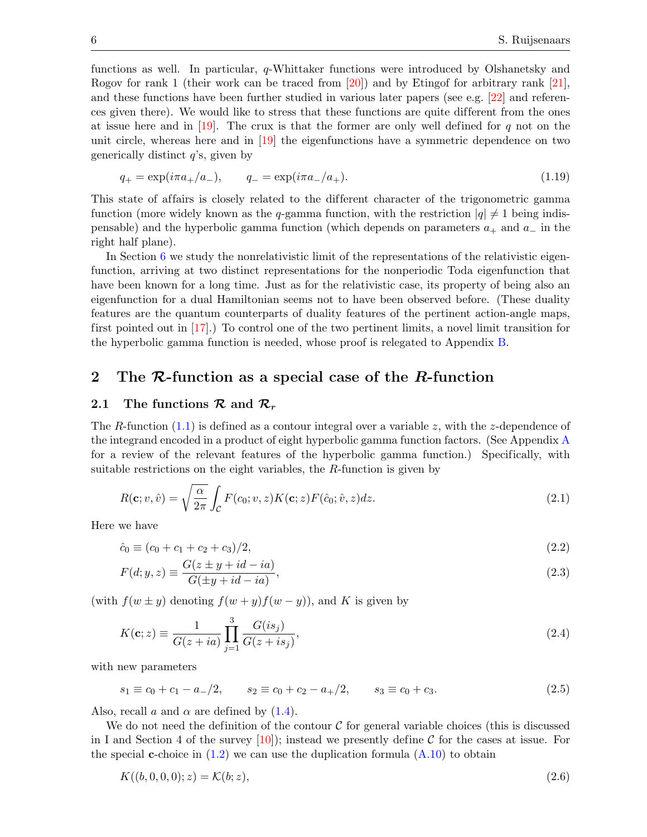functions as well. In particular, q-Whittaker functions were introduced by Olshanetsky and Rogov for rank 1 (their work can be traced from [\[20\]](#page-53-2)) and by Etingof for arbitrary rank [\[21\]](#page-53-3), and these functions have been further studied in various later papers (see e.g. [\[22\]](#page-53-4) and references given there). We would like to stress that these functions are quite dif ferent from the ones at issue here and in [\[19\]](#page-53-1). The crux is that the former are only well defined for  $q$  not on the unit circle, whereas here and in [\[19\]](#page-53-1) the eigenfunctions have a symmetric dependence on two generically distinct  $q$ 's, given by

$$
q_{+} = \exp(i\pi a_{+}/a_{-}), \qquad q_{-} = \exp(i\pi a_{-}/a_{+}). \tag{1.19}
$$

This state of affairs is closely related to the different character of the trigonometric gamma function (more widely known as the q-gamma function, with the restriction  $|q| \neq 1$  being indispensable) and the hyperbolic gamma function (which depends on parameters  $a_+$  and  $a_-$  in the right half plane).

In Section [6](#page-39-0) we study the nonrelativistic limit of the representations of the relativistic eigenfunction, arriving at two distinct representations for the nonperiodic Toda eigenfunction that have been known for a long time. Just as for the relativistic case, its property of being also an eigenfunction for a dual Hamiltonian seems not to have been observed before. (These duality features are the quantum counterparts of duality features of the pertinent action-angle maps, first pointed out in [\[17\]](#page-52-17).) To control one of the two pertinent limits, a novel limit transition for the hyperbolic gamma function is needed, whose proof is relegated to Appendix [B.](#page-45-0)

## <span id="page-5-0"></span>2 The  $\mathcal{R}$ -function as a special case of the  $R$ -function

#### <span id="page-5-1"></span>2.1 The functions  $\mathcal{R}$  and  $\mathcal{R}_r$

The R-function  $(1.1)$  is defined as a contour integral over a variable z, with the z-dependence of the integrand encoded in a product of eight hyperbolic gamma function factors. (See Appendix [A](#page-42-0) for a review of the relevant features of the hyperbolic gamma function.) Specifically, with suitable restrictions on the eight variables, the  $R$ -function is given by

<span id="page-5-2"></span>
$$
R(\mathbf{c}; v, \hat{v}) = \sqrt{\frac{\alpha}{2\pi}} \int_{\mathcal{C}} F(c_0; v, z) K(\mathbf{c}; z) F(\hat{c}_0; \hat{v}, z) dz.
$$
 (2.1)

Here we have

$$
\hat{c}_0 \equiv (c_0 + c_1 + c_2 + c_3)/2,\tag{2.2}
$$

$$
F(d; y, z) \equiv \frac{G(z \pm y + id - ia)}{G(\pm y + id - ia)},
$$
\n(2.3)

(with  $f(w \pm y)$  denoting  $f(w + y) f(w - y)$ ), and K is given by

<span id="page-5-4"></span>
$$
K(\mathbf{c}; z) \equiv \frac{1}{G(z+ia)} \prod_{j=1}^{3} \frac{G(is_j)}{G(z+is_j)},
$$
\n(2.4)

with new parameters

<span id="page-5-3"></span>
$$
s_1 \equiv c_0 + c_1 - a_-/2
$$
,  $s_2 \equiv c_0 + c_2 - a_+/2$ ,  $s_3 \equiv c_0 + c_3$ . (2.5)

Also, recall a and  $\alpha$  are defined by  $(1.4)$ .

We do not need the definition of the contour  $\mathcal C$  for general variable choices (this is discussed in I and Section 4 of the survey  $[10]$ ; instead we presently define C for the cases at issue. For the special **c**-choice in  $(1.2)$  we can use the duplication formula  $(A.10)$  to obtain

$$
K((b,0,0,0);z) = \mathcal{K}(b;z),\tag{2.6}
$$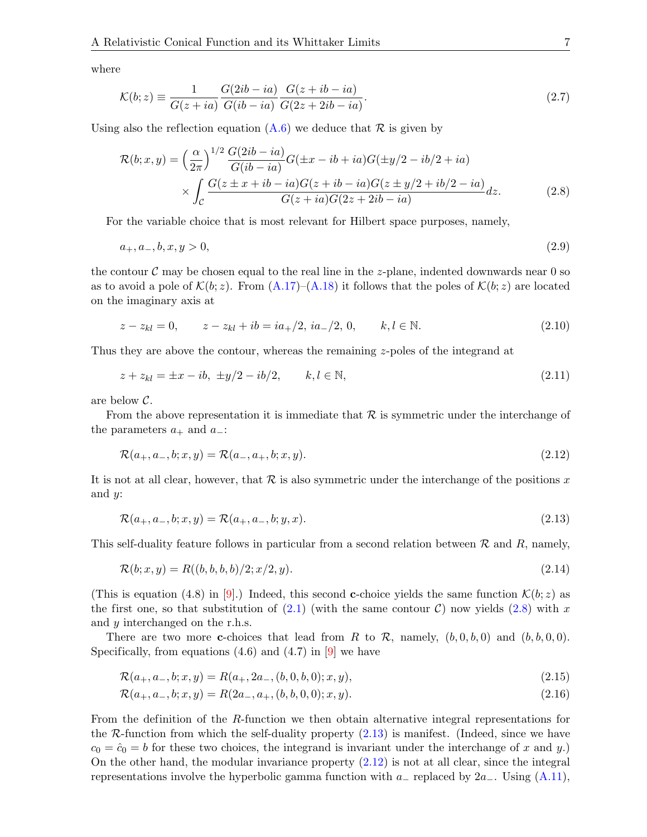where

$$
\mathcal{K}(b; z) \equiv \frac{1}{G(z+ia)} \frac{G(2ib-ia)}{G(ib-ia)} \frac{G(z+ib-ia)}{G(2z+2ib-ia)}.
$$
\n(2.7)

Using also the reflection equation  $(A.6)$  we deduce that  $\mathcal R$  is given by

<span id="page-6-0"></span>
$$
\mathcal{R}(b; x, y) = \left(\frac{\alpha}{2\pi}\right)^{1/2} \frac{G(2ib - ia)}{G(ib - ia)} G(\pm x - ib + ia) G(\pm y/2 - ib/2 + ia) \times \int_{\mathcal{C}} \frac{G(z \pm x + ib - ia)G(z + ib - ia)G(z \pm y/2 + ib/2 - ia)}{G(z + ia)G(2z + 2ib - ia)} dz.
$$
\n(2.8)

For the variable choice that is most relevant for Hilbert space purposes, namely,

<span id="page-6-3"></span>
$$
a_+, a_-, b, x, y > 0,\tag{2.9}
$$

the contour  $\mathcal C$  may be chosen equal to the real line in the z-plane, indented downwards near 0 so as to avoid a pole of  $\mathcal{K}(b; z)$ . From  $(A.17)$ – $(A.18)$  it follows that the poles of  $\mathcal{K}(b; z)$  are located on the imaginary axis at

$$
z - z_{kl} = 0, \t z - z_{kl} + ib = ia_+/2, \t ia_-/2, \t 0, \t k, l \in \mathbb{N}.
$$
\n
$$
(2.10)
$$

Thus they are above the contour, whereas the remaining z-poles of the integrand at

$$
z + z_{kl} = \pm x - ib, \ \pm y/2 - ib/2, \qquad k, l \in \mathbb{N}, \tag{2.11}
$$

are below C.

From the above representation it is immediate that  $\mathcal R$  is symmetric under the interchange of the parameters  $a_+$  and  $a_-$ :

<span id="page-6-2"></span>
$$
\mathcal{R}(a_+, a_-, b; x, y) = \mathcal{R}(a_-, a_+, b; x, y).
$$
\n(2.12)

It is not at all clear, however, that  $\mathcal R$  is also symmetric under the interchange of the positions x and y:

<span id="page-6-1"></span>
$$
\mathcal{R}(a_+, a_-, b; x, y) = \mathcal{R}(a_+, a_-, b; y, x). \tag{2.13}
$$

This self-duality feature follows in particular from a second relation between  $\mathcal R$  and  $R$ , namely,

<span id="page-6-4"></span>
$$
\mathcal{R}(b; x, y) = R((b, b, b, b)/2; x/2, y). \tag{2.14}
$$

(This is equation (4.8) in [\[9\]](#page-52-9).) Indeed, this second **c**-choice yields the same function  $\mathcal{K}(b; z)$  as the first one, so that substitution of  $(2.1)$  (with the same contour C) now yields  $(2.8)$  with x and y interchanged on the r.h.s.

There are two more **c**-choices that lead from R to R, namely,  $(b, 0, b, 0)$  and  $(b, b, 0, 0)$ . Specifically, from equations  $(4.6)$  and  $(4.7)$  in [\[9\]](#page-52-9) we have

<span id="page-6-6"></span><span id="page-6-5"></span>
$$
\mathcal{R}(a_+, a_-, b; x, y) = R(a_+, 2a_-, (b, 0, b, 0); x, y), \tag{2.15}
$$

$$
\mathcal{R}(a_+, a_-, b; x, y) = R(2a_-, a_+, (b, b, 0, 0); x, y).
$$
\n(2.16)

From the definition of the R-function we then obtain alternative integral representations for the  $\mathcal{R}\text{-function}$  from which the self-duality property  $(2.13)$  is manifest. (Indeed, since we have  $c_0 = \hat{c}_0 = b$  for these two choices, the integrand is invariant under the interchange of x and y.) On the other hand, the modular invariance property  $(2.12)$  is not at all clear, since the integral representations involve the hyperbolic gamma function with  $a_$  replaced by  $2a_$ . Using [\(A.11\)](#page-43-3),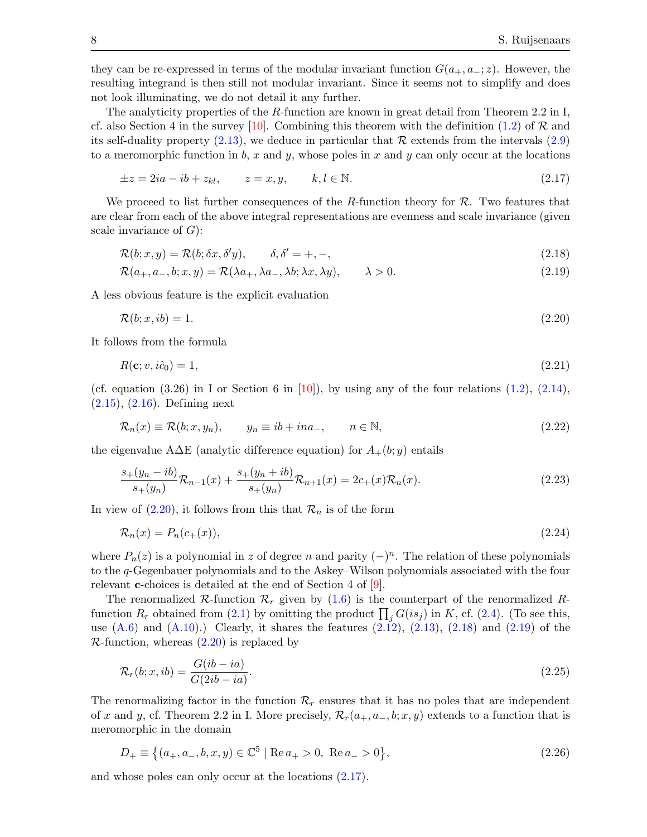they can be re-expressed in terms of the modular invariant function  $G(a_{+}, a_{-}; z)$ . However, the resulting integrand is then still not modular invariant. Since it seems not to simplify and does not look illuminating, we do not detail it any further.

The analyticity properties of the R-function are known in great detail from Theorem 2.2 in I, cf. also Section 4 in the survey [\[10\]](#page-52-10). Combining this theorem with the definition [\(1.2\)](#page-1-2) of  $\mathcal R$  and its self-duality property  $(2.13)$ , we deduce in particular that R extends from the intervals  $(2.9)$ to a meromorphic function in b, x and y, whose poles in x and y can only occur at the locations

<span id="page-7-3"></span>
$$
\pm z = 2ia - ib + z_{kl}, \qquad z = x, y, \qquad k, l \in \mathbb{N}.
$$
\n
$$
(2.17)
$$

We proceed to list further consequences of the R-function theory for  $\mathcal{R}$ . Two features that are clear from each of the above integral representations are evenness and scale invariance (given scale invariance of  $G$ :

<span id="page-7-1"></span>
$$
\mathcal{R}(b; x, y) = \mathcal{R}(b; \delta x, \delta' y), \qquad \delta, \delta' = +, -,
$$
\n(2.18)

<span id="page-7-2"></span>
$$
\mathcal{R}(a_+, a_-, b; x, y) = \mathcal{R}(\lambda a_+, \lambda a_-, \lambda b; \lambda x, \lambda y), \qquad \lambda > 0.
$$
\n
$$
(2.19)
$$

A less obvious feature is the explicit evaluation

<span id="page-7-0"></span>
$$
\mathcal{R}(b; x, ib) = 1. \tag{2.20}
$$

It follows from the formula

$$
R(\mathbf{c}; v, i\hat{c}_0) = 1,\tag{2.21}
$$

(cf. equation  $(3.26)$  in I or Section 6 in [\[10\]](#page-52-10)), by using any of the four relations  $(1.2)$ ,  $(2.14)$ , [\(2.15\)](#page-6-5), [\(2.16\)](#page-6-6). Defining next

$$
\mathcal{R}_n(x) \equiv \mathcal{R}(b; x, y_n), \qquad y_n \equiv ib + ina_-, \qquad n \in \mathbb{N}, \tag{2.22}
$$

the eigenvalue A $\Delta E$  (analytic difference equation) for  $A_{+}(b; y)$  entails

$$
\frac{s+(y_n - ib)}{s+(y_n)} \mathcal{R}_{n-1}(x) + \frac{s+(y_n + ib)}{s+(y_n)} \mathcal{R}_{n+1}(x) = 2c_+(x)\mathcal{R}_n(x). \tag{2.23}
$$

In view of  $(2.20)$ , it follows from this that  $\mathcal{R}_n$  is of the form

<span id="page-7-6"></span>
$$
\mathcal{R}_n(x) = P_n(c_+(x)),\tag{2.24}
$$

where  $P_n(z)$  is a polynomial in z of degree n and parity  $(-)^n$ . The relation of these polynomials to the q-Gegenbauer polynomials and to the Askey–Wilson polynomials associated with the four relevant **c**-choices is detailed at the end of Section 4 of [\[9\]](#page-52-9).

The renormalized R-function  $\mathcal{R}_r$  given by [\(1.6\)](#page-2-0) is the counterpart of the renormalized Rfunction  $R_r$  obtained from [\(2.1\)](#page-5-2) by omitting the product  $\prod_j G(is_j)$  in K, cf. [\(2.4\)](#page-5-4). (To see this, use  $(A.6)$  and  $(A.10)$ .) Clearly, it shares the features  $(2.12)$ ,  $(2.13)$ ,  $(2.18)$  and  $(2.19)$  of the  $\mathcal{R}\text{-function}$ , whereas  $(2.20)$  is replaced by

<span id="page-7-4"></span>
$$
\mathcal{R}_r(b; x, ib) = \frac{G(ib - ia)}{G(2ib - ia)}.\tag{2.25}
$$

The renormalizing factor in the function  $\mathcal{R}_r$  ensures that it has no poles that are independent of x and y, cf. Theorem 2.2 in I. More precisely,  $\mathcal{R}_r(a_+, a_-, b; x, y)$  extends to a function that is meromorphic in the domain

<span id="page-7-5"></span>
$$
D_{+} \equiv \left\{ (a_{+}, a_{-}, b, x, y) \in \mathbb{C}^{5} \mid \text{Re}\, a_{+} > 0, \text{ Re}\, a_{-} > 0 \right\},\tag{2.26}
$$

and whose poles can only occur at the locations [\(2.17\)](#page-7-3).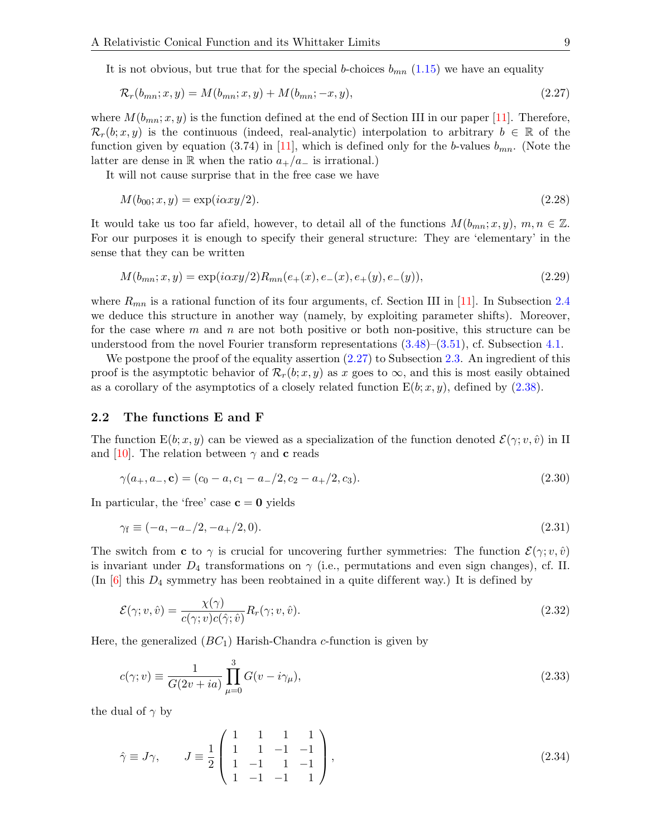It is not obvious, but true that for the special b-choices  $b_{mn}$  [\(1.15\)](#page-3-5) we have an equality

<span id="page-8-1"></span>
$$
\mathcal{R}_r(b_{mn}; x, y) = M(b_{mn}; x, y) + M(b_{mn}; -x, y), \qquad (2.27)
$$

where  $M(b_{mn}; x, y)$  is the function defined at the end of Section III in our paper [\[11\]](#page-52-11). Therefore,  $\mathcal{R}_r(b; x, y)$  is the continuous (indeed, real-analytic) interpolation to arbitrary  $b \in \mathbb{R}$  of the function given by equation (3.74) in [\[11\]](#page-52-11), which is defined only for the b-values  $b_{mn}$ . (Note the latter are dense in R when the ratio  $a_{+}/a_{-}$  is irrational.)

It will not cause surprise that in the free case we have

<span id="page-8-4"></span>
$$
M(b_{00}; x, y) = \exp(i\alpha xy/2). \tag{2.28}
$$

It would take us too far afield, however, to detail all of the functions  $M(b_{mn}; x, y)$ ,  $m, n \in \mathbb{Z}$ . For our purposes it is enough to specify their general structure: They are 'elementary' in the sense that they can be written

<span id="page-8-3"></span>
$$
M(b_{mn};x,y) = \exp(i\alpha xy/2)R_{mn}(e_+(x), e_-(x), e_+(y), e_-(y)),\tag{2.29}
$$

where  $R_{mn}$  is a rational function of its four arguments, cf. Section III in [\[11\]](#page-52-11). In Subsection [2.4](#page-14-0) we deduce this structure in another way (namely, by exploiting parameter shifts). Moreover, for the case where  $m$  and  $n$  are not both positive or both non-positive, this structure can be understood from the novel Fourier transform representations [\(3.48\)](#page-21-1)–[\(3.51\)](#page-21-0), cf. Subsection [4.1.](#page-22-1)

We postpone the proof of the equality assertion  $(2.27)$  to Subsection [2.3.](#page-12-0) An ingredient of this proof is the asymptotic behavior of  $\mathcal{R}_r(b; x, y)$  as x goes to  $\infty$ , and this is most easily obtained as a corollary of the asymptotics of a closely related function  $E(b; x, y)$ , defined by  $(2.38)$ .

#### <span id="page-8-0"></span>2.2 The functions E and F

The function  $E(b; x, y)$  can be viewed as a specialization of the function denoted  $\mathcal{E}(\gamma; v, \hat{v})$  in II and [\[10\]](#page-52-10). The relation between  $\gamma$  and **c** reads

$$
\gamma(a_+, a_-, \mathbf{c}) = (c_0 - a, c_1 - a_-/2, c_2 - a_+/2, c_3). \tag{2.30}
$$

In particular, the 'free' case  $c = 0$  yields

<span id="page-8-2"></span>
$$
\gamma_f \equiv (-a, -a_-/2, -a_+/2, 0). \tag{2.31}
$$

The switch from c to  $\gamma$  is crucial for uncovering further symmetries: The function  $\mathcal{E}(\gamma; v, \hat{v})$ is invariant under  $D_4$  transformations on  $\gamma$  (i.e., permutations and even sign changes), cf. II. (In  $[6]$  this  $D_4$  symmetry has been reobtained in a quite different way.) It is defined by

$$
\mathcal{E}(\gamma; v, \hat{v}) = \frac{\chi(\gamma)}{c(\gamma; v)c(\hat{\gamma}; \hat{v})} R_r(\gamma; v, \hat{v}).
$$
\n(2.32)

Here, the generalized  $(BC_1)$  Harish-Chandra c-function is given by

$$
c(\gamma; v) \equiv \frac{1}{G(2v + ia)} \prod_{\mu=0}^{3} G(v - i\gamma_{\mu}), \qquad (2.33)
$$

the dual of  $\gamma$  by

$$
\hat{\gamma} \equiv J\gamma, \qquad J \equiv \frac{1}{2} \begin{pmatrix} 1 & 1 & 1 & 1 \\ 1 & 1 & -1 & -1 \\ 1 & -1 & 1 & -1 \\ 1 & -1 & -1 & 1 \end{pmatrix}, \tag{2.34}
$$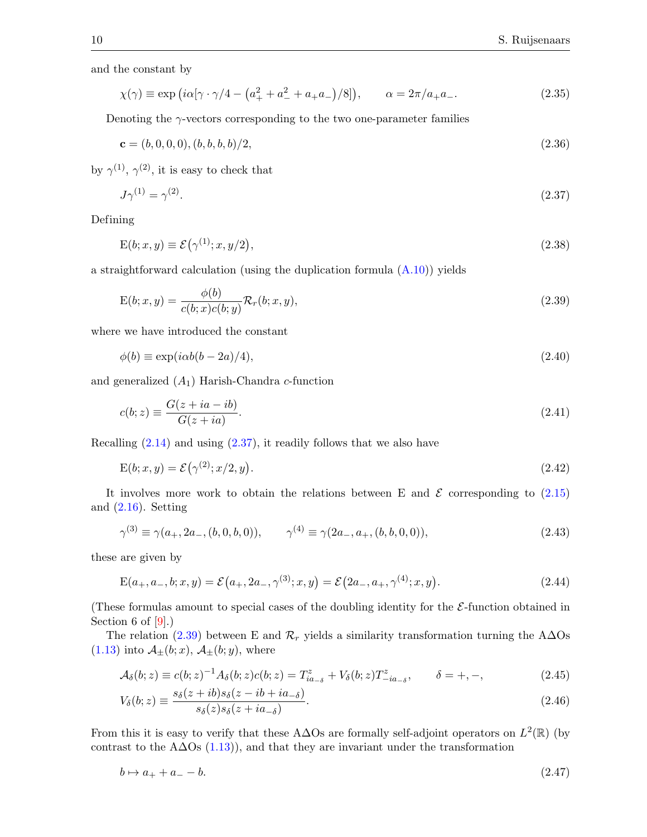and the constant by

$$
\chi(\gamma) \equiv \exp\left(i\alpha[\gamma \cdot \gamma/4 - \left(a_+^2 + a_-^2 + a_+a_-\right)/8\right], \qquad \alpha = 2\pi/a_+a_-\,. \tag{2.35}
$$

Denoting the  $\gamma$ -vectors corresponding to the two one-parameter families

$$
\mathbf{c} = (b, 0, 0, 0), (b, b, b, b)/2,\tag{2.36}
$$

by  $\gamma^{(1)}$ ,  $\gamma^{(2)}$ , it is easy to check that

<span id="page-9-1"></span><span id="page-9-0"></span>
$$
J\gamma^{(1)} = \gamma^{(2)}.\tag{2.37}
$$

Defining

$$
E(b; x, y) \equiv \mathcal{E}(\gamma^{(1)}; x, y/2), \qquad (2.38)
$$

a straightforward calculation (using the duplication formula  $(A.10)$ ) yields

<span id="page-9-2"></span>
$$
E(b; x, y) = \frac{\phi(b)}{c(b; x)c(b; y)} \mathcal{R}_r(b; x, y),
$$
\n(2.39)

where we have introduced the constant

<span id="page-9-4"></span>
$$
\phi(b) \equiv \exp(i\alpha b(b - 2a)/4),\tag{2.40}
$$

and generalized  $(A_1)$  Harish-Chandra c-function

<span id="page-9-3"></span>
$$
c(b; z) \equiv \frac{G(z + ia - ib)}{G(z + ia)}.\tag{2.41}
$$

Recalling  $(2.14)$  and using  $(2.37)$ , it readily follows that we also have

$$
E(b; x, y) = \mathcal{E}\left(\gamma^{(2)}; x/2, y\right). \tag{2.42}
$$

It involves more work to obtain the relations between E and  $\mathcal E$  corresponding to [\(2.15\)](#page-6-5) and  $(2.16)$ . Setting

$$
\gamma^{(3)} \equiv \gamma(a_+, 2a_-, (b, 0, b, 0)), \qquad \gamma^{(4)} \equiv \gamma(2a_-, a_+, (b, b, 0, 0)), \tag{2.43}
$$

these are given by

$$
E(a_+, a_-, b; x, y) = \mathcal{E}(a_+, 2a_-, \gamma^{(3)}; x, y) = \mathcal{E}(2a_-, a_+, \gamma^{(4)}; x, y).
$$
\n(2.44)

(These formulas amount to special cases of the doubling identity for the  $\mathcal{E}\text{-function obtained in}$ Section 6 of  $[9]$ .)

The relation [\(2.39\)](#page-9-2) between E and  $\mathcal{R}_r$  yields a similarity transformation turning the A $\Delta$ Os  $(1.13)$  into  $\mathcal{A}_{\pm}(b;x)$ ,  $\mathcal{A}_{\pm}(b;y)$ , where

<span id="page-9-5"></span>
$$
\mathcal{A}_{\delta}(b; z) \equiv c(b; z)^{-1} A_{\delta}(b; z) c(b; z) = T_{ia_{-\delta}}^{z} + V_{\delta}(b; z) T_{-ia_{-\delta}}^{z}, \qquad \delta = +, -,
$$
\n(2.45)

$$
V_{\delta}(b; z) \equiv \frac{s_{\delta}(z + ib)s_{\delta}(z - ib + ia_{-\delta})}{s_{\delta}(z)s_{\delta}(z + ia_{-\delta})}.
$$
\n(2.46)

From this it is easy to verify that these A $\Delta$ Os are formally self-adjoint operators on  $L^2(\mathbb{R})$  (by contrast to the A $\Delta$ Os [\(1.13\)](#page-3-3)), and that they are invariant under the transformation

$$
b \mapsto a_+ + a_- - b. \tag{2.47}
$$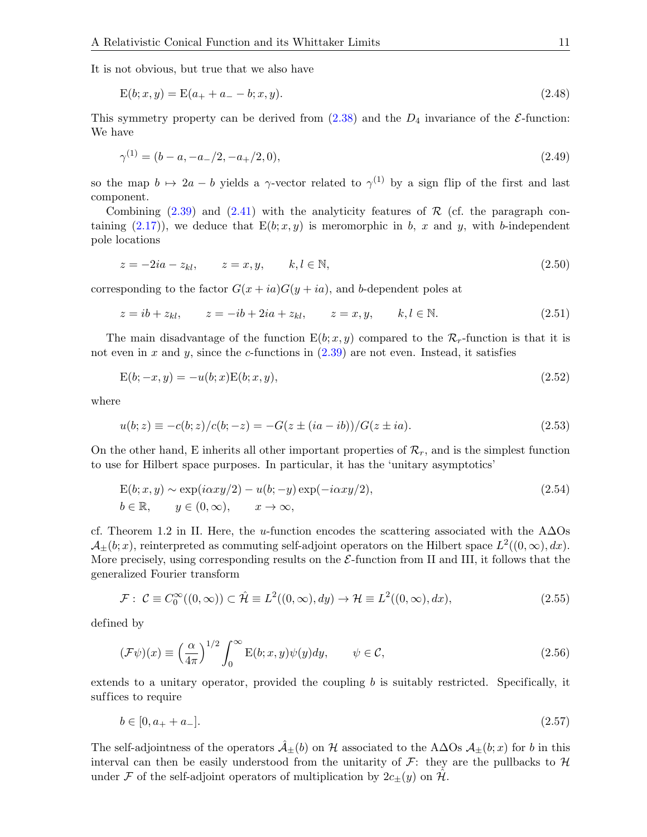It is not obvious, but true that we also have

<span id="page-10-2"></span>
$$
E(b; x, y) = E(a_{+} + a_{-} - b; x, y). \tag{2.48}
$$

This symmetry property can be derived from  $(2.38)$  and the  $D_4$  invariance of the  $\mathcal{E}\text{-function}$ : We have

<span id="page-10-1"></span>
$$
\gamma^{(1)} = (b - a, -a_{-}/2, -a_{+}/2, 0),\tag{2.49}
$$

so the map  $b \mapsto 2a - b$  yields a γ-vector related to  $\gamma^{(1)}$  by a sign flip of the first and last component.

Combining  $(2.39)$  and  $(2.41)$  with the analyticity features of  $\mathcal R$  (cf. the paragraph con-taining [\(2.17\)](#page-7-3)), we deduce that  $E(b; x, y)$  is meromorphic in b, x and y, with b-independent pole locations

$$
z = -2ia - z_{kl}, \qquad z = x, y, \qquad k, l \in \mathbb{N}, \tag{2.50}
$$

corresponding to the factor  $G(x + ia)G(y + ia)$ , and b-dependent poles at

$$
z = ib + z_{kl}
$$
,  $z = -ib + 2ia + z_{kl}$ ,  $z = x, y$ ,  $k, l \in \mathbb{N}$ . (2.51)

The main disadvantage of the function  $E(b; x, y)$  compared to the  $\mathcal{R}_r$ -function is that it is not even in x and y, since the c-functions in  $(2.39)$  are not even. Instead, it satisfies

$$
E(b; -x, y) = -u(b; x)E(b; x, y),
$$
\n(2.52)

where

<span id="page-10-3"></span>
$$
u(b; z) \equiv -c(b; z)/c(b; -z) = -G(z \pm (ia - ib))/G(z \pm ia). \tag{2.53}
$$

On the other hand, E inherits all other important properties of  $\mathcal{R}_r$ , and is the simplest function to use for Hilbert space purposes. In particular, it has the 'unitary asymptotics'

<span id="page-10-4"></span>
$$
E(b; x, y) \sim \exp(i\alpha xy/2) - u(b; -y)\exp(-i\alpha xy/2),
$$
  
\n
$$
b \in \mathbb{R}, \qquad y \in (0, \infty), \qquad x \to \infty,
$$
\n(2.54)

cf. Theorem 1.2 in II. Here, the u-function encodes the scattering associated with the A $\Delta$ Os  $\mathcal{A}_{\pm}(b;x)$ , reinterpreted as commuting self-adjoint operators on the Hilbert space  $L^2((0,\infty),dx)$ . More precisely, using corresponding results on the  $\mathcal{E}\text{-function from II and III, it follows that the}$ generalized Fourier transform

<span id="page-10-5"></span>
$$
\mathcal{F}: \ \mathcal{C} \equiv C_0^{\infty}((0,\infty)) \subset \hat{\mathcal{H}} \equiv L^2((0,\infty),dy) \to \mathcal{H} \equiv L^2((0,\infty),dx), \tag{2.55}
$$

defined by

<span id="page-10-0"></span>
$$
(\mathcal{F}\psi)(x) \equiv \left(\frac{\alpha}{4\pi}\right)^{1/2} \int_0^\infty E(b; x, y)\psi(y)dy, \qquad \psi \in \mathcal{C}, \tag{2.56}
$$

extends to a unitary operator, provided the coupling b is suitably restricted. Specifically, it suffices to require

$$
b \in [0, a_+ + a_-]. \tag{2.57}
$$

The self-adjointness of the operators  $\hat{A}_+(b)$  on H associated to the A∆Os  $A_+(b; x)$  for b in this interval can then be easily understood from the unitarity of  $\mathcal{F}$ : they are the pullbacks to  $\mathcal{H}$ under F of the self-adjoint operators of multiplication by  $2c_{\pm}(y)$  on  $\hat{\mathcal{H}}$ .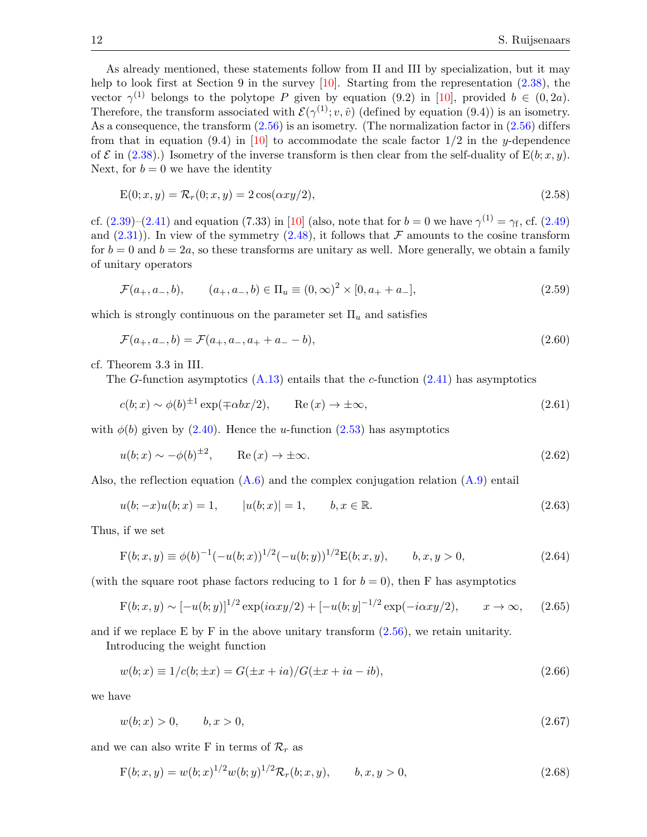As already mentioned, these statements follow from II and III by specialization, but it may help to look first at Section 9 in the survey [\[10\]](#page-52-10). Starting from the representation  $(2.38)$ , the vector  $\gamma^{(1)}$  belongs to the polytope P given by equation (9.2) in [\[10\]](#page-52-10), provided  $b \in (0, 2a)$ . Therefore, the transform associated with  $\mathcal{E}(\gamma^{(1)}; v, \hat{v})$  (defined by equation (9.4)) is an isometry. As a consequence, the transform  $(2.56)$  is an isometry. (The normalization factor in  $(2.56)$  differs from that in equation (9.4) in [\[10\]](#page-52-10) to accommodate the scale factor  $1/2$  in the y-dependence of  $\mathcal E$  in [\(2.38\)](#page-9-0).) Isometry of the inverse transform is then clear from the self-duality of  $E(b; x, y)$ . Next, for  $b = 0$  we have the identity

<span id="page-11-1"></span>
$$
E(0; x, y) = \mathcal{R}_r(0; x, y) = 2\cos(\alpha xy/2),\tag{2.58}
$$

cf.  $(2.39)-(2.41)$  $(2.39)-(2.41)$  and equation  $(7.33)$  in [\[10\]](#page-52-10) (also, note that for  $b=0$  we have  $\gamma^{(1)}=\gamma_f$ , cf.  $(2.49)$ ) and  $(2.31)$ . In view of the symmetry  $(2.48)$ , it follows that F amounts to the cosine transform for  $b = 0$  and  $b = 2a$ , so these transforms are unitary as well. More generally, we obtain a family of unitary operators

$$
\mathcal{F}(a_+, a_-, b), \qquad (a_+, a_-, b) \in \Pi_u \equiv (0, \infty)^2 \times [0, a_+ + a_-], \tag{2.59}
$$

which is strongly continuous on the parameter set  $\Pi_u$  and satisfies

<span id="page-11-3"></span>
$$
\mathcal{F}(a_+, a_-, b) = \mathcal{F}(a_+, a_-, a_+ + a_- - b),\tag{2.60}
$$

cf. Theorem 3.3 in III.

The G-function asymptotics  $(A.13)$  entails that the c-function  $(2.41)$  has asymptotics

<span id="page-11-0"></span>
$$
c(b; x) \sim \phi(b)^{\pm 1} \exp(\mp \alpha bx/2), \qquad \text{Re}(x) \to \pm \infty,
$$
\n(2.61)

with  $\phi(b)$  given by [\(2.40\)](#page-9-4). Hence the *u*-function [\(2.53\)](#page-10-3) has asymptotics

$$
u(b;x) \sim -\phi(b)^{\pm 2}, \qquad \text{Re}(x) \to \pm \infty. \tag{2.62}
$$

Also, the reflection equation  $(A.6)$  and the complex conjugation relation  $(A.9)$  entail

$$
u(b; -x)u(b; x) = 1, \t |u(b; x)| = 1, \t b, x \in \mathbb{R}.
$$
\t(2.63)

Thus, if we set

<span id="page-11-5"></span>
$$
F(b; x, y) \equiv \phi(b)^{-1}(-u(b; x))^{1/2}(-u(b; y))^{1/2}E(b; x, y), \qquad b, x, y > 0,
$$
\n(2.64)

(with the square root phase factors reducing to 1 for  $b = 0$ ), then F has asymptotics

$$
F(b; x, y) \sim [-u(b; y)]^{1/2} \exp(i\alpha xy/2) + [-u(b; y]^{-1/2} \exp(-i\alpha xy/2), \qquad x \to \infty,
$$
 (2.65)

and if we replace E by F in the above unitary transform  $(2.56)$ , we retain unitarity.

Introducing the weight function

<span id="page-11-4"></span>
$$
w(b; x) \equiv 1/c(b; \pm x) = G(\pm x + ia) / G(\pm x + ia - ib), \tag{2.66}
$$

we have

$$
w(b; x) > 0, \qquad b, x > 0,\tag{2.67}
$$

and we can also write F in terms of  $\mathcal{R}_r$  as

<span id="page-11-2"></span>
$$
F(b; x, y) = w(b; x)^{1/2} w(b; y)^{1/2} \mathcal{R}_r(b; x, y), \qquad b, x, y > 0,
$$
\n(2.68)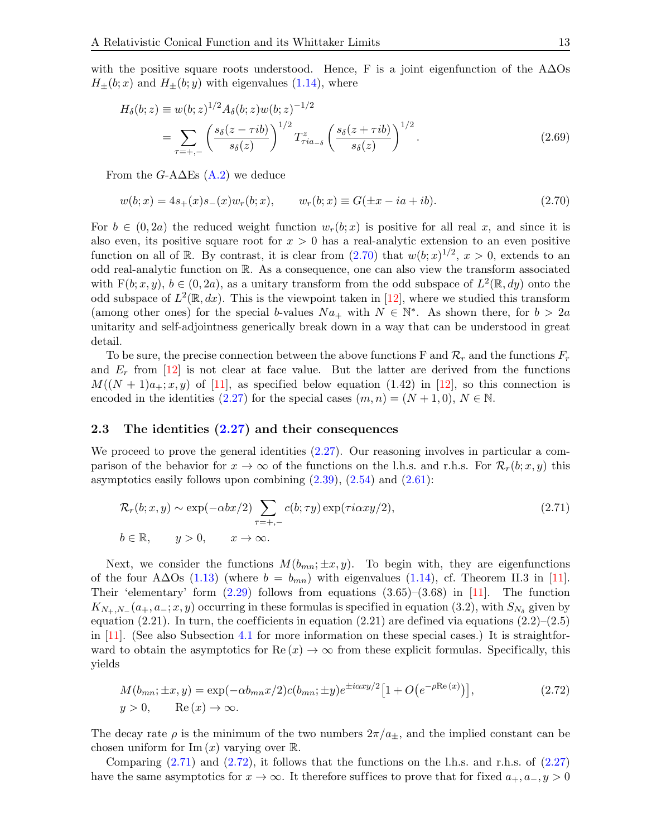with the positive square roots understood. Hence, F is a joint eigenfunction of the  $\Lambda\Delta\text{Os}$  $H_{\pm}(b; x)$  and  $H_{\pm}(b; y)$  with eigenvalues [\(1.14\)](#page-3-4), where

<span id="page-12-4"></span>
$$
H_{\delta}(b; z) \equiv w(b; z)^{1/2} A_{\delta}(b; z) w(b; z)^{-1/2}
$$
  
= 
$$
\sum_{\tau = +,-} \left( \frac{s_{\delta}(z - \tau ib)}{s_{\delta}(z)} \right)^{1/2} T_{\tau ia_{-\delta}}^{z} \left( \frac{s_{\delta}(z + \tau ib)}{s_{\delta}(z)} \right)^{1/2}.
$$
 (2.69)

From the  $G$ -A $\Delta$ Es [\(A.2\)](#page-42-1) we deduce

<span id="page-12-1"></span>
$$
w(b; x) = 4s_+(x)s_-(x)w_r(b; x), \qquad w_r(b; x) \equiv G(\pm x - ia + ib). \tag{2.70}
$$

For  $b \in (0, 2a)$  the reduced weight function  $w_r(b; x)$  is positive for all real x, and since it is also even, its positive square root for  $x > 0$  has a real-analytic extension to an even positive function on all of R. By contrast, it is clear from  $(2.70)$  that  $w(b; x)^{1/2}$ ,  $x > 0$ , extends to an odd real-analytic function on R. As a consequence, one can also view the transform associated with  $F(b; x, y)$ ,  $b \in (0, 2a)$ , as a unitary transform from the odd subspace of  $L^2(\mathbb{R}, dy)$  onto the odd subspace of  $L^2(\mathbb{R}, dx)$ . This is the viewpoint taken in [\[12\]](#page-52-12), where we studied this transform (among other ones) for the special b-values  $Na_+$  with  $N \in \mathbb{N}^*$ . As shown there, for  $b > 2a$ unitarity and self-adjointness generically break down in a way that can be understood in great detail.

To be sure, the precise connection between the above functions F and  $\mathcal{R}_r$  and the functions  $F_r$ and  $E_r$  from [\[12\]](#page-52-12) is not clear at face value. But the latter are derived from the functions  $M((N + 1)a_+; x, y)$  of [\[11\]](#page-52-11), as specified below equation (1.42) in [\[12\]](#page-52-12), so this connection is encoded in the identities [\(2.27\)](#page-8-1) for the special cases  $(m, n) = (N + 1, 0), N \in \mathbb{N}$ .

#### <span id="page-12-0"></span>2.3 The identities  $(2.27)$  and their consequences

We proceed to prove the general identities  $(2.27)$ . Our reasoning involves in particular a comparison of the behavior for  $x \to \infty$  of the functions on the l.h.s. and r.h.s. For  $\mathcal{R}_r(b; x, y)$  this asymptotics easily follows upon combining  $(2.39)$ ,  $(2.54)$  and  $(2.61)$ :

<span id="page-12-2"></span>
$$
\mathcal{R}_r(b; x, y) \sim \exp(-\alpha bx/2) \sum_{\tau=+,-} c(b; \tau y) \exp(\tau i \alpha xy/2),
$$
\n
$$
b \in \mathbb{R}, \qquad y > 0, \qquad x \to \infty.
$$
\n(2.71)

Next, we consider the functions  $M(b_{mn}; \pm x, y)$ . To begin with, they are eigenfunctions of the four A∆Os [\(1.13\)](#page-3-3) (where  $b = b_{mn}$ ) with eigenvalues [\(1.14\)](#page-3-4), cf. Theorem II.3 in [\[11\]](#page-52-11). Their 'elementary' form  $(2.29)$  follows from equations  $(3.65)$ – $(3.68)$  in [\[11\]](#page-52-11). The function  $K_{N_+,N_-}(a_+,a_-;x,y)$  occurring in these formulas is specified in equation (3.2), with  $S_{N_\delta}$  given by equation (2.21). In turn, the coefficients in equation (2.21) are defined via equations (2.2)–(2.5) in [\[11\]](#page-52-11). (See also Subsection [4.1](#page-22-1) for more information on these special cases.) It is straightforward to obtain the asymptotics for  $\text{Re}(x) \to \infty$  from these explicit formulas. Specifically, this yields

<span id="page-12-3"></span>
$$
M(b_{mn}; \pm x, y) = \exp(-\alpha b_{mn}x/2)c(b_{mn}; \pm y)e^{\pm i\alpha xy/2}[1 + O(e^{-\rho \text{Re}(x)})],
$$
\n
$$
y > 0, \qquad \text{Re}(x) \to \infty.
$$
\n(2.72)

The decay rate  $\rho$  is the minimum of the two numbers  $2\pi/a_{\pm}$ , and the implied constant can be chosen uniform for  $\text{Im}(x)$  varying over  $\mathbb{R}$ .

Comparing  $(2.71)$  and  $(2.72)$ , it follows that the functions on the l.h.s. and r.h.s. of  $(2.27)$ have the same asymptotics for  $x \to \infty$ . It therefore suffices to prove that for fixed  $a_+, a_-, y > 0$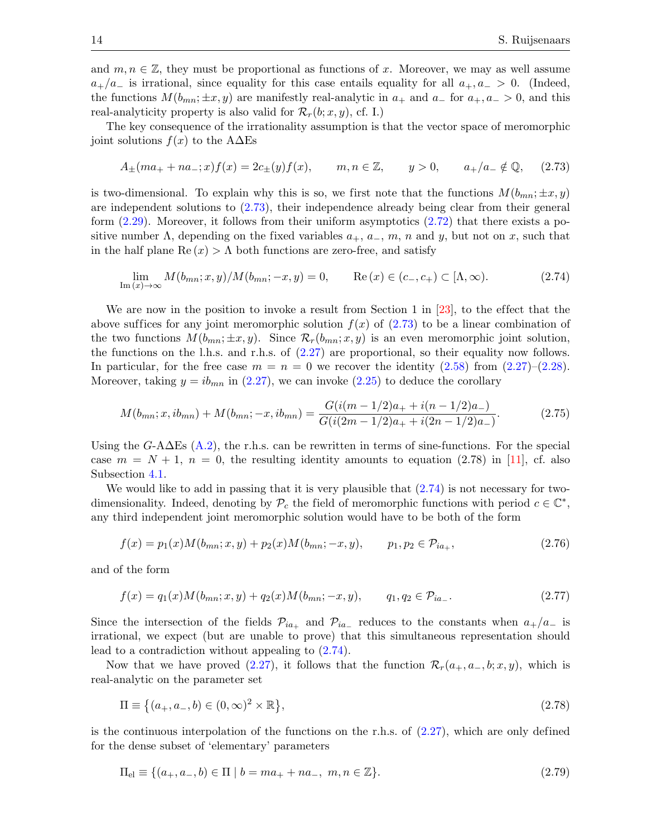and  $m, n \in \mathbb{Z}$ , they must be proportional as functions of x. Moreover, we may as well assume  $a_{+}/a_{-}$  is irrational, since equality for this case entails equality for all  $a_{+}, a_{-} > 0$ . (Indeed, the functions  $M(b_{mn}; \pm x, y)$  are manifestly real-analytic in  $a_+$  and  $a_-$  for  $a_+, a_- > 0$ , and this real-analyticity property is also valid for  $\mathcal{R}_r(b; x, y)$ , cf. I.)

The key consequence of the irrationality assumption is that the vector space of meromorphic joint solutions  $f(x)$  to the A $\Delta$ Es

<span id="page-13-0"></span>
$$
A_{\pm}(ma_{+} + na_{-};x)f(x) = 2c_{\pm}(y)f(x), \qquad m, n \in \mathbb{Z}, \qquad y > 0, \qquad a_{+}/a_{-} \notin \mathbb{Q}, \tag{2.73}
$$

is two-dimensional. To explain why this is so, we first note that the functions  $M(b_{mn}; \pm x, y)$ are independent solutions to [\(2.73\)](#page-13-0), their independence already being clear from their general form  $(2.29)$ . Moreover, it follows from their uniform asymptotics  $(2.72)$  that there exists a positive number  $\Lambda$ , depending on the fixed variables  $a_+, a_-, m, n$  and y, but not on x, such that in the half plane  $\text{Re}(x) > \Lambda$  both functions are zero-free, and satisfy

<span id="page-13-1"></span>
$$
\lim_{\text{Im}(x)\to\infty} M(b_{mn}; x, y)/M(b_{mn}; -x, y) = 0, \qquad \text{Re}(x) \in (c_-, c_+) \subset [\Lambda, \infty). \tag{2.74}
$$

We are now in the position to invoke a result from Section 1 in  $[23]$ , to the effect that the above suffices for any joint meromorphic solution  $f(x)$  of  $(2.73)$  to be a linear combination of the two functions  $M(b_{mn}; \pm x, y)$ . Since  $\mathcal{R}_r(b_{mn}; x, y)$  is an even meromorphic joint solution, the functions on the l.h.s. and r.h.s. of  $(2.27)$  are proportional, so their equality now follows. In particular, for the free case  $m = n = 0$  we recover the identity [\(2.58\)](#page-11-1) from [\(2.27\)](#page-8-1)–[\(2.28\)](#page-8-4). Moreover, taking  $y = ib_{mn}$  in [\(2.27\)](#page-8-1), we can invoke [\(2.25\)](#page-7-4) to deduce the corollary

$$
M(b_{mn}; x, ib_{mn}) + M(b_{mn}; -x, ib_{mn}) = \frac{G(i(m-1/2)a_{+} + i(n-1/2)a_{-})}{G(i(2m-1/2)a_{+} + i(2n-1/2)a_{-})}.
$$
(2.75)

Using the  $G$ -A $\Delta$ Es [\(A.2\)](#page-42-1), the r.h.s. can be rewritten in terms of sine-functions. For the special case  $m = N + 1$ ,  $n = 0$ , the resulting identity amounts to equation (2.78) in [\[11\]](#page-52-11), cf. also Subsection [4.1.](#page-22-1)

We would like to add in passing that it is very plausible that  $(2.74)$  is not necessary for twodimensionality. Indeed, denoting by  $\mathcal{P}_c$  the field of meromorphic functions with period  $c \in \mathbb{C}^*$ , any third independent joint meromorphic solution would have to be both of the form

$$
f(x) = p_1(x)M(b_{mn}; x, y) + p_2(x)M(b_{mn}; -x, y), \qquad p_1, p_2 \in \mathcal{P}_{ia_+},
$$
\n(2.76)

and of the form

$$
f(x) = q_1(x)M(b_{mn}; x, y) + q_2(x)M(b_{mn}; -x, y), \qquad q_1, q_2 \in \mathcal{P}_{ia}.
$$
 (2.77)

Since the intersection of the fields  $\mathcal{P}_{ia_+}$  and  $\mathcal{P}_{ia_-}$  reduces to the constants when  $a_+/a_-$  is irrational, we expect (but are unable to prove) that this simultaneous representation should lead to a contradiction without appealing to [\(2.74\)](#page-13-1).

Now that we have proved [\(2.27\)](#page-8-1), it follows that the function  $\mathcal{R}_r(a_+, a_-, b; x, y)$ , which is real-analytic on the parameter set

$$
\Pi \equiv \{(a_+, a_-, b) \in (0, \infty)^2 \times \mathbb{R}\},\tag{2.78}
$$

is the continuous interpolation of the functions on the r.h.s. of  $(2.27)$ , which are only defined for the dense subset of 'elementary' parameters

$$
\Pi_{\text{el}} \equiv \{ (a_+, a_-, b) \in \Pi \mid b = ma_+ + na_-, \ m, n \in \mathbb{Z} \}. \tag{2.79}
$$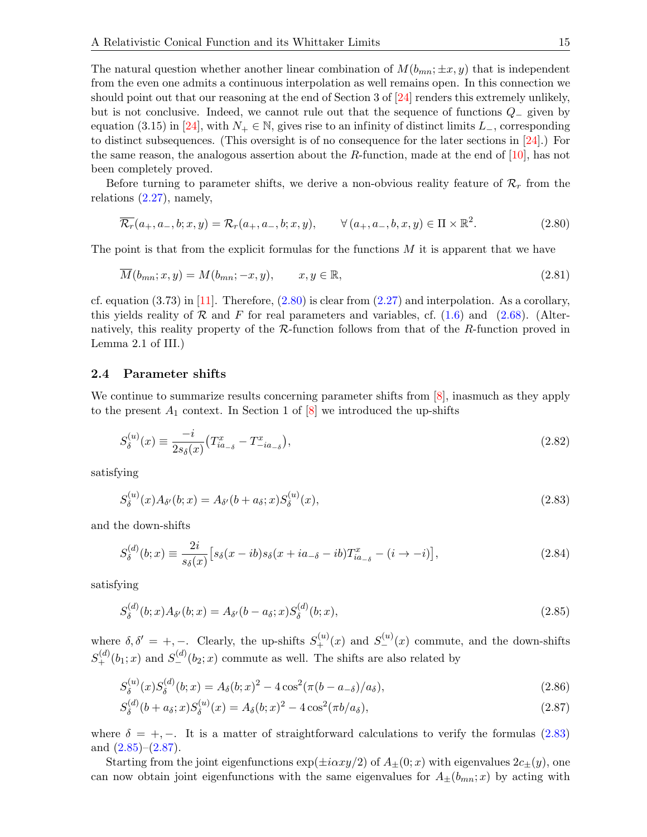The natural question whether another linear combination of  $M(b_{mn}; \pm x, y)$  that is independent from the even one admits a continuous interpolation as well remains open. In this connection we should point out that our reasoning at the end of Section 3 of [\[24\]](#page-53-6) renders this extremely unlikely, but is not conclusive. Indeed, we cannot rule out that the sequence of functions Q<sup>−</sup> given by equation (3.15) in [\[24\]](#page-53-6), with  $N_+ \in \mathbb{N}$ , gives rise to an infinity of distinct limits  $L_-,$  corresponding to distinct subsequences. (This oversight is of no consequence for the later sections in [\[24\]](#page-53-6).) For the same reason, the analogous assertion about the R-function, made at the end of  $[10]$ , has not been completely proved.

Before turning to parameter shifts, we derive a non-obvious reality feature of  $\mathcal{R}_r$  from the relations [\(2.27\)](#page-8-1), namely,

<span id="page-14-1"></span>
$$
\overline{\mathcal{R}_r}(a_+, a_-, b; x, y) = \mathcal{R}_r(a_+, a_-, b; x, y), \qquad \forall (a_+, a_-, b, x, y) \in \Pi \times \mathbb{R}^2.
$$
\n(2.80)

The point is that from the explicit formulas for the functions  $M$  it is apparent that we have

$$
\overline{M}(b_{mn};x,y) = M(b_{mn};-x,y), \qquad x, y \in \mathbb{R}, \qquad (2.81)
$$

cf. equation  $(3.73)$  in [\[11\]](#page-52-11). Therefore,  $(2.80)$  is clear from  $(2.27)$  and interpolation. As a corollary, this yields reality of  $\mathcal R$  and F for real parameters and variables, cf. [\(1.6\)](#page-2-0) and [\(2.68\)](#page-11-2). (Alternatively, this reality property of the  $\mathcal{R}\text{-function}$  follows from that of the  $R\text{-function}$  proved in Lemma 2.1 of III.)

#### <span id="page-14-0"></span>2.4 Parameter shifts

We continue to summarize results concerning parameter shifts from  $\vert 8 \vert$ , inasmuch as they apply to the present  $A_1$  context. In Section 1 of  $[8]$  we introduced the up-shifts

<span id="page-14-5"></span>
$$
S_{\delta}^{(u)}(x) \equiv \frac{-i}{2s_{\delta}(x)} \left( T_{ia_{-\delta}}^{x} - T_{-ia_{-\delta}}^{x} \right),\tag{2.82}
$$

satisfying

<span id="page-14-2"></span>
$$
S_{\delta}^{(u)}(x)A_{\delta'}(b;x) = A_{\delta'}(b + a_{\delta};x)S_{\delta}^{(u)}(x),
$$
\n(2.83)

and the down-shifts

<span id="page-14-6"></span>
$$
S_{\delta}^{(d)}(b;x) \equiv \frac{2i}{s_{\delta}(x)} \left[ s_{\delta}(x-ib)s_{\delta}(x+ia_{-\delta}-ib)T_{ia_{-\delta}}^{x} - (i \to -i) \right],\tag{2.84}
$$

satisfying

<span id="page-14-3"></span>
$$
S_{\delta}^{(d)}(b;x)A_{\delta'}(b;x) = A_{\delta'}(b-a_{\delta};x)S_{\delta}^{(d)}(b;x),
$$
\n(2.85)

where  $\delta, \delta' = +, -$ . Clearly, the up-shifts  $S_{+}^{(u)}(x)$  and  $S_{-}^{(u)}(x)$  commute, and the down-shifts  $S_{+}^{(d)}(b_1; x)$  and  $S_{-}^{(d)}(b_2; x)$  commute as well. The shifts are also related by

$$
S_{\delta}^{(u)}(x)S_{\delta}^{(d)}(b;x) = A_{\delta}(b;x)^{2} - 4\cos^{2}(\pi(b-a_{\delta})/a_{\delta}),
$$
\n(2.86)

<span id="page-14-4"></span>
$$
S_{\delta}^{(d)}(b + a_{\delta}; x)S_{\delta}^{(u)}(x) = A_{\delta}(b; x)^{2} - 4\cos^{2}(\pi b/a_{\delta}), \qquad (2.87)
$$

where  $\delta = +, -$ . It is a matter of straightforward calculations to verify the formulas [\(2.83\)](#page-14-2) and  $(2.85)-(2.87)$  $(2.85)-(2.87)$ .

Starting from the joint eigenfunctions  $\exp(\pm i\alpha xy/2)$  of  $A_+(0;x)$  with eigenvalues  $2c_+(y)$ , one can now obtain joint eigenfunctions with the same eigenvalues for  $A_{\pm}(b_{mn};x)$  by acting with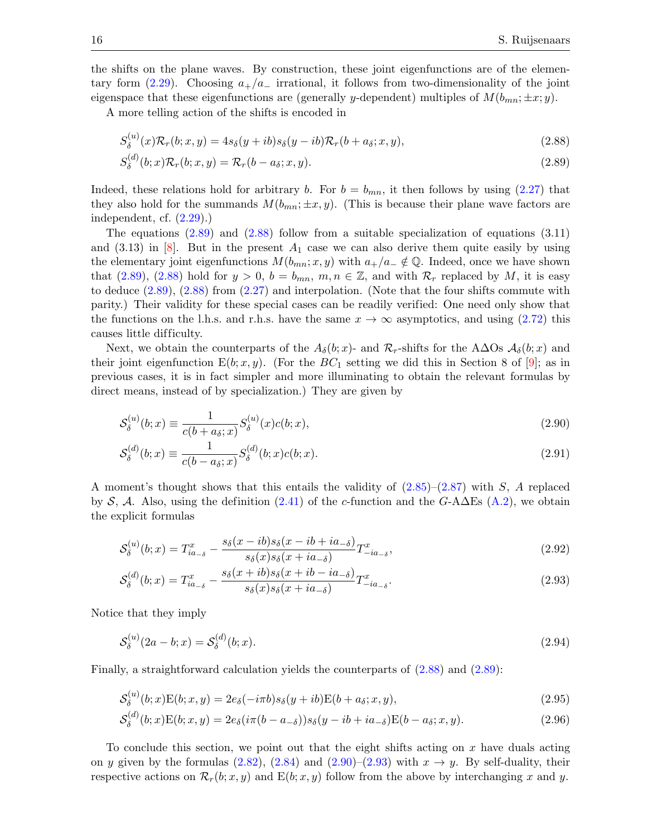the shifts on the plane waves. By construction, these joint eigenfunctions are of the elementary form  $(2.29)$ . Choosing  $a_{+}/a_{-}$  irrational, it follows from two-dimensionality of the joint eigenspace that these eigenfunctions are (generally y-dependent) multiples of  $M(b_{mn}; \pm x; y)$ .

A more telling action of the shifts is encoded in

<span id="page-15-1"></span>
$$
S_{\delta}^{(u)}(x)\mathcal{R}_r(b;x,y) = 4s_{\delta}(y+ib)s_{\delta}(y-ib)\mathcal{R}_r(b+a_{\delta};x,y),
$$
\n(2.88)

<span id="page-15-0"></span>
$$
S_{\delta}^{(d)}(b;x)\mathcal{R}_r(b;x,y) = \mathcal{R}_r(b-a_{\delta};x,y). \tag{2.89}
$$

Indeed, these relations hold for arbitrary b. For  $b = b_{mn}$ , it then follows by using [\(2.27\)](#page-8-1) that they also hold for the summands  $M(b_{mn}; \pm x, y)$ . (This is because their plane wave factors are independent, cf. [\(2.29\)](#page-8-3).)

The equations  $(2.89)$  and  $(2.88)$  follow from a suitable specialization of equations  $(3.11)$ and  $(3.13)$  in  $|8|$ . But in the present  $A_1$  case we can also derive them quite easily by using the elementary joint eigenfunctions  $M(b_{mn}; x, y)$  with  $a_{+}/a_{-} \notin \mathbb{Q}$ . Indeed, once we have shown that [\(2.89\)](#page-15-0), [\(2.88\)](#page-15-1) hold for  $y > 0$ ,  $b = b_{mn}$ ,  $m, n \in \mathbb{Z}$ , and with  $\mathcal{R}_r$  replaced by M, it is easy to deduce [\(2.89\)](#page-15-0), [\(2.88\)](#page-15-1) from [\(2.27\)](#page-8-1) and interpolation. (Note that the four shifts commute with parity.) Their validity for these special cases can be readily verified: One need only show that the functions on the l.h.s. and r.h.s. have the same  $x \to \infty$  asymptotics, and using [\(2.72\)](#page-12-3) this causes little difficulty.

Next, we obtain the counterparts of the  $A_{\delta}(b; x)$ - and  $\mathcal{R}_r$ -shifts for the A $\Delta$ Os  $\mathcal{A}_{\delta}(b; x)$  and their joint eigenfunction  $E(b; x, y)$ . (For the  $BC_1$  setting we did this in Section 8 of  $[9]$ ; as in previous cases, it is in fact simpler and more illuminating to obtain the relevant formulas by direct means, instead of by specialization.) They are given by

<span id="page-15-2"></span>
$$
S_{\delta}^{(u)}(b;x) \equiv \frac{1}{c(b+a_{\delta};x)} S_{\delta}^{(u)}(x)c(b;x),
$$
\n(2.90)

$$
S_{\delta}^{(d)}(b;x) \equiv \frac{1}{c(b-a_{\delta};x)} S_{\delta}^{(d)}(b;x)c(b;x).
$$
\n(2.91)

A moment's thought shows that this entails the validity of  $(2.85)-(2.87)$  $(2.85)-(2.87)$  with S, A replaced by S, A. Also, using the definition [\(2.41\)](#page-9-3) of the c-function and the G-A $\Delta$ Es [\(A.2\)](#page-42-1), we obtain the explicit formulas

$$
\mathcal{S}_{\delta}^{(u)}(b;x) = T_{ia_{-\delta}}^x - \frac{s_{\delta}(x - ib)s_{\delta}(x - ib + ia_{-\delta})}{s_{\delta}(x)s_{\delta}(x + ia_{-\delta})}T_{-ia_{-\delta}}^x,
$$
\n(2.92)

<span id="page-15-3"></span>
$$
S_{\delta}^{(d)}(b;x) = T_{ia_{-\delta}}^{x} - \frac{s_{\delta}(x+ib)s_{\delta}(x+ib-ia_{-\delta})}{s_{\delta}(x)s_{\delta}(x+ia_{-\delta})}T_{-ia_{-\delta}}^{x}.
$$
\n(2.93)

Notice that they imply

$$
S_{\delta}^{(u)}(2a - b; x) = S_{\delta}^{(d)}(b; x). \tag{2.94}
$$

Finally, a straightforward calculation yields the counterparts of [\(2.88\)](#page-15-1) and [\(2.89\)](#page-15-0):

$$
\mathcal{S}_{\delta}^{(u)}(b;x)\mathcal{E}(b;x,y) = 2e_{\delta}(-i\pi b)s_{\delta}(y+ib)\mathcal{E}(b+a_{\delta};x,y),\tag{2.95}
$$

$$
S_{\delta}^{(d)}(b;x)\mathcal{E}(b;x,y) = 2e_{\delta}(i\pi(b-a_{-\delta}))s_{\delta}(y-ib+ia_{-\delta})\mathcal{E}(b-a_{\delta};x,y). \tag{2.96}
$$

To conclude this section, we point out that the eight shifts acting on  $x$  have duals acting on y given by the formulas [\(2.82\)](#page-14-5), [\(2.84\)](#page-14-6) and [\(2.90\)](#page-15-2)–[\(2.93\)](#page-15-3) with  $x \to y$ . By self-duality, their respective actions on  $\mathcal{R}_r(b; x, y)$  and  $E(b; x, y)$  follow from the above by interchanging x and y.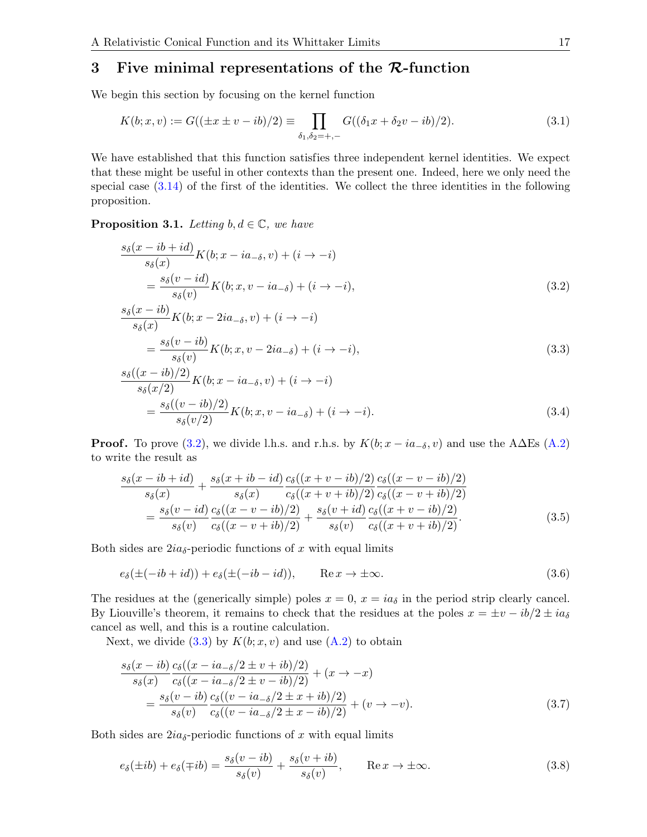## <span id="page-16-0"></span>3 Five minimal representations of the  $\mathcal{R}\text{-}\text{function}$

We begin this section by focusing on the kernel function

$$
K(b; x, v) := G((\pm x \pm v - ib)/2) \equiv \prod_{\delta_1, \delta_2 = +, -} G((\delta_1 x + \delta_2 v - ib)/2). \tag{3.1}
$$

We have established that this function satisfies three independent kernel identities. We expect that these might be useful in other contexts than the present one. Indeed, here we only need the special case  $(3.14)$  of the first of the identities. We collect the three identities in the following proposition.

**Proposition 3.1.** Letting  $b, d \in \mathbb{C}$ , we have

<span id="page-16-1"></span>
$$
\frac{s_{\delta}(x - ib + id)}{s_{\delta}(x)} K(b; x - ia_{-\delta}, v) + (i \to -i)
$$
  
= 
$$
\frac{s_{\delta}(v - id)}{s_{\delta}(v)} K(b; x, v - ia_{-\delta}) + (i \to -i),
$$
 (3.2)

<span id="page-16-2"></span>
$$
\frac{s_{\delta}(x - ib)}{s_{\delta}(x)} K(b; x - 2ia_{-\delta}, v) + (i \to -i)
$$
  
= 
$$
\frac{s_{\delta}(v - ib)}{s_{\delta}(v)} K(b; x, v - 2ia_{-\delta}) + (i \to -i),
$$
  
ss((x - ib)/2) (3.3)

<span id="page-16-3"></span>
$$
\frac{s_{\delta}((x - ib)/2)}{s_{\delta}(x/2)} K(b; x - ia_{-\delta}, v) + (i \to -i)
$$
  
= 
$$
\frac{s_{\delta}((v - ib)/2)}{s_{\delta}(v/2)} K(b; x, v - ia_{-\delta}) + (i \to -i).
$$
 (3.4)

**Proof.** To prove [\(3.2\)](#page-16-1), we divide l.h.s. and r.h.s. by  $K(b; x - ia_{-\delta}, v)$  and use the A $\Delta \text{Es}$  [\(A.2\)](#page-42-1) to write the result as

<span id="page-16-4"></span>
$$
\frac{s_{\delta}(x - ib + id)}{s_{\delta}(x)} + \frac{s_{\delta}(x + ib - id)}{s_{\delta}(x)} \frac{c_{\delta}((x + v - ib)/2)}{c_{\delta}((x + v + ib)/2)} \frac{c_{\delta}((x - v - ib)/2)}{c_{\delta}((x - v + ib)/2)} \n= \frac{s_{\delta}(v - id)}{s_{\delta}(v)} \frac{c_{\delta}((x - v - ib)/2)}{c_{\delta}((x - v + ib)/2)} + \frac{s_{\delta}(v + id)}{s_{\delta}(v)} \frac{c_{\delta}((x + v - ib)/2)}{c_{\delta}((x + v + ib)/2)}.
$$
\n(3.5)

Both sides are  $2ia_{\delta}$ -periodic functions of x with equal limits

$$
e_{\delta}(\pm(-ib+id)) + e_{\delta}(\pm(-ib-id)), \qquad \text{Re}\,x \to \pm\infty. \tag{3.6}
$$

The residues at the (generically simple) poles  $x = 0$ ,  $x = ia_{\delta}$  in the period strip clearly cancel. By Liouville's theorem, it remains to check that the residues at the poles  $x = \pm v - ib/2 \pm i a_{\delta}$ cancel as well, and this is a routine calculation.

Next, we divide  $(3.3)$  by  $K(b; x, v)$  and use  $(A.2)$  to obtain

$$
\frac{s_{\delta}(x - ib)}{s_{\delta}(x)} \frac{c_{\delta}((x - ia_{-\delta}/2 \pm v + ib)/2)}{c_{\delta}((x - ia_{-\delta}/2 \pm v - ib)/2)} + (x \to -x)
$$
\n
$$
= \frac{s_{\delta}(v - ib)}{s_{\delta}(v)} \frac{c_{\delta}((v - ia_{-\delta}/2 \pm x + ib)/2)}{c_{\delta}((v - ia_{-\delta}/2 \pm x - ib)/2)} + (v \to -v).
$$
\n(3.7)

Both sides are  $2ia_{\delta}$ -periodic functions of x with equal limits

$$
e_{\delta}(\pm ib) + e_{\delta}(\mp ib) = \frac{s_{\delta}(v - ib)}{s_{\delta}(v)} + \frac{s_{\delta}(v + ib)}{s_{\delta}(v)}, \qquad \text{Re}\,x \to \pm \infty. \tag{3.8}
$$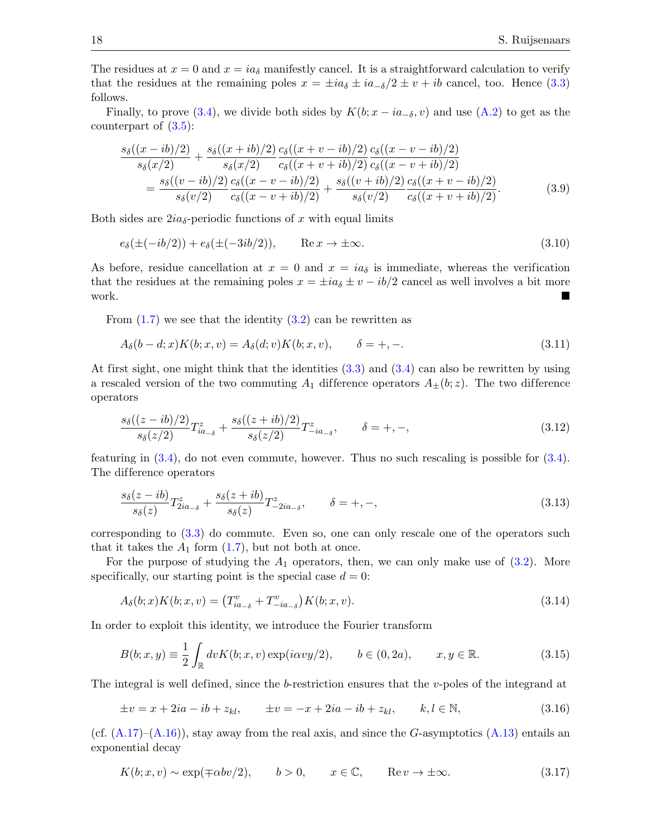The residues at  $x = 0$  and  $x = ia_{\delta}$  manifestly cancel. It is a straightforward calculation to verify that the residues at the remaining poles  $x = \pm i a_\delta \pm i a_{\delta}/2 \pm v + i b$  cancel, too. Hence [\(3.3\)](#page-16-2) follows.

Finally, to prove [\(3.4\)](#page-16-3), we divide both sides by  $K(b; x - ia_{-\delta}, v)$  and use [\(A.2\)](#page-42-1) to get as the counterpart of  $(3.5)$ :

$$
\frac{s_{\delta}((x-ib)/2)}{s_{\delta}(x/2)} + \frac{s_{\delta}((x+ib)/2)}{s_{\delta}(x/2)} \frac{c_{\delta}((x+v-ib)/2)}{c_{\delta}((x+v+ib)/2)} \frac{c_{\delta}((x-v-ib)/2)}{c_{\delta}((x-v+ib)/2)} \n= \frac{s_{\delta}((v-ib)/2)}{s_{\delta}(v/2)} \frac{c_{\delta}((x-v-ib)/2)}{c_{\delta}((x-v+ib)/2)} + \frac{s_{\delta}((v+ib)/2)}{s_{\delta}(v/2)} \frac{c_{\delta}((x+v-ib)/2)}{c_{\delta}((x+v+ib)/2)}.
$$
\n(3.9)

Both sides are  $2ia_{\delta}$ -periodic functions of x with equal limits

$$
e_{\delta}(\pm(-ib/2)) + e_{\delta}(\pm(-3ib/2)), \qquad \text{Re}\,x \to \pm\infty. \tag{3.10}
$$

As before, residue cancellation at  $x = 0$  and  $x = ia_{\delta}$  is immediate, whereas the verification that the residues at the remaining poles  $x = \pm ia_{\delta} \pm v - ib/2$  cancel as well involves a bit more work.

From  $(1.7)$  we see that the identity  $(3.2)$  can be rewritten as

$$
A_{\delta}(b-d;x)K(b;x,v) = A_{\delta}(d;v)K(b;x,v), \qquad \delta = +, -.
$$
\n(3.11)

At first sight, one might think that the identities [\(3.3\)](#page-16-2) and [\(3.4\)](#page-16-3) can also be rewritten by using a rescaled version of the two commuting  $A_1$  difference operators  $A_{\pm}(b; z)$ . The two difference operators

$$
\frac{s_{\delta}((z-ib)/2)}{s_{\delta}(z/2)}T_{ia_{-\delta}}^z + \frac{s_{\delta}((z+ib)/2)}{s_{\delta}(z/2)}T_{-ia_{-\delta}}^z, \qquad \delta = +, -,
$$
\n(3.12)

featuring in [\(3.4\)](#page-16-3), do not even commute, however. Thus no such rescaling is possible for [\(3.4\)](#page-16-3). The difference operators

$$
\frac{s_{\delta}(z-ib)}{s_{\delta}(z)}T_{2ia_{-\delta}}^{z} + \frac{s_{\delta}(z+ib)}{s_{\delta}(z)}T_{-2ia_{-\delta}}^{z}, \qquad \delta = +, -,
$$
\n(3.13)

corresponding to [\(3.3\)](#page-16-2) do commute. Even so, one can only rescale one of the operators such that it takes the  $A_1$  form  $(1.7)$ , but not both at once.

For the purpose of studying the  $A_1$  operators, then, we can only make use of  $(3.2)$ . More specifically, our starting point is the special case  $d = 0$ :

<span id="page-17-0"></span>
$$
A_{\delta}(b;x)K(b;x,v) = (T_{ia_{-\delta}}^v + T_{-ia_{-\delta}}^v)K(b;x,v).
$$
\n(3.14)

In order to exploit this identity, we introduce the Fourier transform

<span id="page-17-1"></span>
$$
B(b; x, y) \equiv \frac{1}{2} \int_{\mathbb{R}} dv K(b; x, v) \exp(i\alpha v y/2), \qquad b \in (0, 2a), \qquad x, y \in \mathbb{R}.
$$
 (3.15)

The integral is well defined, since the b-restriction ensures that the v-poles of the integrand at

<span id="page-17-2"></span>
$$
\pm v = x + 2ia - ib + z_{kl}, \qquad \pm v = -x + 2ia - ib + z_{kl}, \qquad k, l \in \mathbb{N}, \tag{3.16}
$$

(cf.  $(A.17)$ – $(A.16)$ ), stay away from the real axis, and since the G-asymptotics  $(A.13)$  entails an exponential decay

$$
K(b; x, v) \sim \exp(\mp \alpha b v/2), \qquad b > 0, \qquad x \in \mathbb{C}, \qquad \text{Re}\,v \to \pm \infty. \tag{3.17}
$$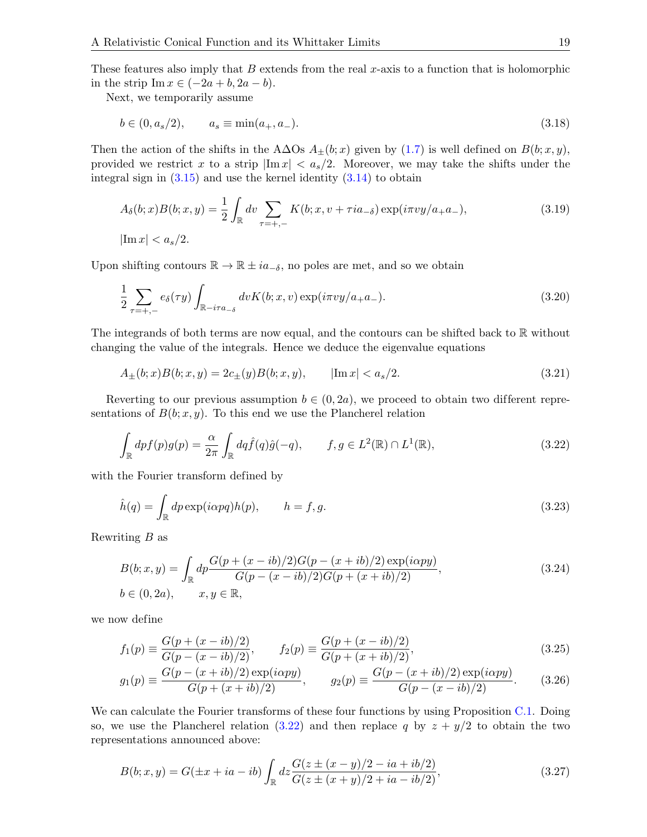These features also imply that  $B$  extends from the real x-axis to a function that is holomorphic in the strip  $\text{Im } x \in (-2a + b, 2a - b).$ 

Next, we temporarily assume

$$
b \in (0, a_s/2), \qquad a_s \equiv \min(a_+, a_-). \tag{3.18}
$$

Then the action of the shifts in the A∆Os  $A_{\pm}(b; x)$  given by [\(1.7\)](#page-2-1) is well defined on  $B(b; x, y)$ , provided we restrict x to a strip  $|\text{Im }x| < a_s/2$ . Moreover, we may take the shifts under the integral sign in  $(3.15)$  and use the kernel identity  $(3.14)$  to obtain

$$
A_{\delta}(b; x)B(b; x, y) = \frac{1}{2} \int_{\mathbb{R}} dv \sum_{\tau = +,-} K(b; x, v + \tau i a_{-\delta}) \exp(i\pi v y / a_{+} a_{-}),
$$
\n
$$
|\text{Im } x| < a_{s}/2.
$$
\n(3.19)

Upon shifting contours  $\mathbb{R} \to \mathbb{R} \pm i a_{-\delta}$ , no poles are met, and so we obtain

$$
\frac{1}{2} \sum_{\tau=+,-} e_{\delta}(\tau y) \int_{\mathbb{R} - i\tau a_{-\delta}} dv K(b; x, v) \exp(i\pi v y/a_{+} a_{-}). \tag{3.20}
$$

The integrands of both terms are now equal, and the contours can be shifted back to R without changing the value of the integrals. Hence we deduce the eigenvalue equations

<span id="page-18-3"></span>
$$
A_{\pm}(b;x)B(b;x,y) = 2c_{\pm}(y)B(b;x,y), \qquad |\text{Im } x| < a_s/2. \tag{3.21}
$$

Reverting to our previous assumption  $b \in (0, 2a)$ , we proceed to obtain two different representations of  $B(b; x, y)$ . To this end we use the Plancherel relation

<span id="page-18-0"></span>
$$
\int_{\mathbb{R}} dp f(p) g(p) = \frac{\alpha}{2\pi} \int_{\mathbb{R}} dq \hat{f}(q) \hat{g}(-q), \qquad f, g \in L^{2}(\mathbb{R}) \cap L^{1}(\mathbb{R}), \tag{3.22}
$$

with the Fourier transform defined by

<span id="page-18-4"></span>
$$
\hat{h}(q) = \int_{\mathbb{R}} dp \exp(i\alpha pq)h(p), \qquad h = f, g. \tag{3.23}
$$

Rewriting B as

<span id="page-18-1"></span>
$$
B(b; x, y) = \int_{\mathbb{R}} dp \frac{G(p + (x - ib)/2)G(p - (x + ib)/2) \exp(i\alpha py)}{G(p - (x - ib)/2)G(p + (x + ib)/2)},
$$
(3.24)  

$$
b \in (0, 2a), \qquad x, y \in \mathbb{R},
$$

we now define

$$
f_1(p) \equiv \frac{G(p + (x - ib)/2)}{G(p - (x - ib)/2)}, \qquad f_2(p) \equiv \frac{G(p + (x - ib)/2)}{G(p + (x + ib)/2)},
$$
\n(3.25)

$$
g_1(p) \equiv \frac{G(p - (x + ib)/2) \exp(i\alpha py)}{G(p + (x + ib)/2)}, \qquad g_2(p) \equiv \frac{G(p - (x + ib)/2) \exp(i\alpha py)}{G(p - (x - ib)/2)}.
$$
 (3.26)

We can calculate the Fourier transforms of these four functions by using Proposition [C.1.](#page-48-0) Doing so, we use the Plancherel relation [\(3.22\)](#page-18-0) and then replace q by  $z + y/2$  to obtain the two representations announced above:

<span id="page-18-2"></span>
$$
B(b; x, y) = G(\pm x + ia - ib) \int_{\mathbb{R}} dz \frac{G(z \pm (x - y)/2 - ia + ib/2)}{G(z \pm (x + y)/2 + ia - ib/2)},
$$
\n(3.27)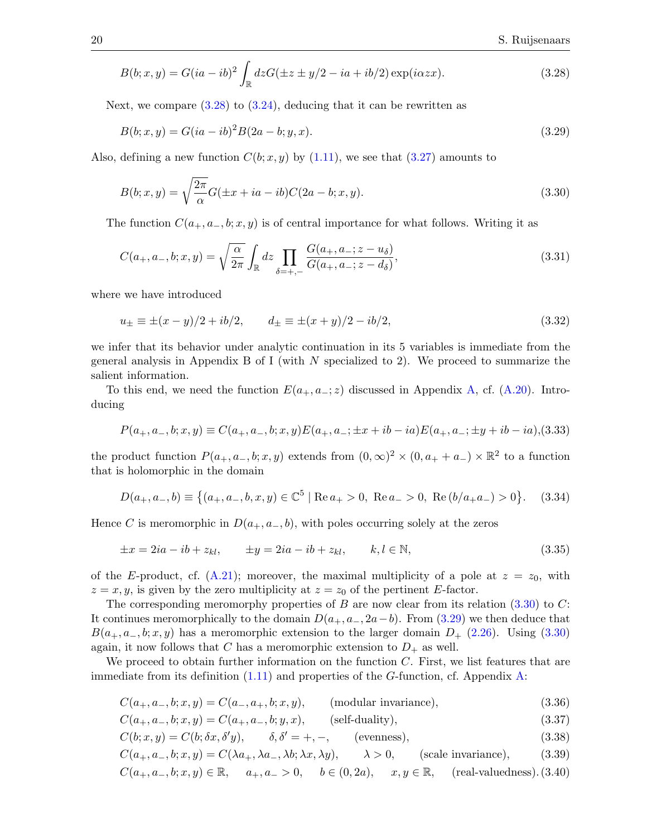<span id="page-19-0"></span>
$$
B(b;x,y) = G(ia - ib)^2 \int_{\mathbb{R}} dz G(\pm z \pm y/2 - ia + ib/2) \exp(i\alpha zx). \tag{3.28}
$$

Next, we compare  $(3.28)$  to  $(3.24)$ , deducing that it can be rewritten as

<span id="page-19-2"></span>
$$
B(b; x, y) = G(ia - ib)^{2}B(2a - b; y, x).
$$
\n(3.29)

Also, defining a new function  $C(b; x, y)$  by [\(1.11\)](#page-3-0), we see that [\(3.27\)](#page-18-2) amounts to

<span id="page-19-1"></span>
$$
B(b; x, y) = \sqrt{\frac{2\pi}{\alpha}} G(\pm x + ia - ib) C(2a - b; x, y).
$$
\n(3.30)

The function  $C(a_+, a_-, b; x, y)$  is of central importance for what follows. Writing it as

$$
C(a_{+}, a_{-}, b; x, y) = \sqrt{\frac{\alpha}{2\pi}} \int_{\mathbb{R}} dz \prod_{\delta = +,-} \frac{G(a_{+}, a_{-}; z - u_{\delta})}{G(a_{+}, a_{-}; z - d_{\delta})},
$$
(3.31)

where we have introduced

$$
u_{\pm} \equiv \pm (x - y)/2 + ib/2, \qquad d_{\pm} \equiv \pm (x + y)/2 - ib/2, \tag{3.32}
$$

we infer that its behavior under analytic continuation in its 5 variables is immediate from the general analysis in Appendix B of I (with  $N$  specialized to 2). We proceed to summarize the salient information.

To this end, we need the function  $E(a_+, a_-; z)$  discussed in Appendix [A,](#page-42-0) cf. [\(A.20\)](#page-44-1). Introducing

<span id="page-19-8"></span>
$$
P(a_+, a_-, b; x, y) \equiv C(a_+, a_-, b; x, y) E(a_+, a_-; \pm x + ib - ia) E(a_+, a_-; \pm y + ib - ia), (3.33)
$$

the product function  $P(a_+, a_-, b; x, y)$  extends from  $(0, \infty)^2 \times (0, a_+ + a_-) \times \mathbb{R}^2$  to a function that is holomorphic in the domain

$$
D(a_+, a_-, b) \equiv \left\{ (a_+, a_-, b, x, y) \in \mathbb{C}^5 \mid \text{Re}\, a_+ > 0, \text{ Re}\, a_- > 0, \text{ Re}\,(b/a_+a_-) > 0 \right\}. \tag{3.34}
$$

Hence C is meromorphic in  $D(a_+, a_-, b)$ , with poles occurring solely at the zeros

$$
\pm x = 2ia - ib + z_{kl}, \qquad \pm y = 2ia - ib + z_{kl}, \qquad k, l \in \mathbb{N}, \tag{3.35}
$$

of the E-product, cf.  $(A.21)$ ; moreover, the maximal multiplicity of a pole at  $z = z<sub>0</sub>$ , with  $z = x, y$ , is given by the zero multiplicity at  $z = z_0$  of the pertinent E-factor.

The corresponding meromorphy properties of B are now clear from its relation  $(3.30)$  to C: It continues meromorphically to the domain  $D(a_+, a_-, 2a-b)$ . From [\(3.29\)](#page-19-2) we then deduce that  $B(a_+, a_-, b; x, y)$  has a meromorphic extension to the larger domain  $D_+$  [\(2.26\)](#page-7-5). Using [\(3.30\)](#page-19-1) again, it now follows that C has a meromorphic extension to  $D_+$  as well.

We proceed to obtain further information on the function  $C$ . First, we list features that are immediate from its definition  $(1.11)$  and properties of the G-function, cf. Appendix [A:](#page-42-0)

<span id="page-19-6"></span><span id="page-19-3"></span>
$$
C(a_+, a_-, b; x, y) = C(a_-, a_+, b; x, y), \qquad \text{(modular invariance)}, \tag{3.36}
$$

<span id="page-19-7"></span>
$$
C(a_+, a_-, b; x, y) = C(a_+, a_-, b; y, x), \qquad \text{(self-duality)},
$$
\n(3.37)

$$
C(b; x, y) = C(b; \delta x, \delta' y), \qquad \delta, \delta' = +, -, \qquad \text{(evenness)}, \tag{3.38}
$$

<span id="page-19-5"></span><span id="page-19-4"></span>
$$
C(a_+, a_-, b; x, y) = C(\lambda a_+, \lambda a_-, \lambda b; \lambda x, \lambda y), \qquad \lambda > 0, \qquad \text{(scale invariance)}, \tag{3.39}
$$

$$
C(a_+, a_-, b; x, y) \in \mathbb{R}, \quad a_+, a_- > 0, \quad b \in (0, 2a), \quad x, y \in \mathbb{R}, \quad (\text{real-valuedness}). \tag{3.40}
$$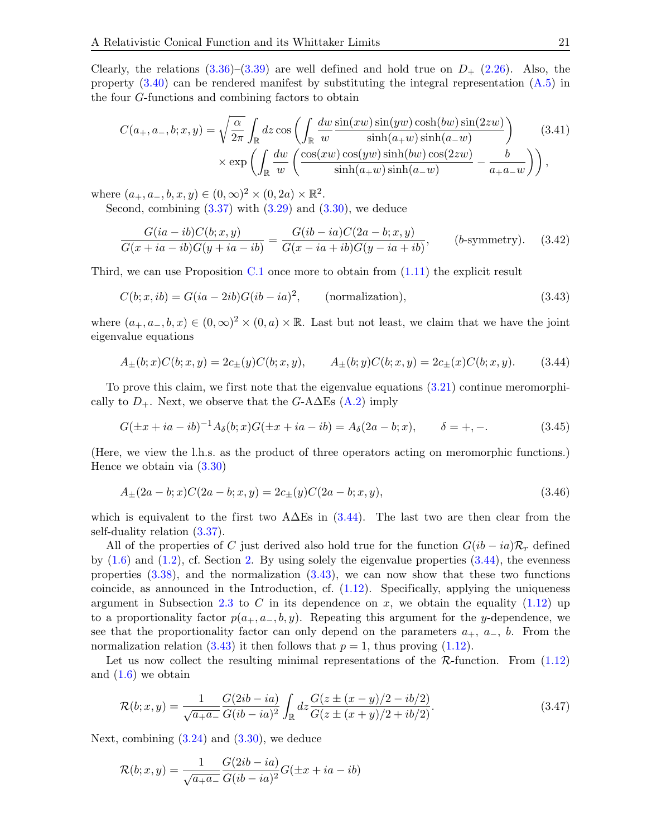Clearly, the relations  $(3.36)$ – $(3.39)$  are well defined and hold true on  $D_{+}$  [\(2.26\)](#page-7-5). Also, the property  $(3.40)$  can be rendered manifest by substituting the integral representation  $(A.5)$  in the four G-functions and combining factors to obtain

$$
C(a_+, a_-, b; x, y) = \sqrt{\frac{\alpha}{2\pi}} \int_{\mathbb{R}} dz \cos\left(\int_{\mathbb{R}} \frac{dw \sin(xw) \sin(yw) \cosh(bw) \sin(2zw)}{\sinh(a_+w) \sinh(a_-w)}\right) \times \exp\left(\int_{\mathbb{R}} \frac{dw}{w} \left(\frac{\cos(xw) \cos(yw) \sinh(bw) \cos(2zw)}{\sinh(a_+w) \sinh(a_-w)} - \frac{b}{a_+a_-w}\right)\right),
$$
\n(3.41)

where  $(a_+, a_-, b, x, y) \in (0, \infty)^2 \times (0, 2a) \times \mathbb{R}^2$ .

Second, combining  $(3.37)$  with  $(3.29)$  and  $(3.30)$ , we deduce

<span id="page-20-3"></span>
$$
\frac{G(ia-ib)C(b;x,y)}{G(x+ia-ib)G(y+ia-ib)} = \frac{G(ib-ia)C(2a-b;x,y)}{G(x-ia+ib)G(y-ia+ib)}, \qquad (b\text{-symmetry}). \tag{3.42}
$$

Third, we can use Proposition [C.1](#page-48-0) once more to obtain from [\(1.11\)](#page-3-0) the explicit result

<span id="page-20-2"></span>
$$
C(b; x, ib) = G(ia - 2ib)G(ib - ia)2, \qquad \text{(normalization)}, \tag{3.43}
$$

where  $(a_+, a_-, b, x) \in (0, \infty)^2 \times (0, a) \times \mathbb{R}$ . Last but not least, we claim that we have the joint eigenvalue equations

<span id="page-20-1"></span>
$$
A_{\pm}(b;x)C(b;x,y) = 2c_{\pm}(y)C(b;x,y), \qquad A_{\pm}(b;y)C(b;x,y) = 2c_{\pm}(x)C(b;x,y). \tag{3.44}
$$

To prove this claim, we first note that the eigenvalue equations [\(3.21\)](#page-18-3) continue meromorphically to  $D_+$ . Next, we observe that the G-A $\Delta$ Es [\(A.2\)](#page-42-1) imply

$$
G(\pm x + ia - ib)^{-1}A_{\delta}(b; x)G(\pm x + ia - ib) = A_{\delta}(2a - b; x), \qquad \delta = +, -.
$$
 (3.45)

(Here, we view the l.h.s. as the product of three operators acting on meromorphic functions.) Hence we obtain via  $(3.30)$ 

$$
A_{\pm}(2a - b; x)C(2a - b; x, y) = 2c_{\pm}(y)C(2a - b; x, y),
$$
\n(3.46)

which is equivalent to the first two  $A\Delta E$ s in [\(3.44\)](#page-20-1). The last two are then clear from the self-duality relation [\(3.37\)](#page-19-6).

All of the properties of C just derived also hold true for the function  $G(ib - ia)\mathcal{R}_r$  defined by  $(1.6)$  and  $(1.2)$ , cf. Section [2.](#page-5-0) By using solely the eigenvalue properties  $(3.44)$ , the evenness properties [\(3.38\)](#page-19-7), and the normalization [\(3.43\)](#page-20-2), we can now show that these two functions coincide, as announced in the Introduction, cf.  $(1.12)$ . Specifically, applying the uniqueness argument in Subsection [2.3](#page-12-0) to C in its dependence on x, we obtain the equality  $(1.12)$  up to a proportionality factor  $p(a_+, a_-, b, y)$ . Repeating this argument for the y-dependence, we see that the proportionality factor can only depend on the parameters  $a_+, a_-, b$ . From the normalization relation [\(3.43\)](#page-20-2) it then follows that  $p = 1$ , thus proving [\(1.12\)](#page-3-2).

Let us now collect the resulting minimal representations of the  $\mathcal{R}\text{-function}$ . From  $(1.12)$ and  $(1.6)$  we obtain

<span id="page-20-0"></span>
$$
\mathcal{R}(b;x,y) = \frac{1}{\sqrt{a_+ a_-}} \frac{G(2ib - ia)}{G(ib - ia)^2} \int_{\mathbb{R}} dz \frac{G(z \pm (x - y)/2 - ib/2)}{G(z \pm (x + y)/2 + ib/2)}.
$$
\n(3.47)

Next, combining  $(3.24)$  and  $(3.30)$ , we deduce

$$
\mathcal{R}(b; x, y) = \frac{1}{\sqrt{a_+ a_-}} \frac{G(2ib - ia)}{G(ib - ia)^2} G(\pm x + ia - ib)
$$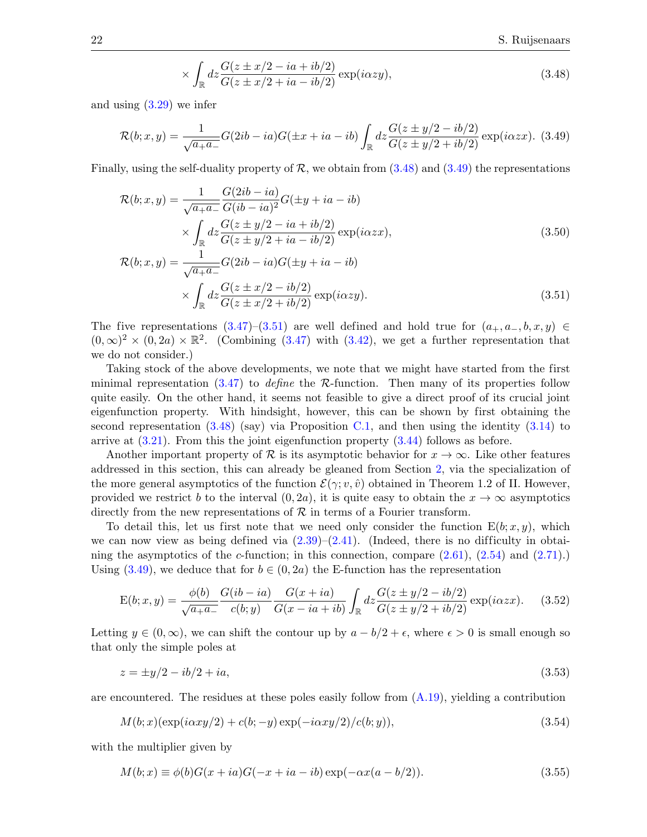<span id="page-21-4"></span><span id="page-21-2"></span><span id="page-21-1"></span><span id="page-21-0"></span>
$$
\times \int_{\mathbb{R}} dz \frac{G(z \pm x/2 - ia + ib/2)}{G(z \pm x/2 + ia - ib/2)} \exp(i\alpha z y), \tag{3.48}
$$

and using  $(3.29)$  we infer

$$
\mathcal{R}(b; x, y) = \frac{1}{\sqrt{a_+ a_-}} G(2ib - ia)G(\pm x + ia - ib) \int_{\mathbb{R}} dz \frac{G(z \pm y/2 - ib/2)}{G(z \pm y/2 + ib/2)} \exp(i\alpha z x). \tag{3.49}
$$

Finally, using the self-duality property of  $\mathcal{R}$ , we obtain from [\(3.48\)](#page-21-1) and [\(3.49\)](#page-21-2) the representations

$$
\mathcal{R}(b; x, y) = \frac{1}{\sqrt{a_+ a_-}} \frac{G(2ib - ia)}{G(ib - ia)^2} G(\pm y + ia - ib)
$$
  
\n
$$
\times \int_{\mathbb{R}} dz \frac{G(z \pm y/2 - ia + ib/2)}{G(z \pm y/2 + ia - ib/2)} \exp(i\alpha z x),
$$
  
\n
$$
\mathcal{R}(b; x, y) = \frac{1}{\sqrt{a_+ a_-}} G(2ib - ia) G(\pm y + ia - ib)
$$
  
\n
$$
\times \int_{\mathbb{R}} dz \frac{G(z \pm x/2 - ib/2)}{G(z \pm x/2 + ib/2)} \exp(i\alpha z y).
$$
\n(3.51)

The five representations  $(3.47)-(3.51)$  $(3.47)-(3.51)$  are well defined and hold true for  $(a_+, a_-, b, x, y) \in$  $(0,\infty)^2 \times (0,2a) \times \mathbb{R}^2$ . (Combining [\(3.47\)](#page-20-0) with [\(3.42\)](#page-20-3), we get a further representation that we do not consider.)

Taking stock of the above developments, we note that we might have started from the first minimal representation  $(3.47)$  to *define* the R-function. Then many of its properties follow quite easily. On the other hand, it seems not feasible to give a direct proof of its crucial joint eigenfunction property. With hindsight, however, this can be shown by first obtaining the second representation  $(3.48)$  (say) via Proposition [C.1,](#page-48-0) and then using the identity  $(3.14)$  to arrive at [\(3.21\)](#page-18-3). From this the joint eigenfunction property [\(3.44\)](#page-20-1) follows as before.

Another important property of R is its asymptotic behavior for  $x \to \infty$ . Like other features addressed in this section, this can already be gleaned from Section [2,](#page-5-0) via the specialization of the more general asymptotics of the function  $\mathcal{E}(\gamma; v, \hat{v})$  obtained in Theorem 1.2 of II. However, provided we restrict b to the interval  $(0, 2a)$ , it is quite easy to obtain the  $x \to \infty$  asymptotics directly from the new representations of  $\mathcal R$  in terms of a Fourier transform.

To detail this, let us first note that we need only consider the function  $E(b; x, y)$ , which we can now view as being defined via  $(2.39)$ – $(2.41)$ . (Indeed, there is no difficulty in obtaining the asymptotics of the c-function; in this connection, compare  $(2.61)$ ,  $(2.54)$  and  $(2.71)$ .) Using [\(3.49\)](#page-21-2), we deduce that for  $b \in (0, 2a)$  the E-function has the representation

<span id="page-21-3"></span>
$$
E(b;x,y) = \frac{\phi(b)}{\sqrt{a_+ a_-}} \frac{G(i b - i a)}{c(b; y)} \frac{G(x + i a)}{G(x - i a + i b)} \int_{\mathbb{R}} dz \frac{G(z \pm y/2 - i b/2)}{G(z \pm y/2 + i b/2)} \exp(i \alpha z x). \tag{3.52}
$$

Letting  $y \in (0, \infty)$ , we can shift the contour up by  $a - b/2 + \epsilon$ , where  $\epsilon > 0$  is small enough so that only the simple poles at

$$
z = \pm y/2 - ib/2 + ia,\tag{3.53}
$$

are encountered. The residues at these poles easily follow from  $(A.19)$ , yielding a contribution

$$
M(b;x)(\exp(i\alpha xy/2) + c(b;-y)\exp(-i\alpha xy/2)/c(b;y)),\tag{3.54}
$$

with the multiplier given by

$$
M(b; x) \equiv \phi(b)G(x + ia)G(-x + ia - ib) \exp(-\alpha x(a - b/2)).
$$
\n(3.55)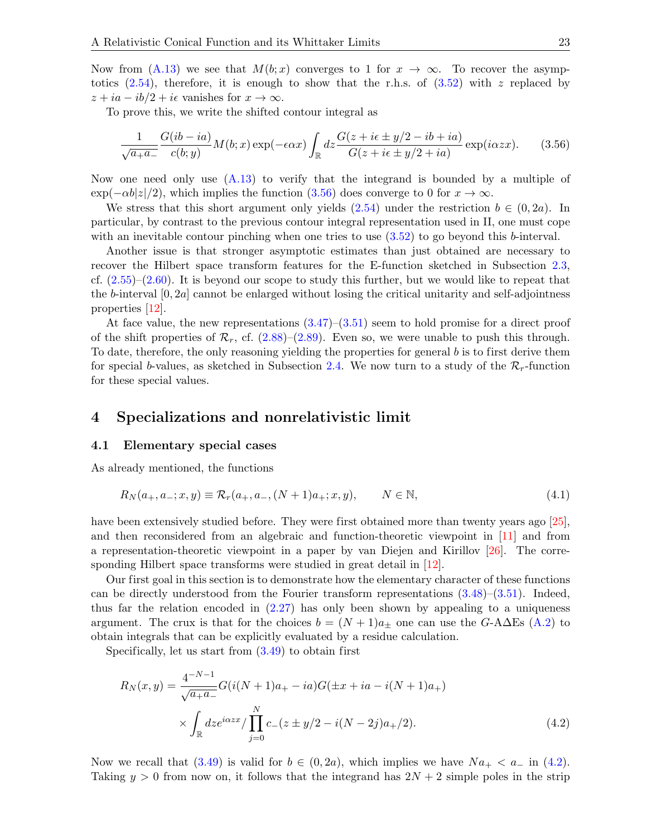Now from [\(A.13\)](#page-43-4) we see that  $M(b; x)$  converges to 1 for  $x \to \infty$ . To recover the asymptotics  $(2.54)$ , therefore, it is enough to show that the r.h.s. of  $(3.52)$  with z replaced by  $z + ia - ib/2 + i\epsilon$  vanishes for  $x \to \infty$ .

To prove this, we write the shifted contour integral as

<span id="page-22-2"></span>
$$
\frac{1}{\sqrt{a_+ a_-}} \frac{G(i b - i a)}{c(b; y)} M(b; x) \exp(-\epsilon \alpha x) \int_{\mathbb{R}} dz \frac{G(z + i \epsilon \pm y/2 - ib + i a)}{G(z + i \epsilon \pm y/2 + i a)} \exp(i \alpha z x). \tag{3.56}
$$

Now one need only use [\(A.13\)](#page-43-4) to verify that the integrand is bounded by a multiple of  $\exp(-\alpha b|z|/2)$ , which implies the function [\(3.56\)](#page-22-2) does converge to 0 for  $x \to \infty$ .

We stress that this short argument only yields  $(2.54)$  under the restriction  $b \in (0, 2a)$ . In particular, by contrast to the previous contour integral representation used in II, one must cope with an inevitable contour pinching when one tries to use  $(3.52)$  to go beyond this b-interval.

Another issue is that stronger asymptotic estimates than just obtained are necessary to recover the Hilbert space transform features for the E-function sketched in Subsection [2.3,](#page-12-0) cf.  $(2.55)-(2.60)$  $(2.55)-(2.60)$ . It is beyond our scope to study this further, but we would like to repeat that the b-interval  $[0, 2a]$  cannot be enlarged without losing the critical unitarity and self-adjointness properties [\[12\]](#page-52-12).

At face value, the new representations  $(3.47)$ – $(3.51)$  seem to hold promise for a direct proof of the shift properties of  $\mathcal{R}_r$ , cf. [\(2.88\)](#page-15-1)–[\(2.89\)](#page-15-0). Even so, we were unable to push this through. To date, therefore, the only reasoning yielding the properties for general  $b$  is to first derive them for special b-values, as sketched in Subsection [2.4.](#page-14-0) We now turn to a study of the  $\mathcal{R}_r$ -function for these special values.

#### <span id="page-22-0"></span>4 Specializations and nonrelativistic limit

#### <span id="page-22-1"></span>4.1 Elementary special cases

As already mentioned, the functions

$$
R_N(a_+, a_-; x, y) \equiv \mathcal{R}_r(a_+, a_-, (N+1)a_+; x, y), \qquad N \in \mathbb{N}, \tag{4.1}
$$

have been extensively studied before. They were first obtained more than twenty years ago [\[25\]](#page-53-7), and then reconsidered from an algebraic and function-theoretic viewpoint in [\[11\]](#page-52-11) and from a representation-theoretic viewpoint in a paper by van Diejen and Kirillov [\[26\]](#page-53-8). The corre-sponding Hilbert space transforms were studied in great detail in [\[12\]](#page-52-12).

Our first goal in this section is to demonstrate how the elementary character of these functions can be directly understood from the Fourier transform representations  $(3.48)$ – $(3.51)$ . Indeed, thus far the relation encoded in [\(2.27\)](#page-8-1) has only been shown by appealing to a uniqueness argument. The crux is that for the choices  $b = (N + 1)a_{\pm}$  one can use the G-A $\Delta$ Es [\(A.2\)](#page-42-1) to obtain integrals that can be explicitly evaluated by a residue calculation.

Specifically, let us start from  $(3.49)$  to obtain first

<span id="page-22-3"></span>
$$
R_N(x,y) = \frac{4^{-N-1}}{\sqrt{a_+ a_-}} G(i(N+1)a_+ - ia)G(\pm x + ia - i(N+1)a_+)
$$
  
 
$$
\times \int_{\mathbb{R}} dz e^{i\alpha z x} / \prod_{j=0}^{N} c_-(z \pm y/2 - i(N-2j)a_+/2).
$$
 (4.2)

Now we recall that [\(3.49\)](#page-21-2) is valid for  $b \in (0, 2a)$ , which implies we have  $Na_+ < a_-$  in [\(4.2\)](#page-22-3). Taking  $y > 0$  from now on, it follows that the integrand has  $2N + 2$  simple poles in the strip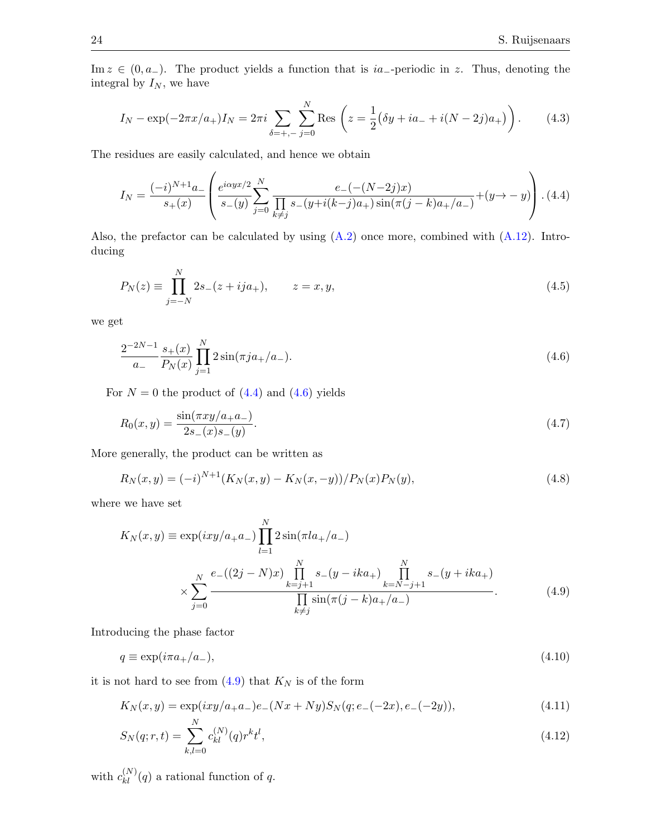Im  $z \in (0, a_-)$ . The product yields a function that is ia<sub>-</sub>-periodic in z. Thus, denoting the integral by  $I_N$ , we have

$$
I_N - \exp(-2\pi x/a_+)I_N = 2\pi i \sum_{\delta = +, -} \sum_{j=0}^N \text{Res}\left(z = \frac{1}{2}(\delta y + ia_- + i(N - 2j)a_+)\right). \tag{4.3}
$$

The residues are easily calculated, and hence we obtain

<span id="page-23-0"></span>
$$
I_N = \frac{(-i)^{N+1}a_+}{s_+(x)} \left( \frac{e^{i\alpha yx/2}}{s_-(y)} \sum_{j=0}^N \frac{e_-(-(N-2j)x)}{\prod_{k\neq j} s_-(y+i(k-j)a_+) \sin(\pi(j-k)a_+/a_-)} + (y \to -y) \right). \tag{4.4}
$$

Also, the prefactor can be calculated by using  $(A.2)$  once more, combined with  $(A.12)$ . Introducing

$$
P_N(z) \equiv \prod_{j=-N}^{N} 2s_{-}(z+ija_{+}), \qquad z = x, y,
$$
\n(4.5)

we get

<span id="page-23-1"></span>
$$
\frac{2^{-2N-1}}{a_{-}}\frac{s_{+}(x)}{P_{N}(x)}\prod_{j=1}^{N}2\sin(\pi ja_{+}/a_{-}).
$$
\n(4.6)

For  $N = 0$  the product of  $(4.4)$  and  $(4.6)$  yields

<span id="page-23-4"></span>
$$
R_0(x,y) = \frac{\sin(\pi xy/a_+ a_-)}{2s_-(x)s_-(y)}.\tag{4.7}
$$

More generally, the product can be written as

$$
R_N(x,y) = (-i)^{N+1} (K_N(x,y) - K_N(x,-y))/P_N(x)P_N(y),
$$
\n(4.8)

where we have set

<span id="page-23-2"></span>
$$
K_N(x,y) \equiv \exp(ixy/a_+a_-) \prod_{l=1}^N 2 \sin(\pi l a_+/a_-)
$$
  

$$
\times \sum_{j=0}^N \frac{e_-((2j-N)x) \prod_{k=j+1}^N s_-(y-ika_+) \prod_{k=N-j+1}^N s_-(y+ika_+)}{\prod_{k\neq j}^N \sin(\pi (j-k)a_+/a_-)}.
$$
(4.9)

Introducing the phase factor

$$
q \equiv \exp(i\pi a_+/a_-),\tag{4.10}
$$

it is not hard to see from  $(4.9)$  that  $K_N$  is of the form

<span id="page-23-3"></span>
$$
K_N(x,y) = \exp(ixy/a_+a_-)e_-(Nx+Ny)S_N(q; e_-(-2x), e_-(-2y)),
$$
\n(4.11)

$$
S_N(q; r, t) = \sum_{k,l=0}^{N} c_{kl}^{(N)}(q) r^k t^l,
$$
\n(4.12)

with  $c_{kl}^{(N)}(q)$  a rational function of q.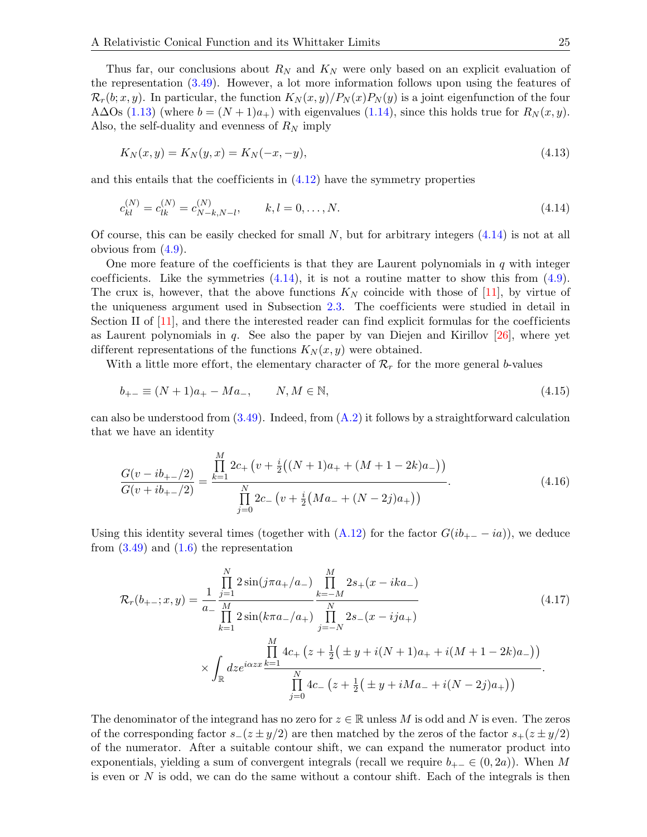Thus far, our conclusions about  $R_N$  and  $K_N$  were only based on an explicit evaluation of the representation [\(3.49\)](#page-21-2). However, a lot more information follows upon using the features of  $\mathcal{R}_r(b; x, y)$ . In particular, the function  $K_N(x, y)/P_N(x)P_N(y)$  is a joint eigenfunction of the four A∆Os [\(1.13\)](#page-3-3) (where  $b = (N + 1)a_+$ ) with eigenvalues [\(1.14\)](#page-3-4), since this holds true for  $R_N(x, y)$ . Also, the self-duality and evenness of  $R_N$  imply

$$
K_N(x, y) = K_N(y, x) = K_N(-x, -y),
$$
\n(4.13)

and this entails that the coefficients in  $(4.12)$  have the symmetry properties

<span id="page-24-0"></span>
$$
c_{kl}^{(N)} = c_{lk}^{(N)} = c_{N-k,N-l}^{(N)}, \qquad k, l = 0, \dots, N.
$$
\n(4.14)

Of course, this can be easily checked for small  $N$ , but for arbitrary integers  $(4.14)$  is not at all obvious from  $(4.9)$ .

One more feature of the coefficients is that they are Laurent polynomials in  $q$  with integer coefficients. Like the symmetries  $(4.14)$ , it is not a routine matter to show this from  $(4.9)$ . The crux is, however, that the above functions  $K_N$  coincide with those of [\[11\]](#page-52-11), by virtue of the uniqueness argument used in Subsection [2.3.](#page-12-0) The coefficients were studied in detail in Section II of  $[11]$ , and there the interested reader can find explicit formulas for the coefficients as Laurent polynomials in  $q$ . See also the paper by van Diejen and Kirillov [\[26\]](#page-53-8), where yet different representations of the functions  $K_N(x, y)$  were obtained.

With a little more effort, the elementary character of  $\mathcal{R}_r$  for the more general b-values

$$
b_{+-} \equiv (N+1)a_+ - Ma_-, \qquad N, M \in \mathbb{N}, \tag{4.15}
$$

can also be understood from  $(3.49)$ . Indeed, from  $(A.2)$  it follows by a straightforward calculation that we have an identity

$$
\frac{G(v - ib_{+-}/2)}{G(v + ib_{+-}/2)} = \frac{\prod_{k=1}^{M} 2c_+ (v + \frac{i}{2}((N+1)a_+ + (M+1-2k)a_-))}{\prod_{j=0}^{N} 2c_- (v + \frac{i}{2}(Ma_- + (N-2j)a_+))}.
$$
\n(4.16)

Using this identity several times (together with  $(A.12)$  for the factor  $G(ib_{+-} - ia)$ ), we deduce from  $(3.49)$  and  $(1.6)$  the representation

<span id="page-24-1"></span>
$$
\mathcal{R}_{r}(b_{+-};x,y) = \frac{1}{a_{-}} \prod_{\substack{j=1 \ j \neq j}}^{N} 2\sin(j\pi a_{+}/a_{-}) \prod_{k=-M}^{M} 2s_{+}(x - ika_{-})
$$
\n
$$
\prod_{k=1}^{N} 2\sin(k\pi a_{-}/a_{+}) \prod_{j=-N}^{N} 2s_{-}(x - ija_{+})
$$
\n
$$
\times \int_{\mathbb{R}} \frac{\prod_{j=1}^{M} 4c_{+}(z + \frac{1}{2}(\pm y + i(N + 1)a_{+} + i(M + 1 - 2k)a_{-}))}{\prod_{j=0}^{N} 4c_{-}(z + \frac{1}{2}(\pm y + iMa_{-} + i(N - 2j)a_{+}))}.
$$
\n(4.17)

The denominator of the integrand has no zero for  $z \in \mathbb{R}$  unless M is odd and N is even. The zeros of the corresponding factor  $s-(z \pm y/2)$  are then matched by the zeros of the factor  $s+(z \pm y/2)$ of the numerator. After a suitable contour shift, we can expand the numerator product into exponentials, yielding a sum of convergent integrals (recall we require  $b_{+-} \in (0, 2a)$ ). When M is even or  $N$  is odd, we can do the same without a contour shift. Each of the integrals is then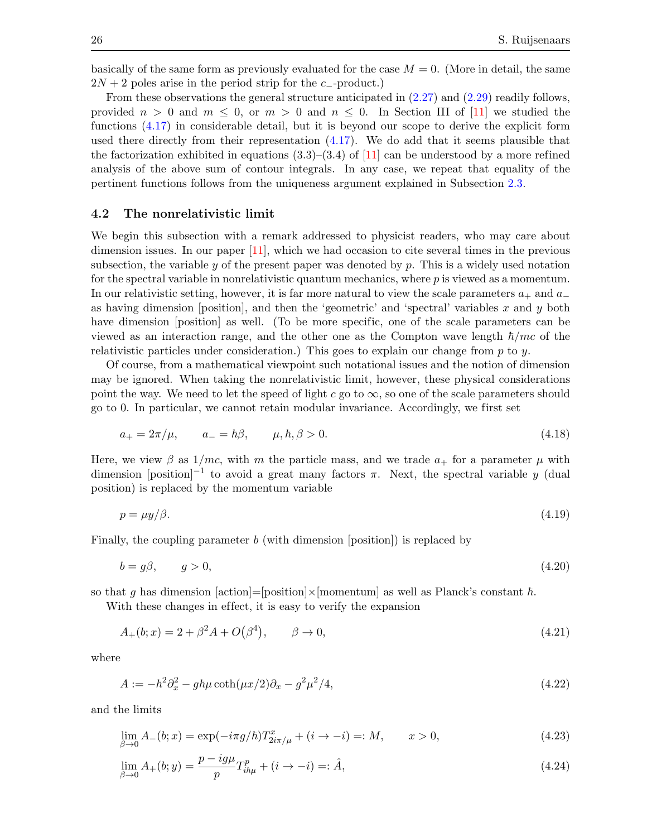basically of the same form as previously evaluated for the case  $M = 0$ . (More in detail, the same  $2N + 2$  poles arise in the period strip for the c<sub>-product</sub>.)

From these observations the general structure anticipated in [\(2.27\)](#page-8-1) and [\(2.29\)](#page-8-3) readily follows, provided  $n > 0$  and  $m \leq 0$ , or  $m > 0$  and  $n \leq 0$ . In Section III of [\[11\]](#page-52-11) we studied the functions [\(4.17\)](#page-24-1) in considerable detail, but it is beyond our scope to derive the explicit form used there directly from their representation [\(4.17\)](#page-24-1). We do add that it seems plausible that the factorization exhibited in equations  $(3.3)$ – $(3.4)$  of [\[11\]](#page-52-11) can be understood by a more refined analysis of the above sum of contour integrals. In any case, we repeat that equality of the pertinent functions follows from the uniqueness argument explained in Subsection [2.3.](#page-12-0)

#### <span id="page-25-0"></span>4.2 The nonrelativistic limit

We begin this subsection with a remark addressed to physicist readers, who may care about dimension issues. In our paper [\[11\]](#page-52-11), which we had occasion to cite several times in the previous subsection, the variable  $y$  of the present paper was denoted by  $p$ . This is a widely used notation for the spectral variable in nonrelativistic quantum mechanics, where p is viewed as a momentum. In our relativistic setting, however, it is far more natural to view the scale parameters  $a_+$  and  $a_$ as having dimension [position], and then the 'geometric' and 'spectral' variables  $x$  and  $y$  both have dimension [position] as well. (To be more specific, one of the scale parameters can be viewed as an interaction range, and the other one as the Compton wave length  $\hbar/mc$  of the relativistic particles under consideration.) This goes to explain our change from  $p$  to  $q$ .

Of course, from a mathematical viewpoint such notational issues and the notion of dimension may be ignored. When taking the nonrelativistic limit, however, these physical considerations point the way. We need to let the speed of light c go to  $\infty$ , so one of the scale parameters should go to 0. In particular, we cannot retain modular invariance. Accordingly, we first set

<span id="page-25-1"></span>
$$
a_{+} = 2\pi/\mu, \qquad a_{-} = \hbar \beta, \qquad \mu, \hbar, \beta > 0. \tag{4.18}
$$

Here, we view  $\beta$  as  $1/mc$ , with m the particle mass, and we trade  $a_+$  for a parameter  $\mu$  with dimension [position]<sup>-1</sup> to avoid a great many factors  $\pi$ . Next, the spectral variable y (dual position) is replaced by the momentum variable

<span id="page-25-3"></span><span id="page-25-2"></span>
$$
p = \mu y/\beta. \tag{4.19}
$$

Finally, the coupling parameter b (with dimension [position]) is replaced by

$$
b = g\beta, \qquad g > 0,\tag{4.20}
$$

so that g has dimension [action]=[position]×[momentum] as well as Planck's constant  $\hbar$ .

With these changes in effect, it is easy to verify the expansion

$$
A_{+}(b;x) = 2 + \beta^{2} A + O(\beta^{4}), \qquad \beta \to 0,
$$
\n(4.21)

where

$$
A := -\hbar^2 \partial_x^2 - g\hbar\mu \coth(\mu x/2)\partial_x - g^2\mu^2/4,\tag{4.22}
$$

and the limits

$$
\lim_{\beta \to 0} A_{-}(b; x) = \exp(-i\pi g/\hbar) T_{2i\pi/\mu}^{x} + (i \to -i) =: M, \qquad x > 0,
$$
\n(4.23)

$$
\lim_{\beta \to 0} A_{+}(b; y) = \frac{p - ig\mu}{p} T_{i\hbar\mu}^{p} + (i \to -i) =: \hat{A}, \tag{4.24}
$$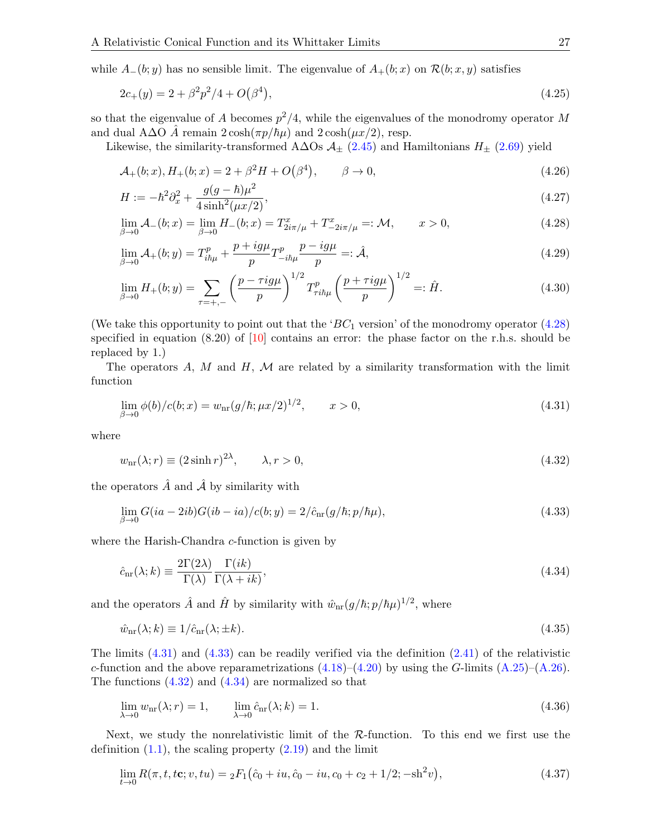while  $A_-(b; y)$  has no sensible limit. The eigenvalue of  $A_+(b; x)$  on  $\mathcal{R}(b; x, y)$  satisfies

<span id="page-26-6"></span>
$$
2c_{+}(y) = 2 + \beta^{2} p^{2}/4 + O(\beta^{4}), \qquad (4.25)
$$

so that the eigenvalue of A becomes  $p^2/4$ , while the eigenvalues of the monodromy operator M and dual A∆O A remain  $2 \cosh(\pi p/\hbar\mu)$  and  $2 \cosh(\mu x/2)$ , resp.

Likewise, the similarity-transformed A∆Os  $\mathcal{A}_{\pm}$  [\(2.45\)](#page-9-5) and Hamiltonians  $H_{\pm}$  [\(2.69\)](#page-12-4) yield

$$
\mathcal{A}_{+}(b;x), H_{+}(b;x) = 2 + \beta^{2}H + O(\beta^{4}), \qquad \beta \to 0,
$$
\n(4.26)

$$
H := -\hbar^2 \partial_x^2 + \frac{g(g - \hbar)\mu^2}{4\sinh^2(\mu x/2)},
$$
\n(4.27)

<span id="page-26-0"></span>
$$
\lim_{\beta \to 0} \mathcal{A}_{-}(b; x) = \lim_{\beta \to 0} H_{-}(b; x) = T_{2i\pi/\mu}^{x} + T_{-2i\pi/\mu}^{x} =: \mathcal{M}, \qquad x > 0,
$$
\n(4.28)

$$
\lim_{\beta \to 0} \mathcal{A}_{+}(b; y) = T_{i\hbar\mu}^{p} + \frac{p + i g \mu}{p} T_{-i\hbar\mu}^{p} \frac{p - i g \mu}{p} =: \hat{\mathcal{A}},\tag{4.29}
$$

$$
\lim_{\beta \to 0} H_{+}(b; y) = \sum_{\tau = +,-} \left( \frac{p - \tau i g \mu}{p} \right)^{1/2} T_{\tau i \hbar \mu}^{p} \left( \frac{p + \tau i g \mu}{p} \right)^{1/2} =: \hat{H}.
$$
\n(4.30)

(We take this opportunity to point out that the ' $BC_1$  version' of the monodromy operator [\(4.28\)](#page-26-0) specified in equation  $(8.20)$  of  $[10]$  contains an error: the phase factor on the r.h.s. should be replaced by 1.)

The operators  $A$ ,  $M$  and  $H$ ,  $M$  are related by a similarity transformation with the limit function

<span id="page-26-1"></span>
$$
\lim_{\beta \to 0} \phi(b)/c(b; x) = w_{\text{nr}}(g/\hbar; \mu x/2)^{1/2}, \qquad x > 0,
$$
\n(4.31)

where

<span id="page-26-3"></span>
$$
w_{\rm nr}(\lambda; r) \equiv (2\sinh r)^{2\lambda}, \qquad \lambda, r > 0,
$$
\n(4.32)

the operators  $\hat{A}$  and  $\hat{A}$  by similarity with

<span id="page-26-2"></span>
$$
\lim_{\beta \to 0} G(ia - 2ib)G(ib - ia)/c(b; y) = 2/\hat{c}_{\text{nr}}(g/\hbar; p/\hbar\mu),\tag{4.33}
$$

where the Harish-Chandra c-function is given by

<span id="page-26-4"></span>
$$
\hat{c}_{\text{nr}}(\lambda; k) \equiv \frac{2\Gamma(2\lambda)}{\Gamma(\lambda)} \frac{\Gamma(ik)}{\Gamma(\lambda + ik)},\tag{4.34}
$$

and the operators  $\hat{A}$  and  $\hat{H}$  by similarity with  $\hat{w}_{nr}(g/\hbar; p/\hbar\mu)^{1/2}$ , where

$$
\hat{w}_{\text{nr}}(\lambda; k) \equiv 1/\hat{c}_{\text{nr}}(\lambda; \pm k). \tag{4.35}
$$

The limits  $(4.31)$  and  $(4.33)$  can be readily verified via the definition  $(2.41)$  of the relativistic c-function and the above reparametrizations  $(4.18)$ – $(4.20)$  by using the G-limits  $(A.25)$ – $(A.26)$ . The functions  $(4.32)$  and  $(4.34)$  are normalized so that

$$
\lim_{\lambda \to 0} w_{\text{nr}}(\lambda; r) = 1, \qquad \lim_{\lambda \to 0} \hat{c}_{\text{nr}}(\lambda; k) = 1.
$$
\n(4.36)

Next, we study the nonrelativistic limit of the  $\mathcal{R}\text{-function}$ . To this end we first use the definition  $(1.1)$ , the scaling property  $(2.19)$  and the limit

<span id="page-26-5"></span>
$$
\lim_{t \to 0} R(\pi, t, t\mathbf{c}; v, tu) = {}_2F_1(\hat{c}_0 + iu, \hat{c}_0 - iu, c_0 + c_2 + 1/2; -\mathrm{sh}^2 v), \tag{4.37}
$$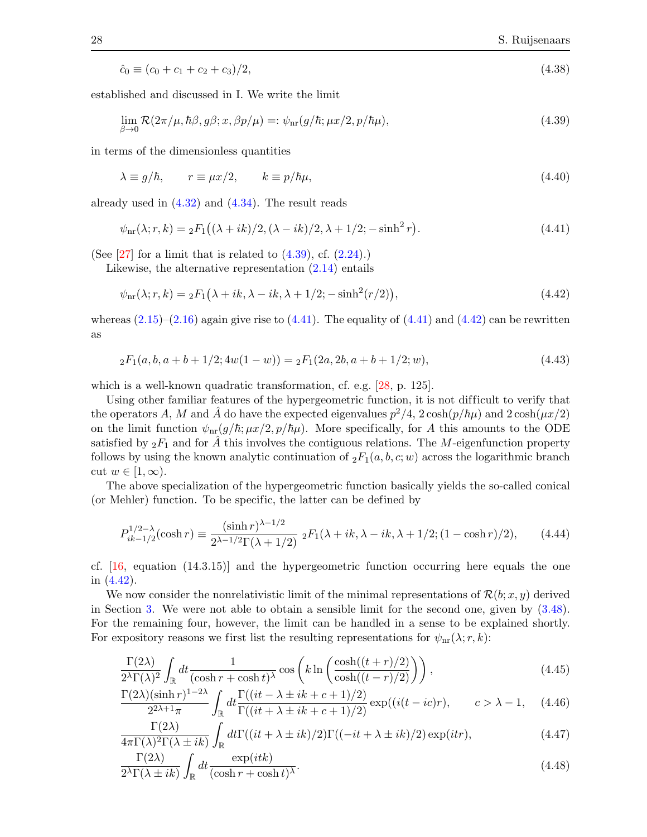$$
\hat{c}_0 \equiv (c_0 + c_1 + c_2 + c_3)/2,\tag{4.38}
$$

established and discussed in I. We write the limit

<span id="page-27-2"></span>
$$
\lim_{\beta \to 0} \mathcal{R}(2\pi/\mu, \hbar \beta, g\beta; x, \beta p/\mu) =: \psi_{\text{nr}}(g/\hbar; \mu x/2, p/\hbar \mu), \tag{4.39}
$$

in terms of the dimensionless quantities

<span id="page-27-7"></span>
$$
\lambda \equiv g/\hbar, \qquad r \equiv \mu x/2, \qquad k \equiv p/\hbar \mu, \tag{4.40}
$$

already used in  $(4.32)$  and  $(4.34)$ . The result reads

<span id="page-27-3"></span>
$$
\psi_{\rm nr}(\lambda; r, k) = {}_2F_1((\lambda + ik)/2, (\lambda - ik)/2, \lambda + 1/2; -\sinh^2 r). \tag{4.41}
$$

(See  $[27]$  for a limit that is related to  $(4.39)$ , cf.  $(2.24)$ .)

Likewise, the alternative representation [\(2.14\)](#page-6-4) entails

<span id="page-27-4"></span>
$$
\psi_{\text{nr}}(\lambda; r, k) = {}_2F_1\big(\lambda + ik, \lambda - ik, \lambda + 1/2; -\sinh^2(r/2)\big),\tag{4.42}
$$

whereas  $(2.15)-(2.16)$  $(2.15)-(2.16)$  again give rise to  $(4.41)$ . The equality of  $(4.41)$  and  $(4.42)$  can be rewritten as

$$
{}_{2}F_{1}(a,b,a+b+1/2;4w(1-w)) = {}_{2}F_{1}(2a,2b,a+b+1/2;w), \qquad (4.43)
$$

which is a well-known quadratic transformation, cf. e.g. [\[28,](#page-53-10) p. 125].

Using other familiar features of the hypergeometric function, it is not dif ficult to verify that the operators A, M and  $\hat{A}$  do have the expected eigenvalues  $p^2/4$ ,  $2\cosh(p/\hbar\mu)$  and  $2\cosh(\mu x/2)$ on the limit function  $\psi_{nr}(g/\hbar;\mu x/2,p/\hbar\mu)$ . More specifically, for A this amounts to the ODE satisfied by  ${}_2F_1$  and for A this involves the contiguous relations. The M-eigenfunction property follows by using the known analytic continuation of  $_2F_1(a, b, c; w)$  across the logarithmic branch cut  $w \in [1,\infty)$ .

The above specialization of the hypergeometric function basically yields the so-called conical (or Mehler) function. To be specific, the latter can be defined by

$$
P_{ik-1/2}^{1/2-\lambda}(\cosh r) \equiv \frac{(\sinh r)^{\lambda - 1/2}}{2^{\lambda - 1/2}\Gamma(\lambda + 1/2)} \; {}_2F_1(\lambda + ik, \lambda - ik, \lambda + 1/2; (1 - \cosh r)/2), \qquad (4.44)
$$

cf.  $[16, \text{ equation } (14.3.15)]$  and the hypergeometric function occurring here equals the one in [\(4.42\)](#page-27-4).

We now consider the nonrelativistic limit of the minimal representations of  $\mathcal{R}(b; x, y)$  derived in Section [3.](#page-16-0) We were not able to obtain a sensible limit for the second one, given by [\(3.48\)](#page-21-1). For the remaining four, however, the limit can be handled in a sense to be explained shortly. For expository reasons we first list the resulting representations for  $\psi_{nn}(\lambda; r, k)$ :

<span id="page-27-0"></span>
$$
\frac{\Gamma(2\lambda)}{2^{\lambda}\Gamma(\lambda)^{2}} \int_{\mathbb{R}} dt \frac{1}{(\cosh r + \cosh t)^{\lambda}} \cos\left(k \ln\left(\frac{\cosh((t+r)/2)}{\cosh((t-r)/2)}\right)\right),\tag{4.45}
$$

<span id="page-27-6"></span>
$$
\frac{\Gamma(2\lambda)(\sinh r)^{1-2\lambda}}{2^{2\lambda+1}\pi} \int_{\mathbb{R}} dt \frac{\Gamma((it-\lambda\pm ik+c+1)/2)}{\Gamma((it+\lambda\pm ik+c+1)/2)} \exp((i(t-ic)r), \qquad c > \lambda - 1,\tag{4.46}
$$

<span id="page-27-5"></span>
$$
\frac{\Gamma(2\lambda)}{4\pi\Gamma(\lambda)^2\Gamma(\lambda\pm ik)}\int_{\mathbb{R}}dt\Gamma((it+\lambda\pm ik)/2)\Gamma((-it+\lambda\pm ik)/2)\exp(itr),\tag{4.47}
$$

<span id="page-27-1"></span>
$$
\frac{\Gamma(2\lambda)}{2^{\lambda}\Gamma(\lambda \pm ik)} \int_{\mathbb{R}} dt \frac{\exp(itk)}{(\cosh r + \cosh t)^{\lambda}}.
$$
\n(4.48)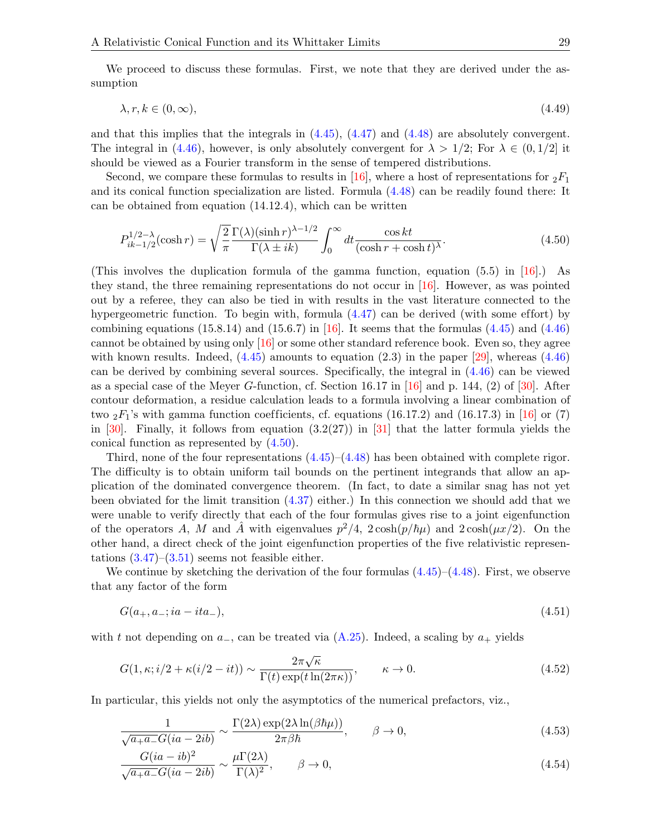We proceed to discuss these formulas. First, we note that they are derived under the assumption

$$
\lambda, r, k \in (0, \infty), \tag{4.49}
$$

and that this implies that the integrals in  $(4.45)$ ,  $(4.47)$  and  $(4.48)$  are absolutely convergent. The integral in [\(4.46\)](#page-27-6), however, is only absolutely convergent for  $\lambda > 1/2$ ; For  $\lambda \in (0, 1/2]$  it should be viewed as a Fourier transform in the sense of tempered distributions.

Second, we compare these formulas to results in [\[16\]](#page-52-16), where a host of representations for  ${}_2F_1$ and its conical function specialization are listed. Formula [\(4.48\)](#page-27-1) can be readily found there: It can be obtained from equation (14.12.4), which can be written

<span id="page-28-0"></span>
$$
P_{ik-1/2}^{1/2-\lambda}(\cosh r) = \sqrt{\frac{2}{\pi}} \frac{\Gamma(\lambda)(\sinh r)^{\lambda-1/2}}{\Gamma(\lambda \pm ik)} \int_0^\infty dt \frac{\cos kt}{(\cosh r + \cosh t)^\lambda}.
$$
 (4.50)

(This involves the duplication formula of the gamma function, equation  $(5.5)$  in [\[16\]](#page-52-16).) As they stand, the three remaining representations do not occur in [\[16\]](#page-52-16). However, as was pointed out by a referee, they can also be tied in with results in the vast literature connected to the hypergeometric function. To begin with, formula  $(4.47)$  can be derived (with some effort) by combining equations  $(15.8.14)$  and  $(15.6.7)$  in [\[16\]](#page-52-16). It seems that the formulas  $(4.45)$  and  $(4.46)$ cannot be obtained by using only [\[16\]](#page-52-16) or some other standard reference book. Even so, they agree with known results. Indeed,  $(4.45)$  amounts to equation  $(2.3)$  in the paper [\[29\]](#page-53-11), whereas  $(4.46)$ can be derived by combining several sources. Specifically, the integral in [\(4.46\)](#page-27-6) can be viewed as a special case of the Meyer G-function, cf. Section 16.17 in [\[16\]](#page-52-16) and p. 144, (2) of [\[30\]](#page-53-12). After contour deformation, a residue calculation leads to a formula involving a linear combination of two  $_2F_1$ 's with gamma function coefficients, cf. equations (16.17.2) and (16.17.3) in [\[16\]](#page-52-16) or (7) in [\[30\]](#page-53-12). Finally, it follows from equation  $(3.2(27))$  in [\[31\]](#page-53-13) that the latter formula yields the conical function as represented by [\(4.50\)](#page-28-0).

Third, none of the four representations  $(4.45)-(4.48)$  $(4.45)-(4.48)$  has been obtained with complete rigor. The difficulty is to obtain uniform tail bounds on the pertinent integrands that allow an application of the dominated convergence theorem. (In fact, to date a similar snag has not yet been obviated for the limit transition [\(4.37\)](#page-26-5) either.) In this connection we should add that we were unable to verify directly that each of the four formulas gives rise to a joint eigenfunction of the operators A, M and  $\hat{A}$  with eigenvalues  $p^2/4$ ,  $2\cosh(p/\hbar\mu)$  and  $2\cosh(\mu x/2)$ . On the other hand, a direct check of the joint eigenfunction properties of the five relativistic representations  $(3.47)$ – $(3.51)$  seems not feasible either.

We continue by sketching the derivation of the four formulas  $(4.45)-(4.48)$  $(4.45)-(4.48)$ . First, we observe that any factor of the form

$$
G(a_+, a_-; ia - ita_-),\tag{4.51}
$$

with t not depending on  $a_-,$  can be treated via  $(A.25)$ . Indeed, a scaling by  $a_+$  yields

$$
G(1, \kappa; i/2 + \kappa(i/2 - it)) \sim \frac{2\pi\sqrt{\kappa}}{\Gamma(t)\exp(t\ln(2\pi\kappa))}, \qquad \kappa \to 0.
$$
 (4.52)

In particular, this yields not only the asymptotics of the numerical prefactors, viz.,

$$
\frac{1}{\sqrt{a_+ a_-} G(ia - 2ib)} \sim \frac{\Gamma(2\lambda) \exp(2\lambda \ln(\beta \hbar \mu))}{2\pi \beta \hbar}, \qquad \beta \to 0,
$$
\n(4.53)

$$
\frac{G(ia - ib)^2}{\sqrt{a_+ a_-} G(ia - 2ib)} \sim \frac{\mu \Gamma(2\lambda)}{\Gamma(\lambda)^2}, \qquad \beta \to 0,
$$
\n(4.54)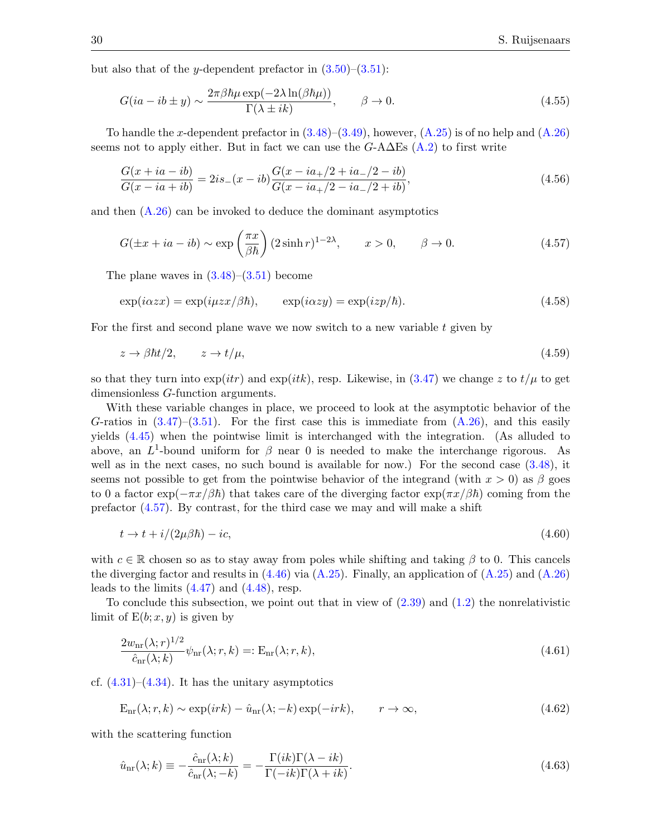but also that of the y-dependent prefactor in  $(3.50)$ – $(3.51)$ :

$$
G(ia - ib \pm y) \sim \frac{2\pi\beta\hbar\mu\exp(-2\lambda\ln(\beta\hbar\mu))}{\Gamma(\lambda \pm ik)}, \qquad \beta \to 0.
$$
 (4.55)

To handle the x-dependent prefactor in  $(3.48)$ – $(3.49)$ , however,  $(A.25)$  is of no help and  $(A.26)$ seems not to apply either. But in fact we can use the  $G$ -A $\Delta$ Es [\(A.2\)](#page-42-1) to first write

$$
\frac{G(x+ia-ib)}{G(x-ia+ib)} = 2is_-(x-ib)\frac{G(x-ia_+/2+ia_-/2-ib)}{G(x-ia_+/2-ia_-/2+ib)},
$$
\n(4.56)

and then  $(A.26)$  can be invoked to deduce the dominant asymptotics

<span id="page-29-0"></span>
$$
G(\pm x + ia - ib) \sim \exp\left(\frac{\pi x}{\beta \hbar}\right) (2\sinh r)^{1-2\lambda}, \qquad x > 0, \qquad \beta \to 0.
$$
 (4.57)

The plane waves in  $(3.48)$ – $(3.51)$  become

$$
\exp(i\alpha zx) = \exp(i\mu zx/\beta\hbar), \qquad \exp(i\alpha zy) = \exp(izp/\hbar). \tag{4.58}
$$

For the first and second plane wave we now switch to a new variable  $t$  given by

$$
z \to \beta \hbar t/2, \qquad z \to t/\mu,\tag{4.59}
$$

so that they turn into  $\exp(itr)$  and  $\exp(itk)$ , resp. Likewise, in [\(3.47\)](#page-20-0) we change z to  $t/\mu$  to get dimensionless G-function arguments.

With these variable changes in place, we proceed to look at the asymptotic behavior of the G-ratios in  $(3.47)$ – $(3.51)$ . For the first case this is immediate from  $(A.26)$ , and this easily yields [\(4.45\)](#page-27-0) when the pointwise limit is interchanged with the integration. (As alluded to above, an  $L^1$ -bound uniform for  $\beta$  near 0 is needed to make the interchange rigorous. As well as in the next cases, no such bound is available for now.) For the second case  $(3.48)$ , it seems not possible to get from the pointwise behavior of the integrand (with  $x > 0$ ) as β goes to 0 a factor  $\exp(-\pi x/\beta \hbar)$  that takes care of the diverging factor  $\exp(\pi x/\beta \hbar)$  coming from the prefactor [\(4.57\)](#page-29-0). By contrast, for the third case we may and will make a shift

$$
t \to t + i/(2\mu\beta\hbar) - ic,\tag{4.60}
$$

with  $c \in \mathbb{R}$  chosen so as to stay away from poles while shifting and taking  $\beta$  to 0. This cancels the diverging factor and results in  $(4.46)$  via  $(A.25)$ . Finally, an application of  $(A.25)$  and  $(A.26)$ leads to the limits  $(4.47)$  and  $(4.48)$ , resp.

To conclude this subsection, we point out that in view of [\(2.39\)](#page-9-2) and [\(1.2\)](#page-1-2) the nonrelativistic limit of  $E(b; x, y)$  is given by

$$
\frac{2w_{\text{nr}}(\lambda; r)^{1/2}}{\hat{c}_{\text{nr}}(\lambda; k)} \psi_{\text{nr}}(\lambda; r, k) =: \mathcal{E}_{\text{nr}}(\lambda; r, k), \qquad (4.61)
$$

cf.  $(4.31)$ – $(4.34)$ . It has the unitary asymptotics

$$
E_{nr}(\lambda; r, k) \sim \exp(irk) - \hat{u}_{nr}(\lambda; -k) \exp(-irk), \qquad r \to \infty,
$$
\n(4.62)

with the scattering function

$$
\hat{u}_{\text{nr}}(\lambda; k) \equiv -\frac{\hat{c}_{\text{nr}}(\lambda; k)}{\hat{c}_{\text{nr}}(\lambda; -k)} = -\frac{\Gamma(ik)\Gamma(\lambda - ik)}{\Gamma(-ik)\Gamma(\lambda + ik)}.
$$
\n(4.63)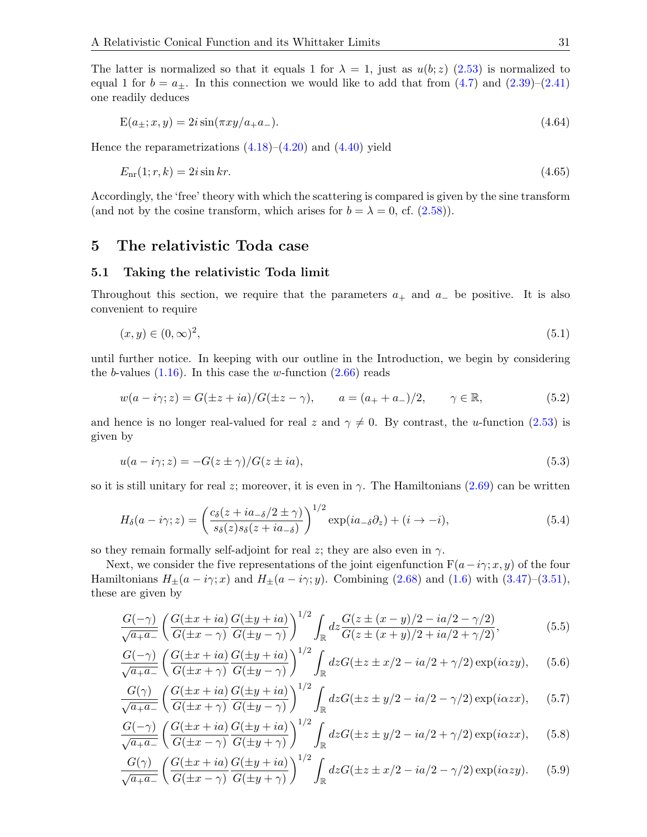The latter is normalized so that it equals 1 for  $\lambda = 1$ , just as  $u(b; z)$  [\(2.53\)](#page-10-3) is normalized to equal 1 for  $b = a_{\pm}$ . In this connection we would like to add that from  $(4.7)$  and  $(2.39)-(2.41)$  $(2.39)-(2.41)$ one readily deduces

$$
E(a_{\pm}; x, y) = 2i \sin(\pi x y / a_{+} a_{-}). \tag{4.64}
$$

Hence the reparametrizations  $(4.18)$ – $(4.20)$  and  $(4.40)$  yield

$$
E_{\rm nr}(1;r,k) = 2i\sin kr.\tag{4.65}
$$

Accordingly, the 'free' theory with which the scattering is compared is given by the sine transform (and not by the cosine transform, which arises for  $b = \lambda = 0$ , cf. [\(2.58\)](#page-11-1)).

#### <span id="page-30-0"></span>5 The relativistic Toda case

#### <span id="page-30-1"></span>5.1 Taking the relativistic Toda limit

Throughout this section, we require that the parameters  $a_+$  and  $a_-$  be positive. It is also convenient to require

$$
(x, y) \in (0, \infty)^2,\tag{5.1}
$$

until further notice. In keeping with our outline in the Introduction, we begin by considering the b-values  $(1.16)$ . In this case the w-function  $(2.66)$  reads

$$
w(a - i\gamma; z) = G(\pm z + ia)/G(\pm z - \gamma), \qquad a = (a_+ + a_-)/2, \qquad \gamma \in \mathbb{R},
$$
\n(5.2)

and hence is no longer real-valued for real z and  $\gamma \neq 0$ . By contrast, the u-function [\(2.53\)](#page-10-3) is given by

<span id="page-30-6"></span>
$$
u(a - i\gamma; z) = -G(z \pm \gamma)/G(z \pm ia),\tag{5.3}
$$

so it is still unitary for real z; moreover, it is even in  $\gamma$ . The Hamiltonians [\(2.69\)](#page-12-4) can be written

$$
H_{\delta}(a - i\gamma; z) = \left(\frac{c_{\delta}(z + ia_{-\delta}/2 \pm \gamma)}{s_{\delta}(z)s_{\delta}(z + ia_{-\delta})}\right)^{1/2} \exp(ia_{-\delta}\partial_z) + (i \to -i),\tag{5.4}
$$

so they remain formally self-adjoint for real z; they are also even in  $\gamma$ .

Next, we consider the five representations of the joint eigenfunction  $F(a-i\gamma; x, y)$  of the four Hamiltonians  $H_{\pm}(a - i\gamma; x)$  and  $H_{\pm}(a - i\gamma; y)$ . Combining [\(2.68\)](#page-11-2) and [\(1.6\)](#page-2-0) with [\(3.47\)](#page-20-0)–[\(3.51\)](#page-21-0), these are given by

<span id="page-30-7"></span>
$$
\frac{G(-\gamma)}{\sqrt{a_+ a_-}} \left( \frac{G(\pm x + ia)}{G(\pm x - \gamma)} \frac{G(\pm y + ia)}{G(\pm y - \gamma)} \right)^{1/2} \int_{\mathbb{R}} dz \frac{G(z \pm (x - y)/2 - ia/2 - \gamma/2)}{G(z \pm (x + y)/2 + ia/2 + \gamma/2)},\tag{5.5}
$$

<span id="page-30-4"></span>
$$
\frac{G(-\gamma)}{\sqrt{a_+ a_-}} \left( \frac{G(\pm x + ia)}{G(\pm x + \gamma)} \frac{G(\pm y + ia)}{G(\pm y - \gamma)} \right)^{1/2} \int_{\mathbb{R}} dz G(\pm z \pm x/2 - ia/2 + \gamma/2) \exp(i\alpha z y), \quad (5.6)
$$

<span id="page-30-2"></span>
$$
\frac{G(\gamma)}{\sqrt{a_+ a_-}} \left( \frac{G(\pm x + ia)}{G(\pm x + \gamma)} \frac{G(\pm y + ia)}{G(\pm y - \gamma)} \right)^{1/2} \int_{\mathbb{R}} dz G(\pm z \pm y/2 - ia/2 - \gamma/2) \exp(i\alpha z x), \quad (5.7)
$$

<span id="page-30-3"></span>
$$
\frac{G(-\gamma)}{\sqrt{a_+ a_-}} \left( \frac{G(\pm x + ia)}{G(\pm x - \gamma)} \frac{G(\pm y + ia)}{G(\pm y + \gamma)} \right)^{1/2} \int_{\mathbb{R}} dz G(\pm z \pm y/2 - ia/2 + \gamma/2) \exp(i\alpha z x), \quad (5.8)
$$

<span id="page-30-5"></span>
$$
\frac{G(\gamma)}{\sqrt{a_+ a_-}} \left( \frac{G(\pm x + ia)}{G(\pm x - \gamma)} \frac{G(\pm y + ia)}{G(\pm y + \gamma)} \right)^{1/2} \int_{\mathbb{R}} dz G(\pm z \pm x/2 - ia/2 - \gamma/2) \exp(i\alpha z y). \tag{5.9}
$$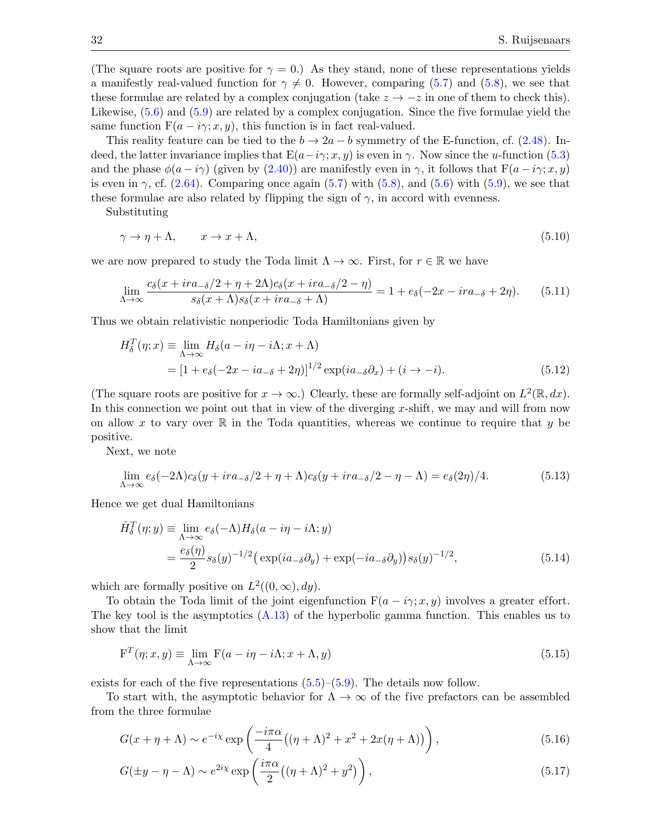(The square roots are positive for  $\gamma = 0$ .) As they stand, none of these representations yields a manifestly real-valued function for  $\gamma \neq 0$ . However, comparing [\(5.7\)](#page-30-2) and [\(5.8\)](#page-30-3), we see that these formulae are related by a complex conjugation (take  $z \to -z$  in one of them to check this). Likewise, [\(5.6\)](#page-30-4) and [\(5.9\)](#page-30-5) are related by a complex conjugation. Since the five formulae yield the same function  $F(a - i\gamma; x, y)$ , this function is in fact real-valued.

This reality feature can be tied to the  $b \to 2a - b$  symmetry of the E-function, cf. [\(2.48\)](#page-10-2). Indeed, the latter invariance implies that  $E(a-i\gamma; x, y)$  is even in  $\gamma$ . Now since the u-function [\(5.3\)](#page-30-6) and the phase  $\phi(a - i\gamma)$  (given by [\(2.40\)](#page-9-4)) are manifestly even in  $\gamma$ , it follows that  $F(a - i\gamma; x, y)$ is even in  $\gamma$ , cf. [\(2.64\)](#page-11-5). Comparing once again [\(5.7\)](#page-30-2) with [\(5.8\)](#page-30-3), and [\(5.6\)](#page-30-4) with [\(5.9\)](#page-30-5), we see that these formulae are also related by flipping the sign of  $\gamma$ , in accord with evenness.

Substituting

<span id="page-31-0"></span>
$$
\gamma \to \eta + \Lambda, \qquad x \to x + \Lambda,\tag{5.10}
$$

we are now prepared to study the Toda limit  $\Lambda \to \infty$ . First, for  $r \in \mathbb{R}$  we have

<span id="page-31-3"></span>
$$
\lim_{\Lambda \to \infty} \frac{c_{\delta}(x + ir a_{-\delta}/2 + \eta + 2\Lambda)c_{\delta}(x + ir a_{-\delta}/2 - \eta)}{s_{\delta}(x + \Lambda)s_{\delta}(x + ir a_{-\delta} + \Lambda)} = 1 + e_{\delta}(-2x - ir a_{-\delta} + 2\eta). \tag{5.11}
$$

Thus we obtain relativistic nonperiodic Toda Hamiltonians given by

<span id="page-31-2"></span>
$$
H_{\delta}^{T}(\eta; x) \equiv \lim_{\Lambda \to \infty} H_{\delta}(a - i\eta - i\Lambda; x + \Lambda)
$$
  
= 
$$
[1 + e_{\delta}(-2x - ia_{-\delta} + 2\eta)]^{1/2} \exp(ia_{-\delta}\partial_{x}) + (i \to -i).
$$
 (5.12)

(The square roots are positive for  $x \to \infty$ .) Clearly, these are formally self-adjoint on  $L^2(\mathbb{R}, dx)$ . In this connection we point out that in view of the diverging x-shift, we may and will from now on allow x to vary over  $\mathbb R$  in the Toda quantities, whereas we continue to require that y be positive.

Next, we note

$$
\lim_{\Lambda \to \infty} e_{\delta}(-2\Lambda)c_{\delta}(y + ir_{-\delta}/2 + \eta + \Lambda)c_{\delta}(y + ir_{-\delta}/2 - \eta - \Lambda) = e_{\delta}(2\eta)/4. \tag{5.13}
$$

Hence we get dual Hamiltonians

<span id="page-31-4"></span>
$$
\hat{H}_{\delta}^{T}(\eta; y) \equiv \lim_{\Lambda \to \infty} e_{\delta}(-\Lambda) H_{\delta}(a - i\eta - i\Lambda; y) \n= \frac{e_{\delta}(\eta)}{2} s_{\delta}(y)^{-1/2} \left( \exp(ia_{\delta}\partial_{y}) + \exp(-ia_{\delta}\partial_{y}) \right) s_{\delta}(y)^{-1/2},
$$
\n(5.14)

which are formally positive on  $L^2((0,\infty), dy)$ .

To obtain the Toda limit of the joint eigenfunction  $F(a - i\gamma; x, y)$  involves a greater effort. The key tool is the asymptotics  $(A.13)$  of the hyperbolic gamma function. This enables us to show that the limit

$$
\mathbf{F}^{T}(\eta; x, y) \equiv \lim_{\Lambda \to \infty} \mathbf{F}(a - i\eta - i\Lambda; x + \Lambda, y)
$$
\n(5.15)

exists for each of the five representations  $(5.5)$ – $(5.9)$ . The details now follow.

To start with, the asymptotic behavior for  $\Lambda \to \infty$  of the five prefactors can be assembled from the three formulae

<span id="page-31-1"></span>
$$
G(x + \eta + \Lambda) \sim e^{-i\chi} \exp\left(\frac{-i\pi\alpha}{4} \left((\eta + \Lambda)^2 + x^2 + 2x(\eta + \Lambda)\right)\right),\tag{5.16}
$$

$$
G(\pm y - \eta - \Lambda) \sim e^{2i\chi} \exp\left(\frac{i\pi\alpha}{2}((\eta + \Lambda)^2 + y^2)\right),\tag{5.17}
$$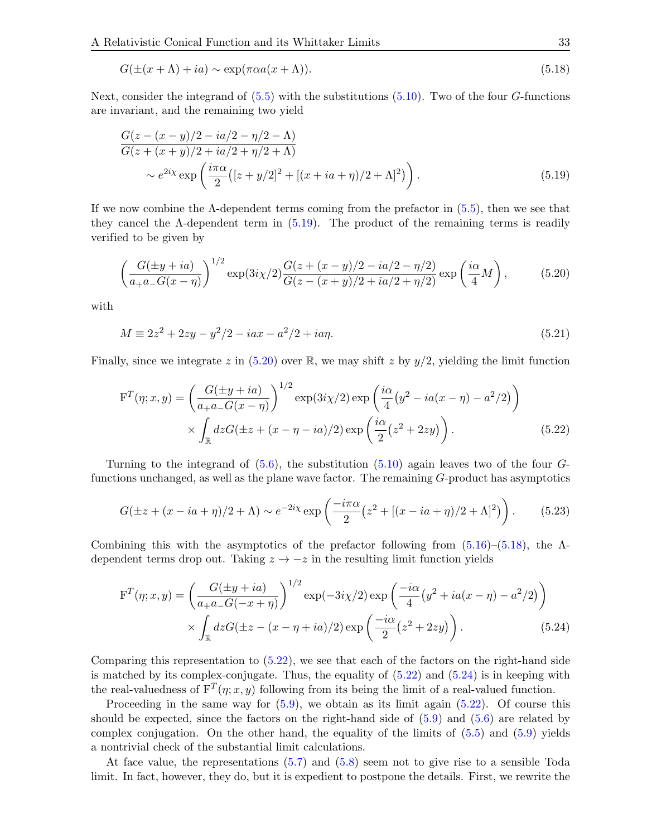<span id="page-32-2"></span>
$$
G(\pm(x+\Lambda) + ia) \sim \exp(\pi \alpha a(x+\Lambda)).
$$
\n(5.18)

Next, consider the integrand of  $(5.5)$  with the substitutions  $(5.10)$ . Two of the four G-functions are invariant, and the remaining two yield

<span id="page-32-0"></span>
$$
\frac{G(z - (x - y)/2 - ia/2 - \eta/2 - \Lambda)}{G(z + (x + y)/2 + ia/2 + \eta/2 + \Lambda)}
$$
  
\$\sim e^{2i\chi} \exp\left(\frac{i\pi\alpha}{2}([z + y/2]^2 + [(x + ia + \eta)/2 + \Lambda]^2)\right).\$ (5.19)

If we now combine the  $\Lambda$ -dependent terms coming from the prefactor in  $(5.5)$ , then we see that they cancel the  $\Lambda$ -dependent term in  $(5.19)$ . The product of the remaining terms is readily verified to be given by

<span id="page-32-1"></span>
$$
\left(\frac{G(\pm y + ia)}{a_+ a_- G(x - \eta)}\right)^{1/2} \exp(3i\chi/2) \frac{G(z + (x - y)/2 - ia/2 - \eta/2)}{G(z - (x + y)/2 + ia/2 + \eta/2)} \exp\left(\frac{i\alpha}{4}M\right),\tag{5.20}
$$

with

$$
M \equiv 2z^2 + 2zy - y^2/2 - iax - a^2/2 + ia\eta.
$$
\n(5.21)

Finally, since we integrate z in  $(5.20)$  over R, we may shift z by  $y/2$ , yielding the limit function

<span id="page-32-3"></span>
$$
F^{T}(\eta; x, y) = \left(\frac{G(\pm y + ia)}{a_{+}a_{-}G(x - \eta)}\right)^{1/2} \exp(3i\chi/2) \exp\left(\frac{i\alpha}{4}(y^{2} - ia(x - \eta) - a^{2}/2)\right) \times \int_{\mathbb{R}} dz G(\pm z + (x - \eta - ia)/2) \exp\left(\frac{i\alpha}{2}(z^{2} + 2zy)\right).
$$
 (5.22)

Turning to the integrand of  $(5.6)$ , the substitution  $(5.10)$  again leaves two of the four  $G$ functions unchanged, as well as the plane wave factor. The remaining G-product has asymptotics

$$
G(\pm z + (x - ia + \eta)/2 + \Lambda) \sim e^{-2ix} \exp\left(\frac{-i\pi\alpha}{2} (z^2 + [(x - ia + \eta)/2 + \Lambda]^2)\right). \tag{5.23}
$$

Combining this with the asymptotics of the prefactor following from  $(5.16)$ – $(5.18)$ , the  $\Lambda$ dependent terms drop out. Taking  $z \rightarrow -z$  in the resulting limit function yields

<span id="page-32-4"></span>
$$
F^{T}(\eta; x, y) = \left(\frac{G(\pm y + ia)}{a_{+}a_{-}G(-x + \eta)}\right)^{1/2} \exp(-3i\chi/2) \exp\left(\frac{-i\alpha}{4}(y^{2} + ia(x - \eta) - a^{2}/2)\right) \times \int_{\mathbb{R}} dz G(\pm z - (x - \eta + ia)/2) \exp\left(\frac{-i\alpha}{2}(z^{2} + 2zy)\right).
$$
 (5.24)

Comparing this representation to  $(5.22)$ , we see that each of the factors on the right-hand side is matched by its complex-conjugate. Thus, the equality of  $(5.22)$  and  $(5.24)$  is in keeping with the real-valuedness of  $F^{T}(\eta; x, y)$  following from its being the limit of a real-valued function.

Proceeding in the same way for  $(5.9)$ , we obtain as its limit again  $(5.22)$ . Of course this should be expected, since the factors on the right-hand side of  $(5.9)$  and  $(5.6)$  are related by complex conjugation. On the other hand, the equality of the limits of  $(5.5)$  and  $(5.9)$  yields a nontrivial check of the substantial limit calculations.

At face value, the representations [\(5.7\)](#page-30-2) and [\(5.8\)](#page-30-3) seem not to give rise to a sensible Toda limit. In fact, however, they do, but it is expedient to postpone the details. First, we rewrite the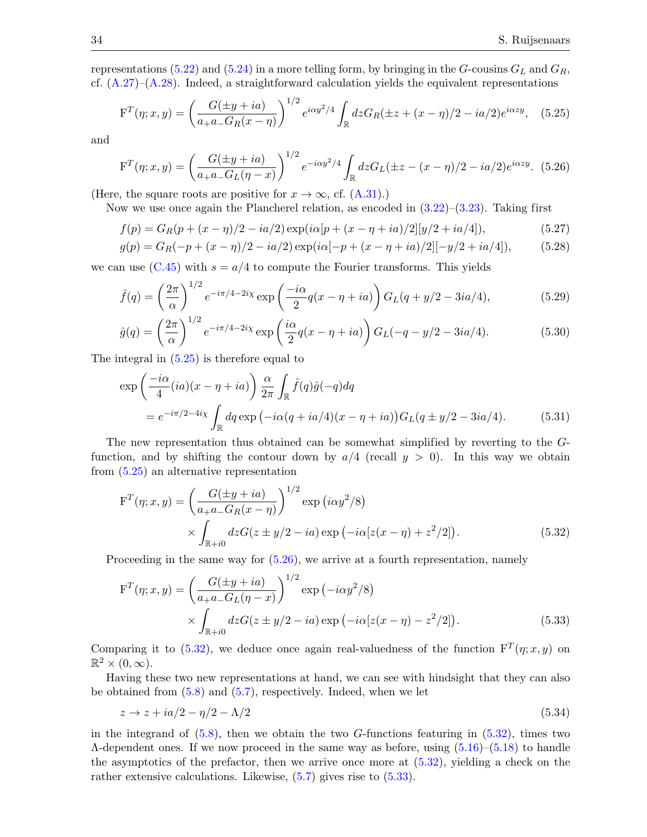representations [\(5.22\)](#page-32-3) and [\(5.24\)](#page-32-4) in a more telling form, by bringing in the G-cousins  $G_L$  and  $G_R$ , cf.  $(A.27)$ – $(A.28)$ . Indeed, a straightforward calculation yields the equivalent representations

<span id="page-33-0"></span>
$$
F^{T}(\eta; x, y) = \left(\frac{G(\pm y + ia)}{a_{+}a_{-}G_{R}(x - \eta)}\right)^{1/2} e^{i\alpha y^{2}/4} \int_{\mathbb{R}} dz G_{R}(\pm z + (x - \eta)/2 - ia/2) e^{i\alpha z y}, \quad (5.25)
$$

and

<span id="page-33-1"></span>
$$
F^{T}(\eta; x, y) = \left(\frac{G(\pm y + ia)}{a_{+}a_{-}G_{L}(\eta - x)}\right)^{1/2} e^{-i\alpha y^{2}/4} \int_{\mathbb{R}} dz G_{L}(\pm z - (x - \eta)/2 - ia/2)e^{i\alpha z y}.
$$
 (5.26)

(Here, the square roots are positive for  $x \to \infty$ , cf. [\(A.31\)](#page-45-2).)

Now we use once again the Plancherel relation, as encoded in  $(3.22)$ – $(3.23)$ . Taking first

$$
f(p) = G_R(p + (x - \eta)/2 - ia/2) \exp(i\alpha[p + (x - \eta + ia)/2][y/2 + ia/4]),
$$
\n(5.27)

$$
g(p) = G_R(-p + (x - \eta)/2 - ia/2) \exp(i\alpha[-p + (x - \eta + ia)/2][-y/2 + ia/4]),
$$
 (5.28)

we can use  $(C.45)$  with  $s = a/4$  to compute the Fourier transforms. This yields

$$
\hat{f}(q) = \left(\frac{2\pi}{\alpha}\right)^{1/2} e^{-i\pi/4 - 2i\chi} \exp\left(\frac{-i\alpha}{2}q(x - \eta + ia)\right) G_L(q + y/2 - 3ia/4),\tag{5.29}
$$

$$
\hat{g}(q) = \left(\frac{2\pi}{\alpha}\right)^{1/2} e^{-i\pi/4 - 2i\chi} \exp\left(\frac{i\alpha}{2}q(x - \eta + ia)\right) G_L(-q - y/2 - 3ia/4). \tag{5.30}
$$

The integral in [\(5.25\)](#page-33-0) is therefore equal to

$$
\exp\left(\frac{-i\alpha}{4}(ia)(x-\eta+ia)\right)\frac{\alpha}{2\pi}\int_{\mathbb{R}}\hat{f}(q)\hat{g}(-q)dq
$$
  
=  $e^{-i\pi/2-4i\chi}\int_{\mathbb{R}}dq\exp(-i\alpha(q+ia/4)(x-\eta+ia))G_L(q\pm y/2-3ia/4).$  (5.31)

The new representation thus obtained can be somewhat simplified by reverting to the Gfunction, and by shifting the contour down by  $a/4$  (recall  $y > 0$ ). In this way we obtain from [\(5.25\)](#page-33-0) an alternative representation

$$
F^{T}(\eta; x, y) = \left(\frac{G(\pm y + ia)}{a_{+}a_{-}G_{R}(x - \eta)}\right)^{1/2} \exp(i\alpha y^{2}/8)
$$
  
 
$$
\times \int_{\mathbb{R}+i0} dz G(z \pm y/2 - ia) \exp(-i\alpha[z(x - \eta) + z^{2}/2]). \tag{5.32}
$$

Proceeding in the same way for  $(5.26)$ , we arrive at a fourth representation, namely

<span id="page-33-3"></span><span id="page-33-2"></span>
$$
F^{T}(\eta; x, y) = \left(\frac{G(\pm y + ia)}{a_{+}a_{-}G_{L}(\eta - x)}\right)^{1/2} \exp(-i\alpha y^{2}/8)
$$
  
 
$$
\times \int_{\mathbb{R}^{+}i0} dz G(z \pm y/2 - ia) \exp(-i\alpha[z(x - \eta) - z^{2}/2]). \tag{5.33}
$$

Comparing it to [\(5.32\)](#page-33-2), we deduce once again real-valuedness of the function  $F^{T}(\eta; x, y)$  on  $\mathbb{R}^2 \times (0,\infty).$ 

Having these two new representations at hand, we can see with hindsight that they can also be obtained from [\(5.8\)](#page-30-3) and [\(5.7\)](#page-30-2), respectively. Indeed, when we let

$$
z \to z + ia/2 - \eta/2 - \Lambda/2 \tag{5.34}
$$

in the integrand of  $(5.8)$ , then we obtain the two G-functions featuring in  $(5.32)$ , times two  $\Lambda$ -dependent ones. If we now proceed in the same way as before, using  $(5.16)$ – $(5.18)$  to handle the asymptotics of the prefactor, then we arrive once more at [\(5.32\)](#page-33-2), yielding a check on the rather extensive calculations. Likewise,  $(5.7)$  gives rise to  $(5.33)$ .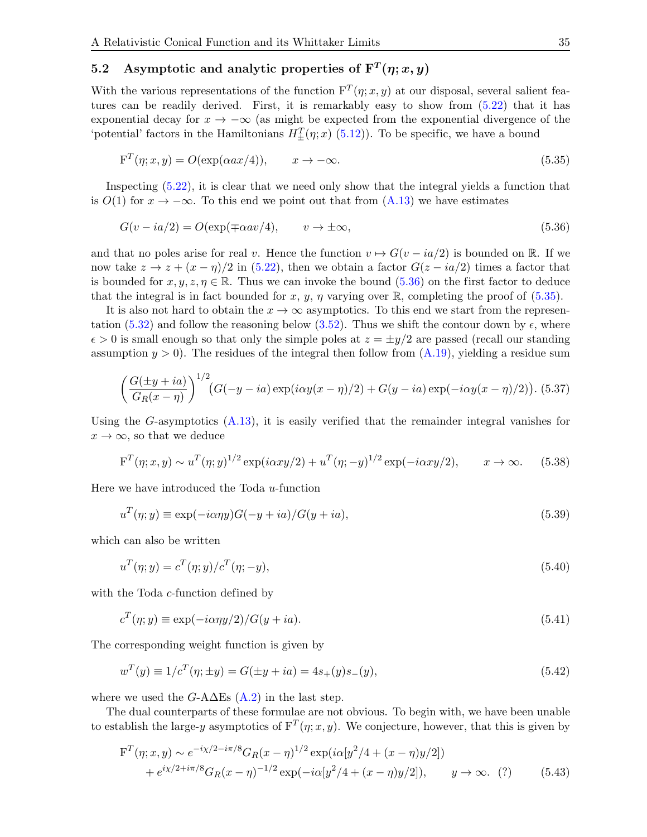## <span id="page-34-0"></span>5.2 Asymptotic and analytic properties of  $F^{T}(\eta; x, y)$

With the various representations of the function  $F^{T}(\eta; x, y)$  at our disposal, several salient features can be readily derived. First, it is remarkably easy to show from [\(5.22\)](#page-32-3) that it has exponential decay for  $x \to -\infty$  (as might be expected from the exponential divergence of the 'potential' factors in the Hamiltonians  $H_{\pm}^{T}(\eta; x)$  [\(5.12\)](#page-31-2)). To be specific, we have a bound

<span id="page-34-2"></span>
$$
F^{T}(\eta; x, y) = O(\exp(\alpha a x/4)), \qquad x \to -\infty.
$$
\n(5.35)

Inspecting [\(5.22\)](#page-32-3), it is clear that we need only show that the integral yields a function that is  $O(1)$  for  $x \to -\infty$ . To this end we point out that from  $(A.13)$  we have estimates

<span id="page-34-1"></span>
$$
G(v - ia/2) = O(\exp(\mp \alpha av/4), \qquad v \to \pm \infty,
$$
\n
$$
(5.36)
$$

and that no poles arise for real v. Hence the function  $v \mapsto G(v - ia/2)$  is bounded on R. If we now take  $z \to z + (x - \eta)/2$  in [\(5.22\)](#page-32-3), then we obtain a factor  $G(z - ia/2)$  times a factor that is bounded for  $x, y, z, \eta \in \mathbb{R}$ . Thus we can invoke the bound [\(5.36\)](#page-34-1) on the first factor to deduce that the integral is in fact bounded for x, y,  $\eta$  varying over R, completing the proof of [\(5.35\)](#page-34-2).

It is also not hard to obtain the  $x \to \infty$  asymptotics. To this end we start from the represen-tation [\(5.32\)](#page-33-2) and follow the reasoning below [\(3.52\)](#page-21-3). Thus we shift the contour down by  $\epsilon$ , where  $\epsilon > 0$  is small enough so that only the simple poles at  $z = \pm y/2$  are passed (recall our standing assumption  $y > 0$ . The residues of the integral then follow from  $(A.19)$ , yielding a residue sum

$$
\left(\frac{G(\pm y + ia)}{G_R(x - \eta)}\right)^{1/2} (G(-y - ia) \exp(i\alpha y(x - \eta)/2) + G(y - ia) \exp(-i\alpha y(x - \eta)/2)).
$$
 (5.37)

Using the G-asymptotics  $(A.13)$ , it is easily verified that the remainder integral vanishes for  $x \to \infty$ , so that we deduce

$$
F^{T}(\eta; x, y) \sim u^{T}(\eta; y)^{1/2} \exp(i\alpha xy/2) + u^{T}(\eta; -y)^{1/2} \exp(-i\alpha xy/2), \qquad x \to \infty.
$$
 (5.38)

Here we have introduced the Toda  $u$ -function

$$
u^T(\eta; y) \equiv \exp(-i\alpha \eta y)G(-y + ia)/G(y + ia),\tag{5.39}
$$

which can also be written

$$
u^T(\eta; y) = c^T(\eta; y) / c^T(\eta; -y),
$$
\n(5.40)

with the Toda *c*-function defined by

$$
c^T(\eta; y) \equiv \exp(-i\alpha \eta y/2)/G(y + ia). \tag{5.41}
$$

The corresponding weight function is given by

<span id="page-34-4"></span>
$$
w^{T}(y) \equiv 1/c^{T}(\eta; \pm y) = G(\pm y + ia) = 4s_{+}(y)s_{-}(y), \tag{5.42}
$$

where we used the  $G$ -A $\Delta$ Es [\(A.2\)](#page-42-1) in the last step.

The dual counterparts of these formulae are not obvious. To begin with, we have been unable to establish the large-y asymptotics of  $F^{T}(\eta; x, y)$ . We conjecture, however, that this is given by

<span id="page-34-3"></span>
$$
\begin{split} \mathbf{F}^{T}(\eta; x, y) &\sim e^{-i\chi/2 - i\pi/8} G_{R}(x - \eta)^{1/2} \exp(i\alpha[y^{2}/4 + (x - \eta)y/2]) \\ &+ e^{i\chi/2 + i\pi/8} G_{R}(x - \eta)^{-1/2} \exp(-i\alpha[y^{2}/4 + (x - \eta)y/2]), \qquad y \to \infty. \tag{7} \end{split} \tag{5.43}
$$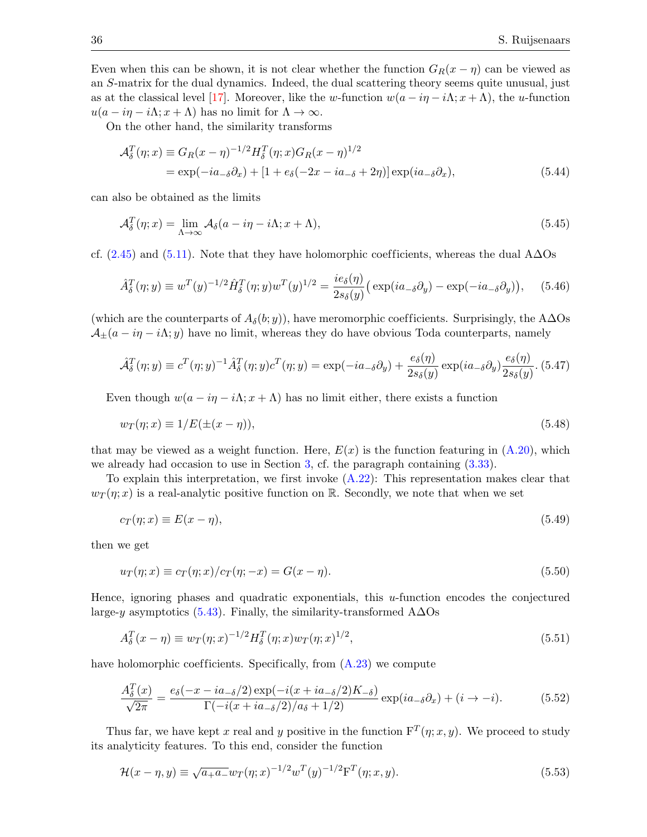Even when this can be shown, it is not clear whether the function  $G_R(x - \eta)$  can be viewed as an S-matrix for the dual dynamics. Indeed, the dual scattering theory seems quite unusual, just as at the classical level [\[17\]](#page-52-17). Moreover, like the w-function  $w(a - i\eta - i\Lambda; x + \Lambda)$ , the u-function  $u(a - i\eta - i\Lambda; x + \Lambda)$  has no limit for  $\Lambda \to \infty$ .

On the other hand, the similarity transforms

<span id="page-35-2"></span>
$$
\mathcal{A}_{\delta}^{T}(\eta; x) \equiv G_{R}(x - \eta)^{-1/2} H_{\delta}^{T}(\eta; x) G_{R}(x - \eta)^{1/2}
$$
  
= 
$$
\exp(-ia_{-\delta}\partial_{x}) + [1 + e_{\delta}(-2x - ia_{-\delta} + 2\eta)] \exp(ia_{-\delta}\partial_{x}),
$$
 (5.44)

can also be obtained as the limits

$$
\mathcal{A}_{\delta}^{T}(\eta; x) = \lim_{\Lambda \to \infty} \mathcal{A}_{\delta}(a - i\eta - i\Lambda; x + \Lambda), \tag{5.45}
$$

cf. [\(2.45\)](#page-9-5) and [\(5.11\)](#page-31-3). Note that they have holomorphic coefficients, whereas the dual A $\Delta$ Os

<span id="page-35-3"></span>
$$
\hat{A}_{\delta}^T(\eta; y) \equiv w^T(y)^{-1/2} \hat{H}_{\delta}^T(\eta; y) w^T(y)^{1/2} = \frac{ie_{\delta}(\eta)}{2s_{\delta}(y)} \left( \exp(ia_{-\delta}\partial_y) - \exp(-ia_{-\delta}\partial_y) \right), \quad (5.46)
$$

(which are the counterparts of  $A_{\delta}(b; y)$ ), have meromorphic coefficients. Surprisingly, the A∆Os  $\mathcal{A}_{\pm}(a - i\eta - i\Lambda; y)$  have no limit, whereas they do have obvious Toda counterparts, namely

<span id="page-35-5"></span>
$$
\hat{\mathcal{A}}_{\delta}^T(\eta; y) \equiv c^T(\eta; y)^{-1} \hat{\mathcal{A}}_{\delta}^T(\eta; y) c^T(\eta; y) = \exp(-ia_{\delta}\partial_y) + \frac{e_{\delta}(\eta)}{2s_{\delta}(y)} \exp(ia_{\delta}\partial_y) \frac{e_{\delta}(\eta)}{2s_{\delta}(y)}.
$$
(5.47)

Even though  $w(a - i\eta - i\Lambda; x + \Lambda)$  has no limit either, there exists a function

<span id="page-35-0"></span>
$$
w_T(\eta; x) \equiv 1/E(\pm(x - \eta)),\tag{5.48}
$$

that may be viewed as a weight function. Here,  $E(x)$  is the function featuring in  $(A.20)$ , which we already had occasion to use in Section [3,](#page-16-0) cf. the paragraph containing  $(3.33)$ .

To explain this interpretation, we first invoke [\(A.22\)](#page-44-8): This representation makes clear that  $w_T(\eta; x)$  is a real-analytic positive function on R. Secondly, we note that when we set

$$
c_T(\eta; x) \equiv E(x - \eta),\tag{5.49}
$$

then we get

$$
u_T(\eta; x) \equiv c_T(\eta; x)/c_T(\eta; -x) = G(x - \eta). \tag{5.50}
$$

Hence, ignoring phases and quadratic exponentials, this  $u$ -function encodes the conjectured large-y asymptotics [\(5.43\)](#page-34-3). Finally, the similarity-transformed  $\angle$ A $\Delta$ Os

$$
A_{\delta}^{T}(x-\eta) \equiv w_{T}(\eta; x)^{-1/2} H_{\delta}^{T}(\eta; x) w_{T}(\eta; x)^{1/2}, \qquad (5.51)
$$

have holomorphic coefficients. Specifically, from  $(A.23)$  we compute

<span id="page-35-4"></span>
$$
\frac{A_{\delta}^{T}(x)}{\sqrt{2\pi}} = \frac{e_{\delta}(-x - ia_{-\delta}/2) \exp(-i(x + ia_{-\delta}/2)K_{-\delta})}{\Gamma(-i(x + ia_{-\delta}/2)/a_{\delta} + 1/2)} \exp(ia_{-\delta}\partial_{x}) + (i \to -i).
$$
 (5.52)

Thus far, we have kept x real and y positive in the function  $F^{T}(\eta; x, y)$ . We proceed to study its analyticity features. To this end, consider the function

<span id="page-35-1"></span>
$$
\mathcal{H}(x - \eta, y) \equiv \sqrt{a_+ a_-} w_T(\eta; x)^{-1/2} w^T(y)^{-1/2} \mathbf{F}^T(\eta; x, y).
$$
\n(5.53)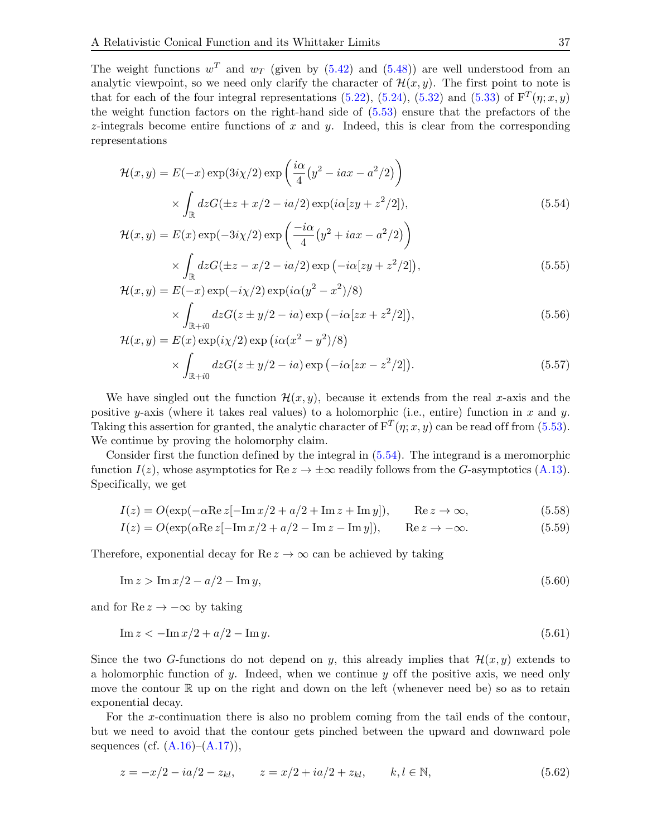The weight functions  $w^T$  and  $w_T$  (given by [\(5.42\)](#page-34-4) and [\(5.48\)](#page-35-0)) are well understood from an analytic viewpoint, so we need only clarify the character of  $\mathcal{H}(x, y)$ . The first point to note is that for each of the four integral representations [\(5.22\)](#page-32-3), [\(5.24\)](#page-32-4), [\(5.32\)](#page-33-2) and [\(5.33\)](#page-33-3) of  $F^{T}(\eta; x, y)$ the weight function factors on the right-hand side of [\(5.53\)](#page-35-1) ensure that the prefactors of the  $z$ -integrals become entire functions of x and y. Indeed, this is clear from the corresponding representations

$$
\mathcal{H}(x,y) = E(-x) \exp(3i\chi/2) \exp\left(\frac{i\alpha}{4}(y^2 - iax - a^2/2)\right)
$$

$$
\times \int_{\mathbb{R}} dz G(\pm z + x/2 - ia/2) \exp(i\alpha[zy + z^2/2]), \tag{5.54}
$$

<span id="page-36-2"></span><span id="page-36-0"></span>
$$
\mathcal{H}(x,y) = E(x) \exp(-3i\chi/2) \exp\left(\frac{-i\alpha}{4}(y^2 + iax - a^2/2)\right)
$$

$$
\times \int_{\mathbb{R}} dz G(\pm z - x/2 - ia/2) \exp(-i\alpha[zy + z^2/2]), \tag{5.55}
$$

<span id="page-36-3"></span>
$$
\mathcal{H}(x,y) = E(-x) \exp(-i\chi/2) \exp(i\alpha(y^2 - x^2)/8)
$$

$$
\times \int_{\mathbb{R}+i0} dz G(z \pm y/2 - ia) \exp(-i\alpha[zx + z^2/2]), \tag{5.56}
$$

<span id="page-36-1"></span>
$$
\mathcal{H}(x,y) = E(x) \exp(i\chi/2) \exp(i\alpha(x^2 - y^2)/8)
$$

$$
\times \int_{\mathbb{R}+i0} dz G(z \pm y/2 - ia) \exp(-i\alpha[zx - z^2/2]). \tag{5.57}
$$

We have singled out the function  $\mathcal{H}(x, y)$ , because it extends from the real x-axis and the positive y-axis (where it takes real values) to a holomorphic (i.e., entire) function in x and y. Taking this assertion for granted, the analytic character of  $F^{T}(\eta; x, y)$  can be read off from [\(5.53\)](#page-35-1). We continue by proving the holomorphy claim.

Consider first the function defined by the integral in [\(5.54\)](#page-36-0). The integrand is a meromorphic function  $I(z)$ , whose asymptotics for Re  $z \to \pm \infty$  readily follows from the G-asymptotics [\(A.13\)](#page-43-4). Specifically, we get

$$
I(z) = O(\exp(-\alpha \operatorname{Re} z[-\operatorname{Im} x/2 + a/2 + \operatorname{Im} z + \operatorname{Im} y]), \qquad \operatorname{Re} z \to \infty,
$$
 (5.58)

$$
I(z) = O(\exp(\alpha \operatorname{Re} z [-\operatorname{Im} x/2 + a/2 - \operatorname{Im} z - \operatorname{Im} y]), \qquad \operatorname{Re} z \to -\infty.
$$
 (5.59)

Therefore, exponential decay for  $\text{Re } z \to \infty$  can be achieved by taking

$$
\operatorname{Im} z > \operatorname{Im} x/2 - a/2 - \operatorname{Im} y,\tag{5.60}
$$

and for Re  $z \to -\infty$  by taking

$$
\operatorname{Im} z < -\operatorname{Im} x/2 + a/2 - \operatorname{Im} y. \tag{5.61}
$$

Since the two G-functions do not depend on y, this already implies that  $\mathcal{H}(x, y)$  extends to a holomorphic function of y. Indeed, when we continue y off the positive axis, we need only move the contour  $\mathbb R$  up on the right and down on the left (whenever need be) so as to retain exponential decay.

For the x-continuation there is also no problem coming from the tail ends of the contour, but we need to avoid that the contour gets pinched between the upward and downward pole sequences (cf.  $(A.16)–(A.17)$  $(A.16)–(A.17)$ ),

$$
z = -x/2 - ia/2 - z_{kl}, \qquad z = x/2 + ia/2 + z_{kl}, \qquad k, l \in \mathbb{N}, \tag{5.62}
$$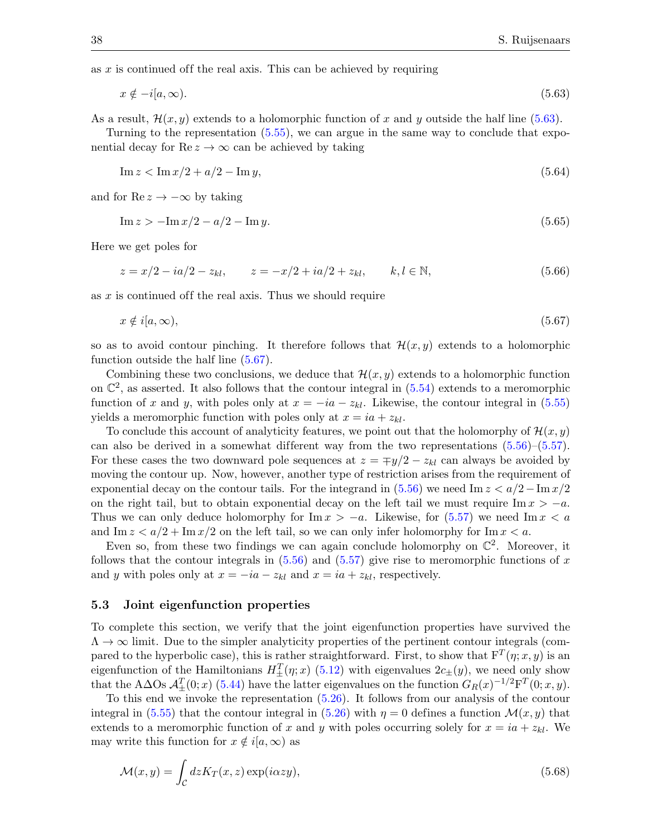as  $x$  is continued of f the real axis. This can be achieved by requiring

<span id="page-37-1"></span>
$$
x \notin -i[a,\infty). \tag{5.63}
$$

As a result,  $\mathcal{H}(x, y)$  extends to a holomorphic function of x and y outside the half line [\(5.63\)](#page-37-1).

Turning to the representation  $(5.55)$ , we can argue in the same way to conclude that exponential decay for  $\text{Re } z \to \infty$  can be achieved by taking

$$
\operatorname{Im} z < \operatorname{Im} x/2 + a/2 - \operatorname{Im} y,\tag{5.64}
$$

and for Re  $z \to -\infty$  by taking

<span id="page-37-5"></span><span id="page-37-4"></span><span id="page-37-3"></span>
$$
\operatorname{Im} z > -\operatorname{Im} x/2 - a/2 - \operatorname{Im} y. \tag{5.65}
$$

Here we get poles for

$$
z = x/2 - ia/2 - z_{kl}, \qquad z = -x/2 + ia/2 + z_{kl}, \qquad k, l \in \mathbb{N}, \tag{5.66}
$$

as  $x$  is continued off the real axis. Thus we should require

<span id="page-37-2"></span>
$$
x \notin i[a,\infty), \tag{5.67}
$$

so as to avoid contour pinching. It therefore follows that  $\mathcal{H}(x, y)$  extends to a holomorphic function outside the half line [\(5.67\)](#page-37-2).

Combining these two conclusions, we deduce that  $\mathcal{H}(x, y)$  extends to a holomorphic function on  $\mathbb{C}^2$ , as asserted. It also follows that the contour integral in [\(5.54\)](#page-36-0) extends to a meromorphic function of x and y, with poles only at  $x = -ia - z_{kl}$ . Likewise, the contour integral in [\(5.55\)](#page-36-2) yields a meromorphic function with poles only at  $x = ia + z_{kl}$ .

To conclude this account of analyticity features, we point out that the holomorphy of  $\mathcal{H}(x, y)$ can also be derived in a somewhat different way from the two representations  $(5.56)$ – $(5.57)$ . For these cases the two downward pole sequences at  $z = \mp y/2 - z_{kl}$  can always be avoided by moving the contour up. Now, however, another type of restriction arises from the requirement of exponential decay on the contour tails. For the integrand in  $(5.56)$  we need Im  $z < a/2 - \text{Im }x/2$ on the right tail, but to obtain exponential decay on the left tail we must require Im  $x > -a$ . Thus we can only deduce holomorphy for Im  $x > -a$ . Likewise, for [\(5.57\)](#page-36-1) we need Im  $x < a$ and Im  $z < a/2 + \text{Im } x/2$  on the left tail, so we can only infer holomorphy for Im  $x < a$ .

Even so, from these two findings we can again conclude holomorphy on  $\mathbb{C}^2$ . Moreover, it follows that the contour integrals in  $(5.56)$  and  $(5.57)$  give rise to meromorphic functions of x and y with poles only at  $x = -ia - z_{kl}$  and  $x = ia + z_{kl}$ , respectively.

#### <span id="page-37-0"></span>5.3 Joint eigenfunction properties

To complete this section, we verify that the joint eigenfunction properties have survived the  $\Lambda \to \infty$  limit. Due to the simpler analyticity properties of the pertinent contour integrals (compared to the hyperbolic case), this is rather straightforward. First, to show that  $F^{T}(\eta; x, y)$  is an eigenfunction of the Hamiltonians  $H_{\pm}^{T}(\eta; x)$  [\(5.12\)](#page-31-2) with eigenvalues  $2c_{\pm}(y)$ , we need only show that the A $\Delta$ Os  $\mathcal{A}_{\pm}^T(0;x)$  [\(5.44\)](#page-35-2) have the latter eigenvalues on the function  $G_R(x)^{-1/2}F^T(0;x,y)$ .

To this end we invoke the representation [\(5.26\)](#page-33-1). It follows from our analysis of the contour integral in [\(5.55\)](#page-36-2) that the contour integral in [\(5.26\)](#page-33-1) with  $\eta = 0$  defines a function  $\mathcal{M}(x, y)$  that extends to a meromorphic function of x and y with poles occurring solely for  $x = ia + z_{kl}$ . We may write this function for  $x \notin i[a, \infty)$  as

$$
\mathcal{M}(x,y) = \int_{\mathcal{C}} dz K_T(x,z) \exp(i\alpha z y),\tag{5.68}
$$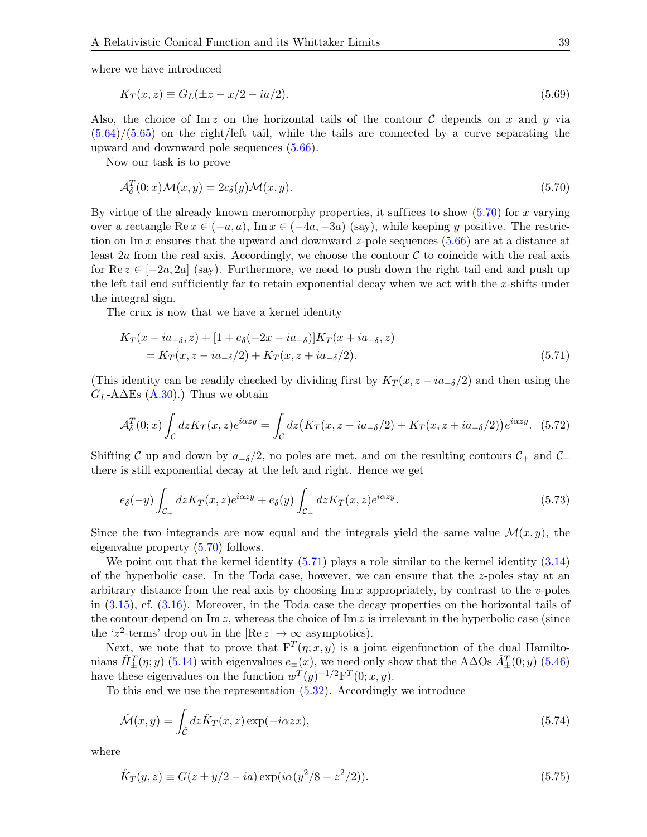where we have introduced

$$
K_T(x, z) \equiv G_L(\pm z - x/2 - ia/2). \tag{5.69}
$$

Also, the choice of Im z on the horizontal tails of the contour C depends on x and y via  $(5.64)/(5.65)$  $(5.64)/(5.65)$  $(5.64)/(5.65)$  on the right/left tail, while the tails are connected by a curve separating the upward and downward pole sequences [\(5.66\)](#page-37-5).

Now our task is to prove

<span id="page-38-0"></span>
$$
\mathcal{A}_{\delta}^{T}(0;x)\mathcal{M}(x,y) = 2c_{\delta}(y)\mathcal{M}(x,y). \tag{5.70}
$$

By virtue of the already known meromorphy properties, it suffices to show  $(5.70)$  for x varying over a rectangle Re  $x \in (-a, a)$ , Im  $x \in (-4a, -3a)$  (say), while keeping y positive. The restriction on Im x ensures that the upward and downward z-pole sequences  $(5.66)$  are at a distance at least 2a from the real axis. Accordingly, we choose the contour  $\mathcal C$  to coincide with the real axis for Re  $z \in [-2a, 2a]$  (say). Furthermore, we need to push down the right tail end and push up the left tail end sufficiently far to retain exponential decay when we act with the  $x$ -shifts under the integral sign.

The crux is now that we have a kernel identity

<span id="page-38-1"></span>
$$
K_T(x - ia_{-\delta}, z) + [1 + e_{\delta}(-2x - ia_{-\delta})]K_T(x + ia_{-\delta}, z)
$$
  
=  $K_T(x, z - ia_{-\delta}/2) + K_T(x, z + ia_{-\delta}/2).$  (5.71)

(This identity can be readily checked by dividing first by  $K_T(x, z - i a_{\sigma}/2)$  and then using the  $G_L$ -A $\Delta$ Es [\(A.30\)](#page-45-3).) Thus we obtain

$$
\mathcal{A}_{\delta}^{T}(0;x) \int_{\mathcal{C}} dz K_{T}(x,z) e^{i\alpha z y} = \int_{\mathcal{C}} dz \big( K_{T}(x,z - ia_{-\delta}/2) + K_{T}(x,z + ia_{-\delta}/2) \big) e^{i\alpha z y}.
$$
 (5.72)

Shifting C up and down by  $a_{-\delta}/2$ , no poles are met, and on the resulting contours  $\mathcal{C}_+$  and  $\mathcal{C}_$ there is still exponential decay at the left and right. Hence we get

$$
e_{\delta}(-y)\int_{\mathcal{C}_{+}}dz K_{T}(x,z)e^{i\alpha z y} + e_{\delta}(y)\int_{\mathcal{C}_{-}}dz K_{T}(x,z)e^{i\alpha z y}.
$$
\n(5.73)

Since the two integrands are now equal and the integrals yield the same value  $\mathcal{M}(x, y)$ , the eigenvalue property [\(5.70\)](#page-38-0) follows.

We point out that the kernel identity  $(5.71)$  plays a role similar to the kernel identity  $(3.14)$ of the hyperbolic case. In the Toda case, however, we can ensure that the z-poles stay at an arbitrary distance from the real axis by choosing  $\text{Im } x$  appropriately, by contrast to the *v*-poles in [\(3.15\)](#page-17-1), cf. [\(3.16\)](#page-17-2). Moreover, in the Toda case the decay properties on the horizontal tails of the contour depend on  $\text{Im } z$ , whereas the choice of  $\text{Im } z$  is irrelevant in the hyperbolic case (since the 'z<sup>2</sup>-terms' drop out in the  $|Re\ z| \to \infty$  asymptotics).

Next, we note that to prove that  $F^{T}(\eta; x, y)$  is a joint eigenfunction of the dual Hamiltonians  $\hat{H}^T_\pm(\eta; y)$  [\(5.14\)](#page-31-4) with eigenvalues  $e_\pm(x)$ , we need only show that the A $\Delta$ Os  $\hat{A}^T_\pm(0; y)$  [\(5.46\)](#page-35-3) have these eigenvalues on the function  $w^T(y)^{-1/2}F^T(0; x, y)$ .

To this end we use the representation [\(5.32\)](#page-33-2). Accordingly we introduce

<span id="page-38-2"></span>
$$
\hat{\mathcal{M}}(x,y) = \int_{\hat{\mathcal{C}}} dz \hat{K}_T(x,z) \exp(-i\alpha zx), \qquad (5.74)
$$

where

$$
\hat{K}_T(y,z) \equiv G(z \pm y/2 - ia) \exp(i\alpha(y^2/8 - z^2/2)).
$$
\n(5.75)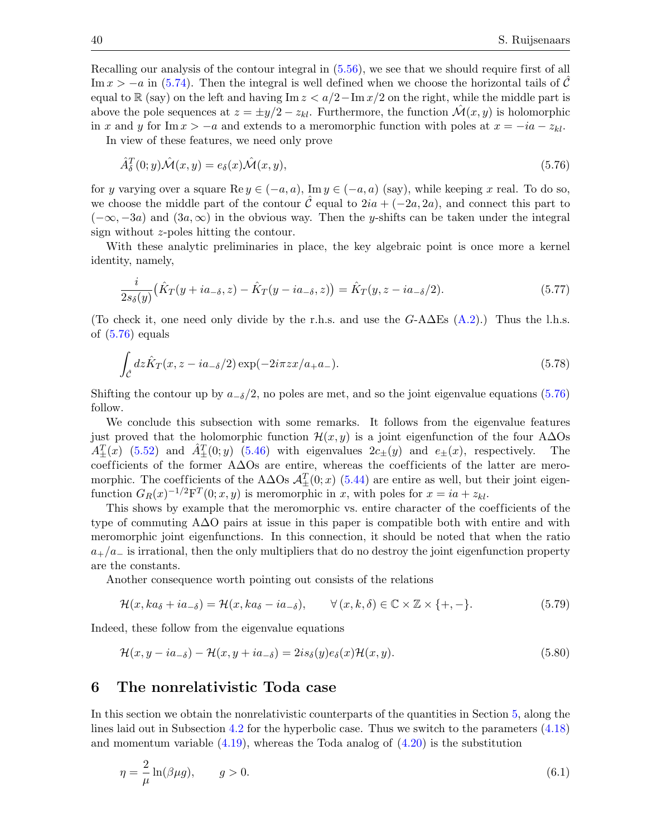Recalling our analysis of the contour integral in [\(5.56\)](#page-36-3), we see that we should require first of all Im  $x > -a$  in [\(5.74\)](#page-38-2). Then the integral is well defined when we choose the horizontal tails of C equal to R (say) on the left and having Im  $z < a/2 - \text{Im }x/2$  on the right, while the middle part is above the pole sequences at  $z = \pm y/2 - z_{kl}$ . Furthermore, the function  $\mathcal{M}(x, y)$  is holomorphic in x and y for Im  $x > -a$  and extends to a meromorphic function with poles at  $x = -ia - z_{kl}$ .

In view of these features, we need only prove

<span id="page-39-1"></span>
$$
\hat{A}_{\delta}^{T}(0; y)\hat{\mathcal{M}}(x, y) = e_{\delta}(x)\hat{\mathcal{M}}(x, y),\tag{5.76}
$$

for y varying over a square Re  $y \in (-a, a)$ , Im  $y \in (-a, a)$  (say), while keeping x real. To do so, we choose the middle part of the contour  $\hat{\mathcal{C}}$  equal to  $2ia + (-2a, 2a)$ , and connect this part to  $(-\infty, -3a)$  and  $(3a, \infty)$  in the obvious way. Then the y-shifts can be taken under the integral sign without z-poles hitting the contour.

With these analytic preliminaries in place, the key algebraic point is once more a kernel identity, namely,

<span id="page-39-2"></span>
$$
\frac{i}{2s_{\delta}(y)}(\hat{K}_T(y+ia_{-\delta},z)-\hat{K}_T(y-ia_{-\delta},z))=\hat{K}_T(y,z-ia_{-\delta}/2). \tag{5.77}
$$

(To check it, one need only divide by the r.h.s. and use the  $G$ -A $\Delta$ Es  $(A.2)$ .) Thus the l.h.s. of [\(5.76\)](#page-39-1) equals

$$
\int_{\hat{\mathcal{C}}} dz \hat{K}_T(x, z - ia_{\delta}/2) \exp(-2i\pi zx/a_{+}a_{-}).
$$
\n(5.78)

Shifting the contour up by  $a_{-\delta}/2$ , no poles are met, and so the joint eigenvalue equations [\(5.76\)](#page-39-1) follow.

We conclude this subsection with some remarks. It follows from the eigenvalue features just proved that the holomorphic function  $\mathcal{H}(x, y)$  is a joint eigenfunction of the four A $\Delta$ Os  $A_{\pm}^{T}(x)$  [\(5.52\)](#page-35-4) and  $\hat{A}_{\pm}^{T}(0; y)$  [\(5.46\)](#page-35-3) with eigenvalues  $2c_{\pm}(y)$  and  $e_{\pm}(x)$ , respectively. The coefficients of the former A∆Os are entire, whereas the coefficients of the latter are meromorphic. The coefficients of the A $\Delta$ Os  $\mathcal{A}^T_{\pm}(0; x)$  [\(5.44\)](#page-35-2) are entire as well, but their joint eigenfunction  $G_R(x)^{-1/2} F^T(0; x, y)$  is meromorphic in x, with poles for  $x = ia + z_{kl}$ .

This shows by example that the meromorphic vs. entire character of the coefficients of the type of commuting A∆O pairs at issue in this paper is compatible both with entire and with meromorphic joint eigenfunctions. In this connection, it should be noted that when the ratio  $a_{+}/a_{-}$  is irrational, then the only multipliers that do no destroy the joint eigenfunction property are the constants.

Another consequence worth pointing out consists of the relations

$$
\mathcal{H}(x, ka_{\delta} + ia_{-\delta}) = \mathcal{H}(x, ka_{\delta} - ia_{-\delta}), \qquad \forall (x, k, \delta) \in \mathbb{C} \times \mathbb{Z} \times \{+, -\}.
$$
 (5.79)

Indeed, these follow from the eigenvalue equations

$$
\mathcal{H}(x, y - ia_{\delta}) - \mathcal{H}(x, y + ia_{\delta}) = 2is_{\delta}(y)e_{\delta}(x)\mathcal{H}(x, y).
$$
\n(5.80)

## <span id="page-39-0"></span>6 The nonrelativistic Toda case

In this section we obtain the nonrelativistic counterparts of the quantities in Section [5,](#page-30-0) along the lines laid out in Subsection [4.2](#page-25-0) for the hyperbolic case. Thus we switch to the parameters [\(4.18\)](#page-25-1) and momentum variable  $(4.19)$ , whereas the Toda analog of  $(4.20)$  is the substitution

$$
\eta = \frac{2}{\mu} \ln(\beta \mu g), \qquad g > 0. \tag{6.1}
$$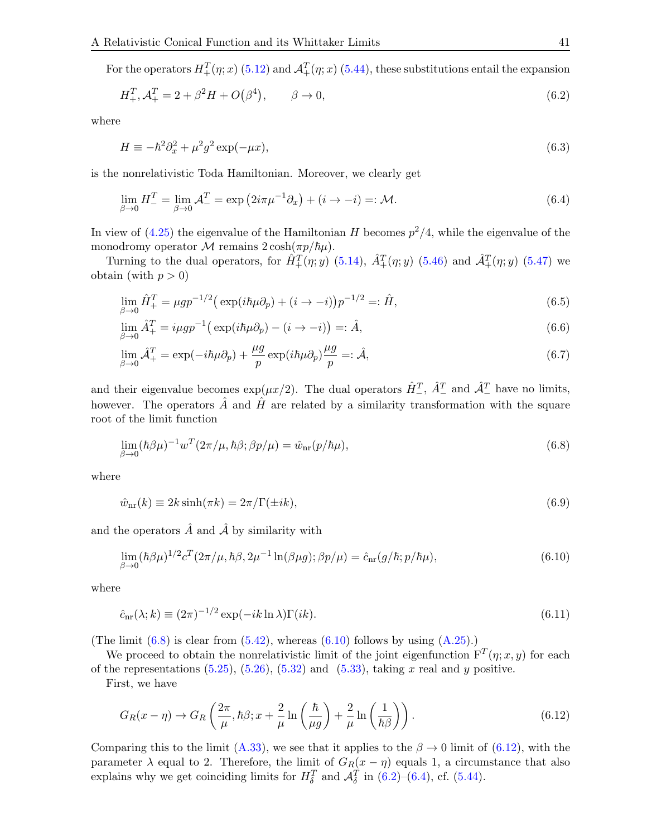For the operators  $H_+^T(\eta; x)$  [\(5.12\)](#page-31-2) and  $\mathcal{A}_+^T(\eta; x)$  [\(5.44\)](#page-35-2), these substitutions entail the expansion

<span id="page-40-3"></span>
$$
H_+^T, \mathcal{A}_+^T = 2 + \beta^2 H + O(\beta^4), \qquad \beta \to 0,
$$
\n(6.2)

where

$$
H \equiv -\hbar^2 \partial_x^2 + \mu^2 g^2 \exp(-\mu x),\tag{6.3}
$$

is the nonrelativistic Toda Hamiltonian. Moreover, we clearly get

<span id="page-40-4"></span>
$$
\lim_{\beta \to 0} H_{-}^{T} = \lim_{\beta \to 0} \mathcal{A}_{-}^{T} = \exp\left(2i\pi\mu^{-1}\partial_{x}\right) + (i \to -i) =: \mathcal{M}.
$$
\n
$$
(6.4)
$$

In view of [\(4.25\)](#page-26-6) the eigenvalue of the Hamiltonian H becomes  $p^2/4$ , while the eigenvalue of the monodromy operator M remains  $2 \cosh(\pi p/\hbar \mu)$ .

Turning to the dual operators, for  $\hat{H}^T_+(\eta; y)$  [\(5.14\)](#page-31-4),  $\hat{A}^T_+(\eta; y)$  [\(5.46\)](#page-35-3) and  $\hat{A}^T_+(\eta; y)$  [\(5.47\)](#page-35-5) we obtain (with  $p > 0$ )

$$
\lim_{\beta \to 0} \hat{H}_+^T = \mu g p^{-1/2} \left( \exp(i\hbar \mu \partial_p) + (i \to -i) \right) p^{-1/2} =: \hat{H},\tag{6.5}
$$

<span id="page-40-5"></span>
$$
\lim_{\beta \to 0} \hat{A}_+^T = i\mu gp^{-1} \big( \exp(i\hbar\mu \partial_p) - (i \to -i) \big) =: \hat{A},\tag{6.6}
$$

$$
\lim_{\beta \to 0} \hat{\mathcal{A}}_+^T = \exp(-i\hbar\mu\partial_p) + \frac{\mu g}{p} \exp(i\hbar\mu\partial_p)\frac{\mu g}{p} =: \hat{\mathcal{A}},\tag{6.7}
$$

and their eigenvalue becomes  $\exp(\mu x/2)$ . The dual operators  $\hat{H}_{-}^T$ ,  $\hat{A}_{-}^T$  and  $\hat{A}_{-}^T$  have no limits, however. The operators  $\hat{A}$  and  $\hat{H}$  are related by a similarity transformation with the square root of the limit function

<span id="page-40-0"></span>
$$
\lim_{\beta \to 0} (\hbar \beta \mu)^{-1} w^T (2\pi/\mu, \hbar \beta; \beta p/\mu) = \hat{w}_{\text{nr}} (p/\hbar \mu), \tag{6.8}
$$

where

$$
\hat{w}_{\text{nr}}(k) \equiv 2k \sinh(\pi k) = 2\pi/\Gamma(\pm ik),\tag{6.9}
$$

and the operators  $\hat{A}$  and  $\hat{A}$  by similarity with

<span id="page-40-1"></span>
$$
\lim_{\beta \to 0} (\hbar \beta \mu)^{1/2} c^T (2\pi/\mu, \hbar \beta, 2\mu^{-1} \ln(\beta \mu g); \beta p/\mu) = \hat{c}_{\text{nr}} (g/\hbar; p/\hbar \mu), \tag{6.10}
$$

where

$$
\hat{c}_{\text{nr}}(\lambda; k) \equiv (2\pi)^{-1/2} \exp(-ik \ln \lambda) \Gamma(ik). \tag{6.11}
$$

(The limit  $(6.8)$  is clear from  $(5.42)$ , whereas  $(6.10)$  follows by using  $(A.25)$ .)

We proceed to obtain the nonrelativistic limit of the joint eigenfunction  $F^{T}(\eta; x, y)$  for each of the representations  $(5.25)$ ,  $(5.26)$ ,  $(5.32)$  and  $(5.33)$ , taking x real and y positive.

First, we have

<span id="page-40-2"></span>
$$
G_R(x - \eta) \to G_R\left(\frac{2\pi}{\mu}, \hbar \beta; x + \frac{2}{\mu} \ln\left(\frac{\hbar}{\mu g}\right) + \frac{2}{\mu} \ln\left(\frac{1}{\hbar \beta}\right)\right). \tag{6.12}
$$

Comparing this to the limit [\(A.33\)](#page-45-1), we see that it applies to the  $\beta \to 0$  limit of [\(6.12\)](#page-40-2), with the parameter  $\lambda$  equal to 2. Therefore, the limit of  $G_R(x - \eta)$  equals 1, a circumstance that also explains why we get coinciding limits for  $H_{\delta}^T$  and  $\mathcal{A}_{\delta}^T$  in [\(6.2\)](#page-40-3)–[\(6.4\)](#page-40-4), cf. [\(5.44\)](#page-35-2).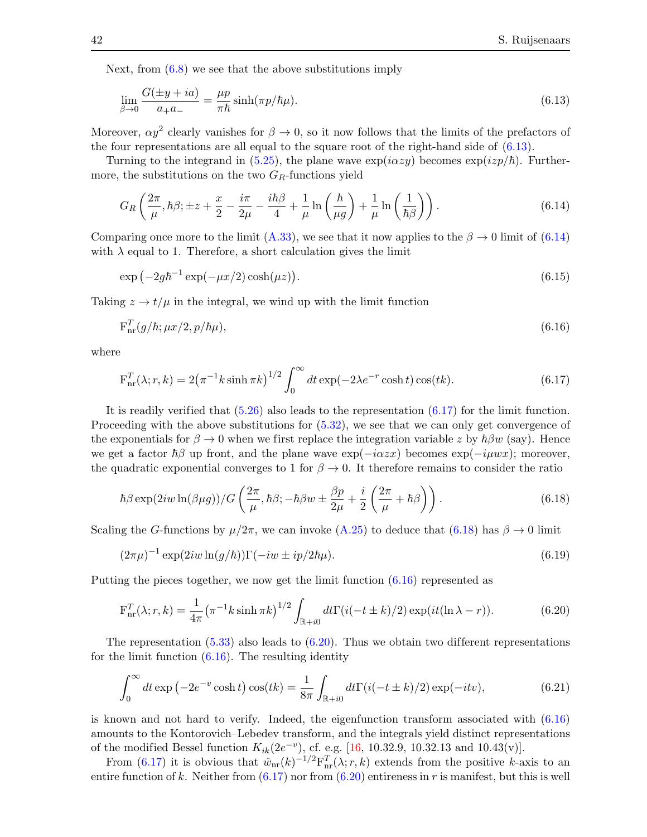Next, from  $(6.8)$  we see that the above substitutions imply

<span id="page-41-0"></span>
$$
\lim_{\beta \to 0} \frac{G(\pm y + ia)}{a_+ a_-} = \frac{\mu p}{\pi \hbar} \sinh(\pi p / \hbar \mu). \tag{6.13}
$$

Moreover,  $\alpha y^2$  clearly vanishes for  $\beta \to 0$ , so it now follows that the limits of the prefactors of the four representations are all equal to the square root of the right-hand side of [\(6.13\)](#page-41-0).

Turning to the integrand in [\(5.25\)](#page-33-0), the plane wave  $\exp(i\alpha zy)$  becomes  $\exp(i zp/\hbar)$ . Furthermore, the substitutions on the two  $G_R$ -functions yield

<span id="page-41-1"></span>
$$
G_R\left(\frac{2\pi}{\mu},\hbar\beta;\pm z+\frac{x}{2}-\frac{i\pi}{2\mu}-\frac{i\hbar\beta}{4}+\frac{1}{\mu}\ln\left(\frac{\hbar}{\mu g}\right)+\frac{1}{\mu}\ln\left(\frac{1}{\hbar\beta}\right)\right).
$$
 (6.14)

Comparing once more to the limit [\(A.33\)](#page-45-1), we see that it now applies to the  $\beta \to 0$  limit of [\(6.14\)](#page-41-1) with  $\lambda$  equal to 1. Therefore, a short calculation gives the limit

$$
\exp\left(-2g\hbar^{-1}\exp(-\mu x/2)\cosh(\mu z)\right). \tag{6.15}
$$

Taking  $z \to t/\mu$  in the integral, we wind up with the limit function

<span id="page-41-4"></span>
$$
\mathbf{F}_{\text{nr}}^T(g/\hbar; \mu x/2, p/\hbar \mu), \tag{6.16}
$$

where

<span id="page-41-2"></span>
$$
F_{nr}^{T}(\lambda; r, k) = 2(\pi^{-1}k \sinh \pi k)^{1/2} \int_{0}^{\infty} dt \exp(-2\lambda e^{-r} \cosh t) \cos(tk).
$$
 (6.17)

It is readily verified that [\(5.26\)](#page-33-1) also leads to the representation [\(6.17\)](#page-41-2) for the limit function. Proceeding with the above substitutions for  $(5.32)$ , we see that we can only get convergence of the exponentials for  $\beta \to 0$  when we first replace the integration variable z by  $\hbar \beta w$  (say). Hence we get a factor  $\hbar\beta$  up front, and the plane wave  $\exp(-i\alpha zx)$  becomes  $\exp(-i\mu wx)$ ; moreover, the quadratic exponential converges to 1 for  $\beta \to 0$ . It therefore remains to consider the ratio

<span id="page-41-3"></span>
$$
\hbar \beta \exp(2iw \ln(\beta \mu g)) / G\left(\frac{2\pi}{\mu}, \hbar \beta; -\hbar \beta w \pm \frac{\beta p}{2\mu} + \frac{i}{2}\left(\frac{2\pi}{\mu} + \hbar \beta\right)\right). \tag{6.18}
$$

Scaling the G-functions by  $\mu/2\pi$ , we can invoke [\(A.25\)](#page-44-4) to deduce that [\(6.18\)](#page-41-3) has  $\beta \to 0$  limit

$$
(2\pi\mu)^{-1}\exp(2iw\ln(g/\hbar))\Gamma(-iw\pm ip/2\hbar\mu). \tag{6.19}
$$

Putting the pieces together, we now get the limit function [\(6.16\)](#page-41-4) represented as

<span id="page-41-5"></span>
$$
F_{nr}^{T}(\lambda; r, k) = \frac{1}{4\pi} (\pi^{-1} k \sinh \pi k)^{1/2} \int_{\mathbb{R}^{+} i0} dt \Gamma(i(-t \pm k)/2) \exp(it(\ln \lambda - r)).
$$
 (6.20)

The representation  $(5.33)$  also leads to  $(6.20)$ . Thus we obtain two different representations for the limit function  $(6.16)$ . The resulting identity

$$
\int_0^\infty dt \exp\left(-2e^{-v}\cosh t\right)\cos(tk) = \frac{1}{8\pi} \int_{\mathbb{R}+i0} dt \Gamma(i(-t \pm k)/2) \exp(-itv),\tag{6.21}
$$

is known and not hard to verify. Indeed, the eigenfunction transform associated with [\(6.16\)](#page-41-4) amounts to the Kontorovich–Lebedev transform, and the integrals yield distinct representations of the modified Bessel function  $K_{ik}(2e^{-v})$ , cf. e.g. [\[16,](#page-52-16) 10.32.9, 10.32.13 and 10.43(v)].

From [\(6.17\)](#page-41-2) it is obvious that  $\hat{w}_{nr}(k)^{-1/2}F_{nr}^{T}(\lambda;r,k)$  extends from the positive k-axis to an entire function of k. Neither from  $(6.17)$  nor from  $(6.20)$  entireness in r is manifest, but this is well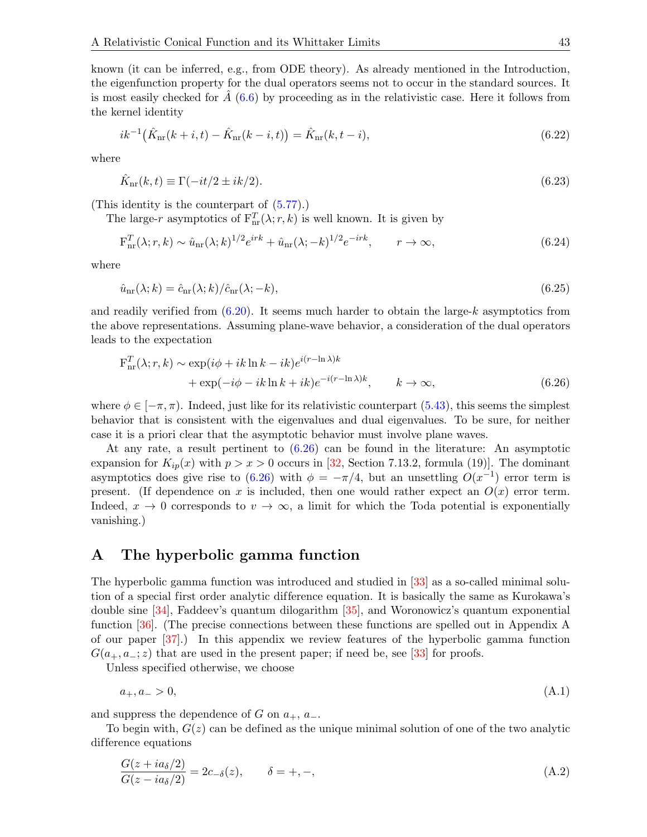known (it can be inferred, e.g., from ODE theory). As already mentioned in the Introduction, the eigenfunction property for the dual operators seems not to occur in the standard sources. It is most easily checked for  $A(6.6)$  $A(6.6)$  by proceeding as in the relativistic case. Here it follows from the kernel identity

$$
ik^{-1}(\hat{K}_{\text{nr}}(k+i,t) - \hat{K}_{\text{nr}}(k-i,t)) = \hat{K}_{\text{nr}}(k,t-i),
$$
\n(6.22)

where

$$
\hat{K}_{\text{nr}}(k,t) \equiv \Gamma(-it/2 \pm ik/2). \tag{6.23}
$$

(This identity is the counterpart of [\(5.77\)](#page-39-2).)

The large-r asymptotics of  $F_{nr}^T(\lambda; r, k)$  is well known. It is given by

$$
\mathbf{F}_{\rm nr}^T(\lambda; r, k) \sim \hat{u}_{\rm nr}(\lambda; k)^{1/2} e^{irk} + \hat{u}_{\rm nr}(\lambda; -k)^{1/2} e^{-irk}, \qquad r \to \infty,
$$
\n(6.24)

where

$$
\hat{u}_{\text{nr}}(\lambda; k) = \hat{c}_{\text{nr}}(\lambda; k) / \hat{c}_{\text{nr}}(\lambda; -k),\tag{6.25}
$$

and readily verified from  $(6.20)$ . It seems much harder to obtain the large-k asymptotics from the above representations. Assuming plane-wave behavior, a consideration of the dual operators leads to the expectation

<span id="page-42-2"></span>
$$
\mathbf{F}_{\rm nr}^T(\lambda; r, k) \sim \exp(i\phi + ik \ln k - ik)e^{i(r - \ln \lambda)k} \n+ \exp(-i\phi - ik \ln k + ik)e^{-i(r - \ln \lambda)k}, \qquad k \to \infty,
$$
\n(6.26)

where  $\phi \in [-\pi, \pi)$ . Indeed, just like for its relativistic counterpart [\(5.43\)](#page-34-3), this seems the simplest behavior that is consistent with the eigenvalues and dual eigenvalues. To be sure, for neither case it is a priori clear that the asymptotic behavior must involve plane waves.

At any rate, a result pertinent to [\(6.26\)](#page-42-2) can be found in the literature: An asymptotic expansion for  $K_{ip}(x)$  with  $p > x > 0$  occurs in [\[32,](#page-53-14) Section 7.13.2, formula (19)]. The dominant asymptotics does give rise to  $(6.26)$  with  $\phi = -\pi/4$ , but an unsettling  $O(x^{-1})$  error term is present. (If dependence on x is included, then one would rather expect an  $O(x)$  error term. Indeed,  $x \to 0$  corresponds to  $v \to \infty$ , a limit for which the Toda potential is exponentially vanishing.)

## <span id="page-42-0"></span>A The hyperbolic gamma function

The hyperbolic gamma function was introduced and studied in [\[33\]](#page-53-15) as a so-called minimal solution of a special first order analytic dif ference equation. It is basically the same as Kurokawa's double sine [\[34\]](#page-53-16), Faddeev's quantum dilogarithm [\[35\]](#page-53-17), and Woronowicz's quantum exponential function [\[36\]](#page-53-18). (The precise connections between these functions are spelled out in Appendix A of our paper [\[37\]](#page-53-19).) In this appendix we review features of the hyperbolic gamma function  $G(a_{+}, a_{-}; z)$  that are used in the present paper; if need be, see [\[33\]](#page-53-15) for proofs.

Unless specified otherwise, we choose

$$
a_{+}, a_{-} > 0, \tag{A.1}
$$

and suppress the dependence of G on  $a_+$ ,  $a_-$ .

To begin with,  $G(z)$  can be defined as the unique minimal solution of one of the two analytic difference equations

<span id="page-42-1"></span>
$$
\frac{G(z+i a_{\delta}/2)}{G(z-i a_{\delta}/2)} = 2c_{-\delta}(z), \qquad \delta = +, -,
$$
\n(A.2)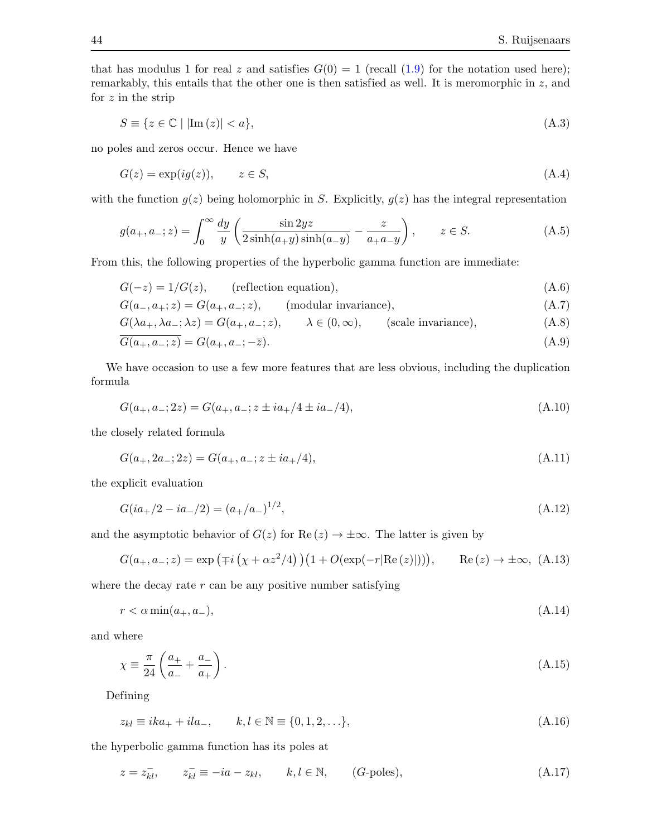that has modulus 1 for real z and satisfies  $G(0) = 1$  (recall  $(1.9)$  for the notation used here); remarkably, this entails that the other one is then satisfied as well. It is meromorphic in  $z$ , and for  $z$  in the strip

<span id="page-43-9"></span>
$$
S \equiv \{ z \in \mathbb{C} \mid |\text{Im}(z)| < a \},\tag{A.3}
$$

no poles and zeros occur. Hence we have

$$
G(z) = \exp(i g(z)), \qquad z \in S,
$$
\n(A.4)

with the function  $g(z)$  being holomorphic in S. Explicitly,  $g(z)$  has the integral representation

<span id="page-43-7"></span>
$$
g(a_+, a_-; z) = \int_0^\infty \frac{dy}{y} \left( \frac{\sin 2yz}{2\sinh(a_+y)\sinh(a_-y)} - \frac{z}{a_+ a_- y} \right), \qquad z \in S. \tag{A.5}
$$

From this, the following properties of the hyperbolic gamma function are immediate:

<span id="page-43-1"></span>
$$
G(-z) = 1/G(z), \qquad \text{(reflection equation)}, \tag{A.6}
$$

$$
G(a_{-}, a_{+}; z) = G(a_{+}, a_{-}; z), \qquad \text{(modular invariance)}, \tag{A.7}
$$

$$
G(\lambda a_+, \lambda a_-, \lambda z) = G(a_+, a_-, z), \qquad \lambda \in (0, \infty), \qquad \text{(scale invariance)}, \tag{A.8}
$$

<span id="page-43-5"></span>
$$
G(a_+, a_-; z) = G(a_+, a_-; -\overline{z}).
$$
\n(A.9)

We have occasion to use a few more features that are less obvious, including the duplication formula

<span id="page-43-0"></span>
$$
G(a_+, a_-; 2z) = G(a_+, a_-; z \pm ia_+/4 \pm ia_-/4), \tag{A.10}
$$

the closely related formula

<span id="page-43-3"></span>
$$
G(a_+, 2a_-; 2z) = G(a_+, a_-; z \pm i a_+/4), \tag{A.11}
$$

the explicit evaluation

<span id="page-43-8"></span>
$$
G(ia_+/2 - ia_-/2) = (a_+/a_-)^{1/2},\tag{A.12}
$$

and the asymptotic behavior of  $G(z)$  for Re  $(z) \rightarrow \pm \infty$ . The latter is given by

<span id="page-43-4"></span>
$$
G(a_+, a_-; z) = \exp\left(\mp i\left(\chi + \alpha z^2/4\right)\right)\left(1 + O(\exp(-r|\text{Re}\,(z)|))\right), \qquad \text{Re}\,(z) \to \pm \infty, \tag{A.13}
$$

where the decay rate  $r$  can be any positive number satisfying

<span id="page-43-10"></span>
$$
r < \alpha \min(a_+, a_-),\tag{A.14}
$$

and where

$$
\chi \equiv \frac{\pi}{24} \left( \frac{a_+}{a_-} + \frac{a_-}{a_+} \right). \tag{A.15}
$$

Defining

<span id="page-43-6"></span>
$$
z_{kl} \equiv ika_+ + ila_-, \qquad k, l \in \mathbb{N} \equiv \{0, 1, 2, \ldots\},\tag{A.16}
$$

the hyperbolic gamma function has its poles at

<span id="page-43-2"></span>
$$
z = z_{kl}^-
$$
,  $z_{kl}^- \equiv -ia - z_{kl}$ ,  $k, l \in \mathbb{N}$ ,  $(G$ -poles),  $(A.17)$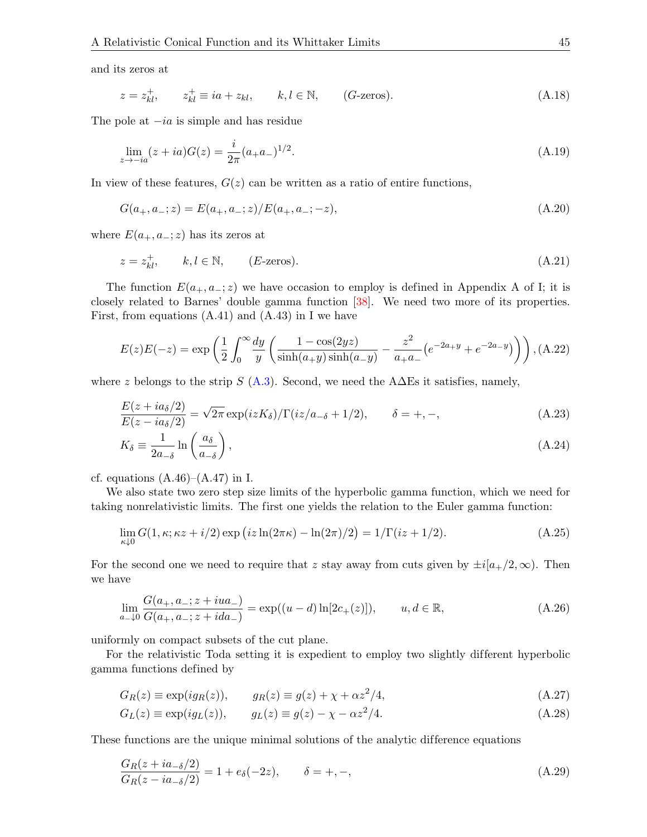and its zeros at

<span id="page-44-0"></span>
$$
z = z_{kl}^+, \qquad z_{kl}^+ \equiv ia + z_{kl}, \qquad k, l \in \mathbb{N}, \qquad (G\text{-zeros}). \tag{A.18}
$$

The pole at  $-i\alpha$  is simple and has residue

<span id="page-44-3"></span>
$$
\lim_{z \to -ia} (z+ia)G(z) = \frac{i}{2\pi} (a_+ a_-)^{1/2}.
$$
\n(A.19)

In view of these features,  $G(z)$  can be written as a ratio of entire functions,

<span id="page-44-1"></span>
$$
G(a_+, a_-; z) = E(a_+, a_-; z) / E(a_+, a_-; -z),
$$
\n(A.20)

where  $E(a_+, a_-; z)$  has its zeros at

<span id="page-44-2"></span>
$$
z = z_{kl}^{+}, \qquad k, l \in \mathbb{N}, \qquad (E\text{-zeros}). \tag{A.21}
$$

The function  $E(a_+, a_-; z)$  we have occasion to employ is defined in Appendix A of I; it is closely related to Barnes' double gamma function [\[38\]](#page-53-20). We need two more of its properties. First, from equations  $(A.41)$  and  $(A.43)$  in I we have

<span id="page-44-8"></span>
$$
E(z)E(-z) = \exp\left(\frac{1}{2}\int_0^\infty \frac{dy}{y} \left(\frac{1-\cos(2yz)}{\sinh(a_+y)\sinh(a_-y)} - \frac{z^2}{a_+a_-} \left(e^{-2a_+y} + e^{-2a_-y}\right)\right)\right), \text{(A.22)}
$$

where z belongs to the strip S [\(A.3\)](#page-43-9). Second, we need the A $\Delta$ Es it satisfies, namely,

<span id="page-44-9"></span>
$$
\frac{E(z+i a_\delta/2)}{E(z-i a_\delta/2)} = \sqrt{2\pi} \exp(izK_\delta) / \Gamma(iz/a_{-\delta} + 1/2), \qquad \delta = +, -,
$$
\n(A.23)

$$
K_{\delta} \equiv \frac{1}{2a_{-\delta}} \ln \left( \frac{a_{\delta}}{a_{-\delta}} \right),\tag{A.24}
$$

cf. equations  $(A.46)$ – $(A.47)$  in I.

We also state two zero step size limits of the hyperbolic gamma function, which we need for taking nonrelativistic limits. The first one yields the relation to the Euler gamma function:

<span id="page-44-4"></span>
$$
\lim_{\kappa \downarrow 0} G(1, \kappa; \kappa z + i/2) \exp (iz \ln(2\pi \kappa) - \ln(2\pi)/2) = 1/\Gamma(iz + 1/2). \tag{A.25}
$$

For the second one we need to require that z stay away from cuts given by  $\pm i[a_{+}/2, \infty)$ . Then we have

<span id="page-44-5"></span>
$$
\lim_{a_{-}\downarrow 0} \frac{G(a_{+}, a_{-}; z + iua_{-})}{G(a_{+}, a_{-}; z + ida_{-})} = \exp((u - d)\ln[2c_{+}(z)]), \qquad u, d \in \mathbb{R},
$$
\n(A.26)

uniformly on compact subsets of the cut plane.

For the relativistic Toda setting it is expedient to employ two slightly different hyperbolic gamma functions defined by

$$
G_R(z) \equiv \exp(ig_R(z)), \qquad g_R(z) \equiv g(z) + \chi + \alpha z^2/4,
$$
\n(A.27)

<span id="page-44-7"></span><span id="page-44-6"></span>
$$
G_L(z) \equiv \exp(ig_L(z)), \qquad g_L(z) \equiv g(z) - \chi - \alpha z^2/4. \tag{A.28}
$$

These functions are the unique minimal solutions of the analytic difference equations

<span id="page-44-10"></span>
$$
\frac{G_R(z + ia_{-\delta}/2)}{G_R(z - ia_{-\delta}/2)} = 1 + e_{\delta}(-2z), \qquad \delta = +, -,
$$
\n(A.29)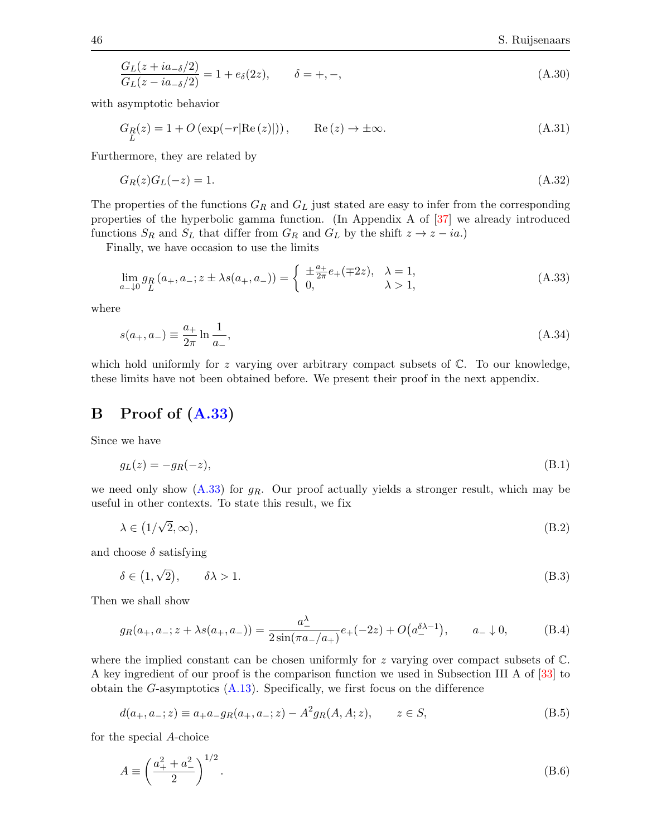<span id="page-45-3"></span>
$$
\frac{G_L(z + ia_{-\delta}/2)}{G_L(z - ia_{-\delta}/2)} = 1 + e_{\delta}(2z), \qquad \delta = +, -,
$$
\n(A.30)

with asymptotic behavior

<span id="page-45-2"></span>
$$
G_R(z) = 1 + O\left(\exp(-r|\text{Re}(z)|)\right), \qquad \text{Re}(z) \to \pm \infty. \tag{A.31}
$$

Furthermore, they are related by

$$
G_R(z)G_L(-z) = 1.\tag{A.32}
$$

The properties of the functions  $G_R$  and  $G_L$  just stated are easy to infer from the corresponding properties of the hyperbolic gamma function. (In Appendix A of [\[37\]](#page-53-19) we already introduced functions  $S_R$  and  $S_L$  that differ from  $G_R$  and  $G_L$  by the shift  $z \to z - ia$ .)

Finally, we have occasion to use the limits

<span id="page-45-1"></span>
$$
\lim_{a \to 0} g_R(a_+, a_-; z \pm \lambda s(a_+, a_-)) = \begin{cases} \pm \frac{a_+}{2\pi} e_+ (\mp 2z), & \lambda = 1, \\ 0, & \lambda > 1, \end{cases}
$$
\n(A.33)

where

<span id="page-45-7"></span>
$$
s(a_+, a_-) \equiv \frac{a_+}{2\pi} \ln \frac{1}{a_-},\tag{A.34}
$$

which hold uniformly for z varying over arbitrary compact subsets of  $\mathbb{C}$ . To our knowledge, these limits have not been obtained before. We present their proof in the next appendix.

## <span id="page-45-0"></span>B Proof of [\(A.33\)](#page-45-1)

Since we have

$$
g_L(z) = -g_R(-z),\tag{B.1}
$$

we need only show  $(A.33)$  for  $g_R$ . Our proof actually yields a stronger result, which may be useful in other contexts. To state this result, we fix

$$
\lambda \in (1/\sqrt{2}, \infty), \tag{B.2}
$$

and choose  $\delta$  satisfying

$$
\delta \in (1, \sqrt{2}), \qquad \delta \lambda > 1. \tag{B.3}
$$

Then we shall show

<span id="page-45-6"></span>
$$
g_R(a_+, a_-; z + \lambda s(a_+, a_-)) = \frac{a_-^{\lambda}}{2\sin(\pi a_-/a_+)} e_+(-2z) + O(a_-^{\delta \lambda - 1}), \qquad a_- \downarrow 0,
$$
 (B.4)

where the implied constant can be chosen uniformly for z varying over compact subsets of  $\mathbb{C}$ . A key ingredient of our proof is the comparison function we used in Subsection III A of [\[33\]](#page-53-15) to obtain the G-asymptotics  $(A.13)$ . Specifically, we first focus on the difference

<span id="page-45-5"></span>
$$
d(a_+, a_-; z) \equiv a_+ a_- g_R(a_+, a_-; z) - A^2 g_R(A, A; z), \qquad z \in S,
$$
\n(B.5)

for the special A-choice

<span id="page-45-4"></span>
$$
A \equiv \left(\frac{a_+^2 + a_-^2}{2}\right)^{1/2}.
$$
 (B.6)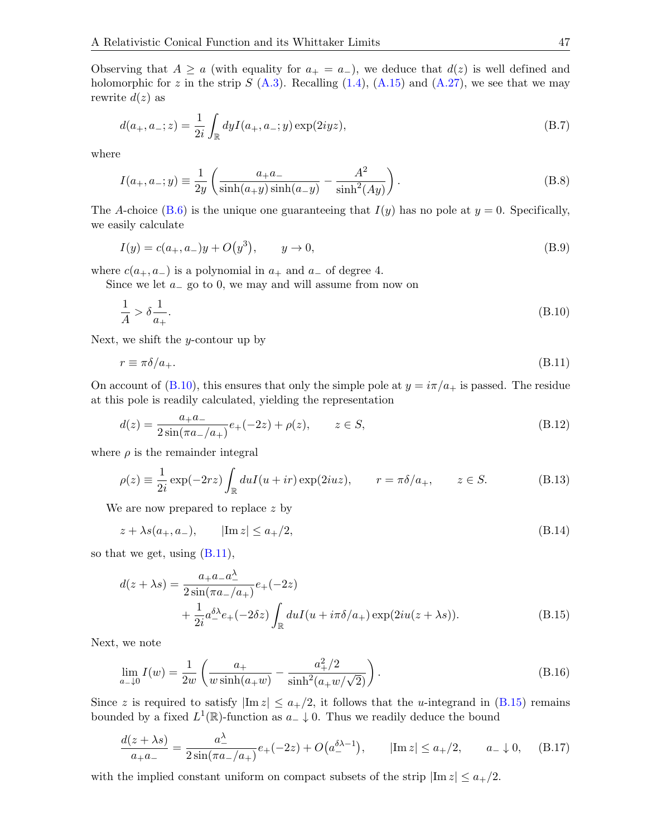Observing that  $A \ge a$  (with equality for  $a_+ = a_-$ ), we deduce that  $d(z)$  is well defined and holomorphic for z in the strip S  $(A.3)$ . Recalling  $(1.4)$ ,  $(A.15)$  and  $(A.27)$ , we see that we may rewrite  $d(z)$  as

$$
d(a_+, a_-; z) = \frac{1}{2i} \int_{\mathbb{R}} dy I(a_+, a_-; y) \exp(2iyz), \tag{B.7}
$$

where

$$
I(a_+, a_-; y) \equiv \frac{1}{2y} \left( \frac{a_+ a_-}{\sinh(a_+ y)\sinh(a_- y)} - \frac{A^2}{\sinh^2(Ay)} \right).
$$
 (B.8)

The A-choice  $(B.6)$  is the unique one guaranteeing that  $I(y)$  has no pole at  $y = 0$ . Specifically, we easily calculate

$$
I(y) = c(a_+, a_-)y + O(y^3), \qquad y \to 0,
$$
\n(B.9)

where  $c(a_+, a_-)$  is a polynomial in  $a_+$  and  $a_-$  of degree 4.

Since we let  $a_$  go to 0, we may and will assume from now on

<span id="page-46-0"></span>
$$
\frac{1}{A} > \delta \frac{1}{a_+}.\tag{B.10}
$$

Next, we shift the *y*-contour up by

<span id="page-46-1"></span>
$$
r \equiv \pi \delta / a_+.\tag{B.11}
$$

On account of [\(B.10\)](#page-46-0), this ensures that only the simple pole at  $y = i\pi/a_+$  is passed. The residue at this pole is readily calculated, yielding the representation

$$
d(z) = \frac{a_+ a_-}{2\sin(\pi a_-/a_+)} e_+(-2z) + \rho(z), \qquad z \in S,
$$
\n(B.12)

where  $\rho$  is the remainder integral

$$
\rho(z) \equiv \frac{1}{2i} \exp(-2rz) \int_{\mathbb{R}} du I(u + ir) \exp(2iuz), \qquad r = \pi \delta/a_+, \qquad z \in S.
$$
 (B.13)

We are now prepared to replace z by

$$
z + \lambda s(a_+, a_-), \qquad |\text{Im } z| \le a_+/2, \tag{B.14}
$$

so that we get, using [\(B.11\)](#page-46-1),

<span id="page-46-2"></span>
$$
d(z + \lambda s) = \frac{a_+ a_- a_-^{\lambda}}{2 \sin(\pi a_-/a_+)} e_+ (-2z) + \frac{1}{2i} a_-^{\delta \lambda} e_+ (-2\delta z) \int_{\mathbb{R}} du I(u + i\pi \delta/a_+) \exp(2iu(z + \lambda s)).
$$
 (B.15)

Next, we note

$$
\lim_{a_{-}0} I(w) = \frac{1}{2w} \left( \frac{a_{+}}{w \sinh(a_{+}w)} - \frac{a_{+}^{2}/2}{\sinh^{2}(a_{+}w/\sqrt{2})} \right). \tag{B.16}
$$

Since z is required to satisfy  $|\text{Im } z| \le a_+/2$ , it follows that the *u*-integrand in [\(B.15\)](#page-46-2) remains bounded by a fixed  $L^1(\mathbb{R})$ -function as  $a_-\downarrow 0$ . Thus we readily deduce the bound

<span id="page-46-3"></span>
$$
\frac{d(z+\lambda s)}{a_+ a_-} = \frac{a_-^{\lambda}}{2\sin(\pi a_-/a_+)} e_+(-2z) + O(a_-^{\delta \lambda - 1}), \qquad |\text{Im}\, z| \le a_+/2, \qquad a_- \downarrow 0, \tag{B.17}
$$

with the implied constant uniform on compact subsets of the strip  $|\text{Im } z| \leq a_{+}/2$ .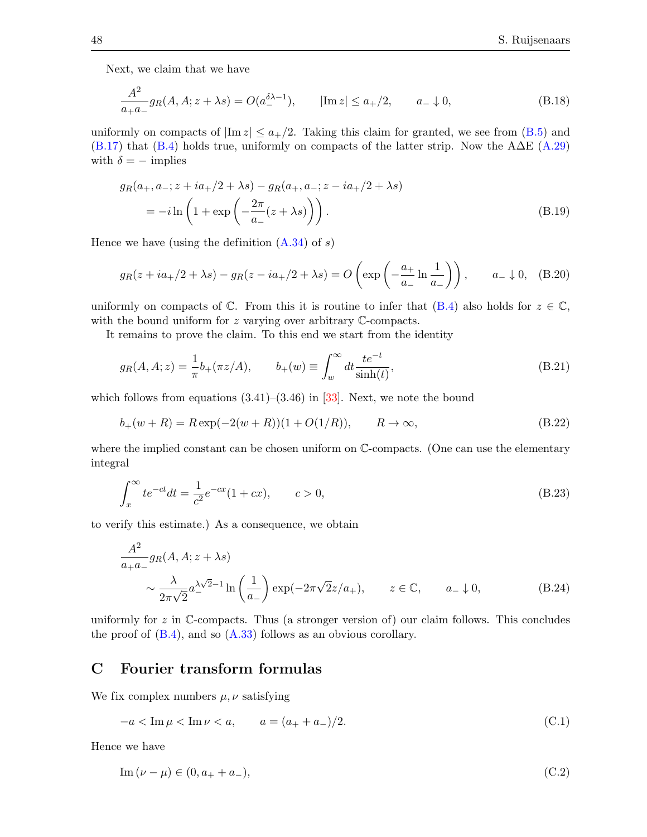Next, we claim that we have

$$
\frac{A^2}{a_+ a_-} g_R(A, A; z + \lambda s) = O(a_-^{\delta \lambda - 1}), \qquad |\text{Im } z| \le a_+/2, \qquad a_- \downarrow 0,
$$
 (B.18)

uniformly on compacts of  $|\text{Im } z| \le a_+/2$ . Taking this claim for granted, we see from [\(B.5\)](#page-45-5) and  $(B.17)$  that  $(B.4)$  holds true, uniformly on compacts of the latter strip. Now the A $\Delta E$  [\(A.29\)](#page-44-10) with  $\delta = -$  implies

$$
g_R(a_+, a_-; z + ia_+/2 + \lambda s) - g_R(a_+, a_-; z - ia_+/2 + \lambda s)
$$
  
=  $-i \ln \left( 1 + \exp \left( -\frac{2\pi}{a_-} (z + \lambda s) \right) \right).$  (B.19)

Hence we have (using the definition  $(A.34)$  of s)

$$
g_R(z + ia_+/2 + \lambda s) - g_R(z - ia_+/2 + \lambda s) = O\left(\exp\left(-\frac{a_+}{a_-}\ln\frac{1}{a_-}\right)\right), \qquad a_- \downarrow 0, \quad (B.20)
$$

uniformly on compacts of  $\mathbb C$ . From this it is routine to infer that  $(B.4)$  also holds for  $z \in \mathbb C$ , with the bound uniform for z varying over arbitrary C-compacts.

It remains to prove the claim. To this end we start from the identity

$$
g_R(A, A; z) = \frac{1}{\pi} b_+(\pi z/A),
$$
  $b_+(w) \equiv \int_w^{\infty} dt \frac{te^{-t}}{\sinh(t)},$  (B.21)

which follows from equations  $(3.41)$ – $(3.46)$  in [\[33\]](#page-53-15). Next, we note the bound

$$
b_{+}(w+R) = R \exp(-2(w+R))(1+O(1/R)), \qquad R \to \infty,
$$
\n(B.22)

where the implied constant can be chosen uniform on  $\mathbb{C}$ -compacts. (One can use the elementary integral

$$
\int_{x}^{\infty} te^{-ct}dt = \frac{1}{c^{2}}e^{-cx}(1+cx), \qquad c > 0,
$$
\n(B.23)

to verify this estimate.) As a consequence, we obtain

$$
\frac{A^2}{a+a-}g_R(A, A; z + \lambda s)
$$
  
\$\sim \frac{\lambda}{2\pi\sqrt{2}}a^{\lambda\sqrt{2}-1}\ln\left(\frac{1}{a-}\right)\exp(-2\pi\sqrt{2}z/a\_+), \quad z \in \mathbb{C}, \quad a\_- \downarrow 0, \quad (B.24)\$

uniformly for  $z$  in C-compacts. Thus (a stronger version of) our claim follows. This concludes the proof of  $(B.4)$ , and so  $(A.33)$  follows as an obvious corollary.

## <span id="page-47-0"></span>C Fourier transform formulas

We fix complex numbers  $\mu, \nu$  satisfying

<span id="page-47-1"></span>
$$
-a < \text{Im}\,\mu < \text{Im}\,\nu < a, \qquad a = (a_+ + a_-)/2. \tag{C.1}
$$

Hence we have

$$
\text{Im}\,(\nu - \mu) \in (0, a_{+} + a_{-}),\tag{C.2}
$$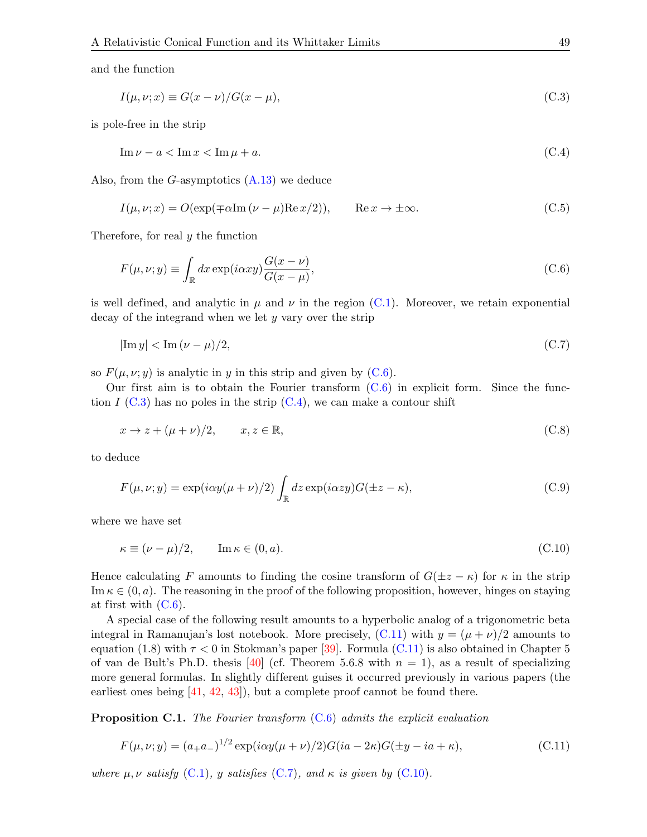and the function

<span id="page-48-2"></span>
$$
I(\mu, \nu; x) \equiv G(x - \nu) / G(x - \mu),\tag{C.3}
$$

is pole-free in the strip

<span id="page-48-3"></span>
$$
\operatorname{Im}\nu - a < \operatorname{Im}x < \operatorname{Im}\mu + a.\tag{C.4}
$$

Also, from the  $G$ -asymptotics  $(A.13)$  we deduce

$$
I(\mu, \nu; x) = O(\exp(\mp \alpha \text{Im}(\nu - \mu) \text{Re} x/2)), \qquad \text{Re} \, x \to \pm \infty.
$$
 (C.5)

Therefore, for real y the function

<span id="page-48-1"></span>
$$
F(\mu, \nu; y) \equiv \int_{\mathbb{R}} dx \exp(i\alpha xy) \frac{G(x - \nu)}{G(x - \mu)},
$$
\n(C.6)

is well defined, and analytic in  $\mu$  and  $\nu$  in the region [\(C.1\)](#page-47-1). Moreover, we retain exponential decay of the integrand when we let y vary over the strip

<span id="page-48-5"></span>
$$
|\text{Im } y| < \text{Im } (\nu - \mu)/2,\tag{C.7}
$$

so  $F(\mu, \nu; y)$  is analytic in y in this strip and given by [\(C.6\)](#page-48-1).

Our first aim is to obtain the Fourier transform  $(C.6)$  in explicit form. Since the function  $I$  [\(C.3\)](#page-48-2) has no poles in the strip [\(C.4\)](#page-48-3), we can make a contour shift

$$
x \to z + (\mu + \nu)/2, \qquad x, z \in \mathbb{R}, \tag{C.8}
$$

to deduce

<span id="page-48-7"></span>
$$
F(\mu, \nu; y) = \exp(i\alpha y(\mu + \nu)/2) \int_{\mathbb{R}} dz \exp(i\alpha z y) G(\pm z - \kappa),
$$
\n(C.9)

where we have set

<span id="page-48-6"></span>
$$
\kappa \equiv (\nu - \mu)/2, \qquad \text{Im}\,\kappa \in (0, a). \tag{C.10}
$$

Hence calculating F amounts to finding the cosine transform of  $G(\pm z - \kappa)$  for  $\kappa$  in the strip Im  $\kappa \in (0, a)$ . The reasoning in the proof of the following proposition, however, hinges on staying at first with  $(C.6)$ .

A special case of the following result amounts to a hyperbolic analog of a trigonometric beta integral in Ramanujan's lost notebook. More precisely,  $(C.11)$  with  $y = (\mu + \nu)/2$  amounts to equation (1.8) with  $\tau < 0$  in Stokman's paper [\[39\]](#page-53-21). Formula [\(C.11\)](#page-48-4) is also obtained in Chapter 5 of van de Bult's Ph.D. thesis [\[40\]](#page-53-22) (cf. Theorem 5.6.8 with  $n = 1$ ), as a result of specializing more general formulas. In slightly different guises it occurred previously in various papers (the earliest ones being  $[41, 42, 43]$  $[41, 42, 43]$  $[41, 42, 43]$  $[41, 42, 43]$ , but a complete proof cannot be found there.

<span id="page-48-0"></span>**Proposition C.1.** The Fourier transform  $(C.6)$  admits the explicit evaluation

<span id="page-48-4"></span>
$$
F(\mu, \nu; y) = (a_+ a_-)^{1/2} \exp(i\alpha y(\mu + \nu)/2) G(i a - 2\kappa) G(\pm y - i a + \kappa),
$$
\n(C.11)

where  $\mu, \nu$  satisfy [\(C.1\)](#page-47-1), y satisfies [\(C.7\)](#page-48-5), and  $\kappa$  is given by [\(C.10\)](#page-48-6).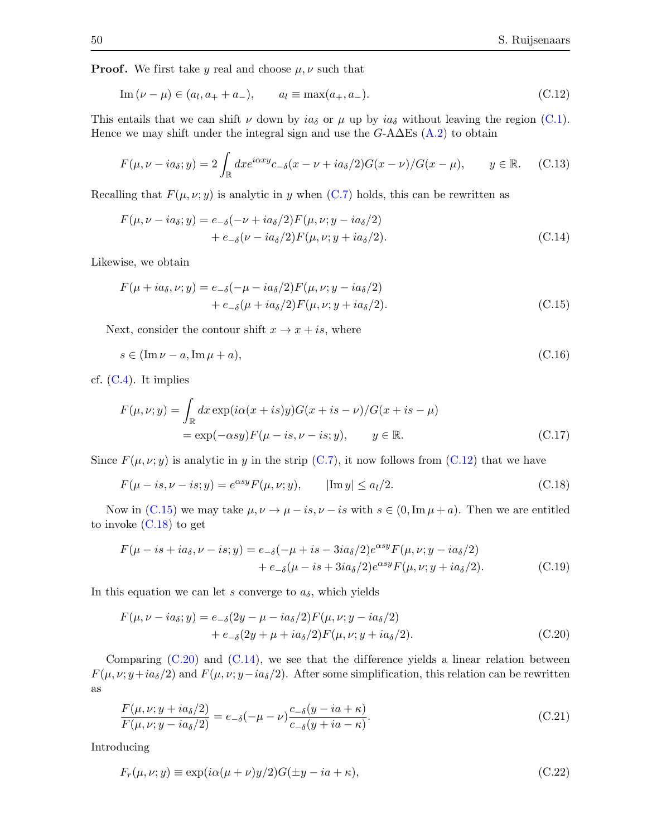**Proof.** We first take y real and choose  $\mu$ ,  $\nu$  such that

<span id="page-49-0"></span>
$$
\operatorname{Im}\,(\nu - \mu) \in (a_l, a_+ + a_-), \qquad a_l \equiv \max(a_+, a_-). \tag{C.12}
$$

This entails that we can shift  $\nu$  down by  $ia_{\delta}$  or  $\mu$  up by  $ia_{\delta}$  without leaving the region [\(C.1\)](#page-47-1). Hence we may shift under the integral sign and use the  $G$ -A $\Delta$ Es [\(A.2\)](#page-42-1) to obtain

$$
F(\mu, \nu - ia_{\delta}; y) = 2 \int_{\mathbb{R}} dx e^{i\alpha xy} c_{-\delta}(x - \nu + ia_{\delta}/2) G(x - \nu) / G(x - \mu), \qquad y \in \mathbb{R}.
$$
 (C.13)

Recalling that  $F(\mu, \nu; y)$  is analytic in y when [\(C.7\)](#page-48-5) holds, this can be rewritten as

<span id="page-49-4"></span>
$$
F(\mu, \nu - ia_{\delta}; y) = e_{-\delta}(-\nu + ia_{\delta}/2)F(\mu, \nu; y - ia_{\delta}/2)
$$
  
+ 
$$
e_{-\delta}(\nu - ia_{\delta}/2)F(\mu, \nu; y + ia_{\delta}/2).
$$
 (C.14)

Likewise, we obtain

<span id="page-49-1"></span>
$$
F(\mu + i a_{\delta}, \nu; y) = e_{-\delta}(-\mu - i a_{\delta}/2)F(\mu, \nu; y - i a_{\delta}/2)
$$
  
+ 
$$
e_{-\delta}(\mu + i a_{\delta}/2)F(\mu, \nu; y + i a_{\delta}/2).
$$
 (C.15)

Next, consider the contour shift  $x \to x + is$ , where

$$
s \in (\operatorname{Im}\nu - a, \operatorname{Im}\mu + a),\tag{C.16}
$$

cf.  $(C.4)$ . It implies

$$
F(\mu, \nu; y) = \int_{\mathbb{R}} dx \exp(i\alpha(x + is)y)G(x + is - \nu)/G(x + is - \mu)
$$
  
=  $\exp(-\alpha s y)F(\mu - is, \nu - is; y), \qquad y \in \mathbb{R}.$  (C.17)

Since  $F(\mu, \nu; y)$  is analytic in y in the strip [\(C.7\)](#page-48-5), it now follows from [\(C.12\)](#page-49-0) that we have

<span id="page-49-2"></span>
$$
F(\mu - is, \nu - is; y) = e^{\alpha s y} F(\mu, \nu; y), \qquad |\text{Im } y| \le a_l/2.
$$
 (C.18)

Now in [\(C.15\)](#page-49-1) we may take  $\mu, \nu \to \mu - is, \nu - is$  with  $s \in (0, \text{Im }\mu + a)$ . Then we are entitled to invoke [\(C.18\)](#page-49-2) to get

$$
F(\mu - is + ia_{\delta}, \nu - is; y) = e_{-\delta}(-\mu + is - 3ia_{\delta}/2)e^{\alpha s y}F(\mu, \nu; y - ia_{\delta}/2)
$$

$$
+ e_{-\delta}(\mu - is + 3ia_{\delta}/2)e^{\alpha s y}F(\mu, \nu; y + ia_{\delta}/2). \tag{C.19}
$$

In this equation we can let s converge to  $a_{\delta}$ , which yields

<span id="page-49-3"></span>
$$
F(\mu, \nu - ia_{\delta}; y) = e_{-\delta}(2y - \mu - ia_{\delta}/2)F(\mu, \nu; y - ia_{\delta}/2) + e_{-\delta}(2y + \mu + ia_{\delta}/2)F(\mu, \nu; y + ia_{\delta}/2).
$$
 (C.20)

Comparing  $(C.20)$  and  $(C.14)$ , we see that the difference yields a linear relation between  $F(\mu, \nu; y+i a_\delta/2)$  and  $F(\mu, \nu; y-i a_\delta/2)$ . After some simplification, this relation can be rewritten as

$$
\frac{F(\mu, \nu; y + ia_{\delta}/2)}{F(\mu, \nu; y - ia_{\delta}/2)} = e_{-\delta}(-\mu - \nu)\frac{c_{-\delta}(y - ia + \kappa)}{c_{-\delta}(y + ia - \kappa)}.
$$
\n(C.21)

Introducing

<span id="page-49-5"></span>
$$
F_r(\mu, \nu; y) \equiv \exp(i\alpha(\mu + \nu)y/2)G(\pm y - ia + \kappa),\tag{C.22}
$$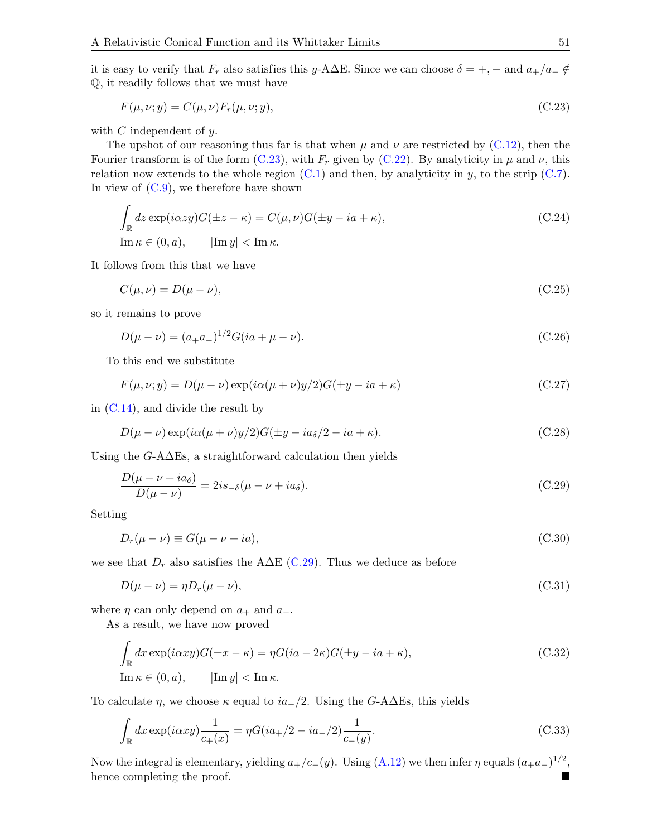it is easy to verify that  $F_r$  also satisfies this y-A $\Delta E$ . Since we can choose  $\delta = +, -$  and  $a_+/a_- \notin$ Q, it readily follows that we must have

<span id="page-50-0"></span>
$$
F(\mu, \nu; y) = C(\mu, \nu) F_r(\mu, \nu; y), \qquad (C.23)
$$

with  $C$  independent of  $y$ .

The upshot of our reasoning thus far is that when  $\mu$  and  $\nu$  are restricted by [\(C.12\)](#page-49-0), then the Fourier transform is of the form [\(C.23\)](#page-50-0), with  $F_r$  given by [\(C.22\)](#page-49-5). By analyticity in  $\mu$  and  $\nu$ , this relation now extends to the whole region  $(C.1)$  and then, by analyticity in y, to the strip  $(C.7)$ . In view of  $(C.9)$ , we therefore have shown

$$
\int_{\mathbb{R}} dz \exp(i\alpha z y) G(\pm z - \kappa) = C(\mu, \nu) G(\pm y - ia + \kappa),
$$
\n
$$
\text{Im}\,\kappa \in (0, a), \qquad |\text{Im}\, y| < \text{Im}\,\kappa.
$$
\n(C.24)

It follows from this that we have

$$
C(\mu, \nu) = D(\mu - \nu),\tag{C.25}
$$

so it remains to prove

$$
D(\mu - \nu) = (a_+ a_-)^{1/2} G(i a + \mu - \nu). \tag{C.26}
$$

To this end we substitute

$$
F(\mu, \nu; y) = D(\mu - \nu) \exp(i\alpha(\mu + \nu)y/2)G(\pm y - ia + \kappa)
$$
\n(C.27)

in  $(C.14)$ , and divide the result by

$$
D(\mu - \nu) \exp(i\alpha(\mu + \nu)y/2)G(\pm y - ia_{\delta}/2 - ia + \kappa).
$$
 (C.28)

Using the  $G$ -A $\Delta$ Es, a straightforward calculation then yields

<span id="page-50-1"></span>
$$
\frac{D(\mu - \nu + i a_{\delta})}{D(\mu - \nu)} = 2i s_{-\delta}(\mu - \nu + i a_{\delta}).
$$
\n(C.29)

Setting

$$
D_r(\mu - \nu) \equiv G(\mu - \nu + ia),\tag{C.30}
$$

we see that  $D_r$  also satisfies the A $\Delta E$  [\(C.29\)](#page-50-1). Thus we deduce as before

$$
D(\mu - \nu) = \eta D_r(\mu - \nu),\tag{C.31}
$$

where  $\eta$  can only depend on  $a_+$  and  $a_-$ .

As a result, we have now proved

<span id="page-50-2"></span>
$$
\int_{\mathbb{R}} dx \exp(i\alpha xy) G(\pm x - \kappa) = \eta G(ia - 2\kappa) G(\pm y - ia + \kappa),
$$
\n
$$
\text{Im}\,\kappa \in (0, a), \qquad |\text{Im}\,y| < \text{Im}\,\kappa.
$$
\n(C.32)

To calculate  $\eta$ , we choose  $\kappa$  equal to  $ia_{-}/2$ . Using the G-A $\Delta$ Es, this yields

$$
\int_{\mathbb{R}} dx \exp(i\alpha xy) \frac{1}{c_{+}(x)} = \eta G(i a_{+}/2 - i a_{-}/2) \frac{1}{c_{-}(y)}.
$$
\n(C.33)

Now the integral is elementary, yielding  $a_{+}/c_{-}(y)$ . Using  $(A.12)$  we then infer  $\eta$  equals  $(a_{+}a_{-})^{1/2}$ , hence completing the proof.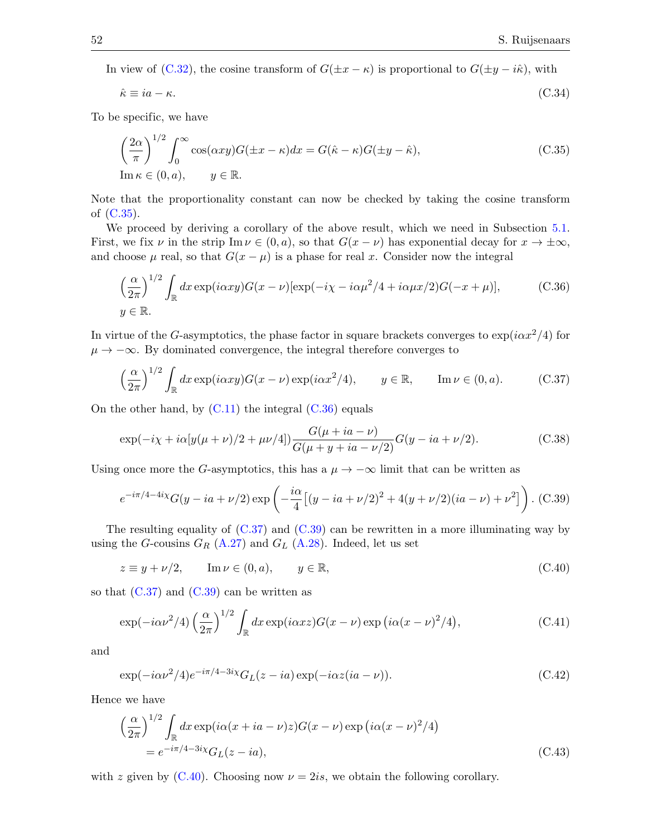In view of [\(C.32\)](#page-50-2), the cosine transform of  $G(\pm x - \kappa)$  is proportional to  $G(\pm y - i\hat{\kappa})$ , with

$$
\hat{\kappa} \equiv i a - \kappa. \tag{C.34}
$$

To be specific, we have

<span id="page-51-0"></span>
$$
\left(\frac{2\alpha}{\pi}\right)^{1/2} \int_0^\infty \cos(\alpha xy) G(\pm x - \kappa) dx = G(\hat{\kappa} - \kappa) G(\pm y - \hat{\kappa}),
$$
\n
$$
\text{Im}\,\kappa \in (0, a), \qquad y \in \mathbb{R}.
$$
\n(C.35)

Note that the proportionality constant can now be checked by taking the cosine transform of [\(C.35\)](#page-51-0).

We proceed by deriving a corollary of the above result, which we need in Subsection [5.1.](#page-30-1) First, we fix  $\nu$  in the strip Im  $\nu \in (0, a)$ , so that  $G(x - \nu)$  has exponential decay for  $x \to \pm \infty$ , and choose  $\mu$  real, so that  $G(x - \mu)$  is a phase for real x. Consider now the integral

<span id="page-51-1"></span>
$$
\left(\frac{\alpha}{2\pi}\right)^{1/2} \int_{\mathbb{R}} dx \exp(i\alpha xy) G(x - \nu) [\exp(-i\chi - i\alpha\mu^2/4 + i\alpha\mu x/2) G(-x + \mu)], \tag{C.36}
$$
  

$$
y \in \mathbb{R}.
$$

In virtue of the G-asymptotics, the phase factor in square brackets converges to  $\exp(i\alpha x^2/4)$  for  $\mu \rightarrow -\infty$ . By dominated convergence, the integral therefore converges to

<span id="page-51-2"></span>
$$
\left(\frac{\alpha}{2\pi}\right)^{1/2} \int_{\mathbb{R}} dx \exp(i\alpha xy) G(x - \nu) \exp(i\alpha x^2/4), \qquad y \in \mathbb{R}, \qquad \text{Im}\,\nu \in (0, a). \tag{C.37}
$$

On the other hand, by  $(C.11)$  the integral  $(C.36)$  equals

$$
\exp(-i\chi + i\alpha[y(\mu + \nu)/2 + \mu\nu/4])\frac{G(\mu + ia - \nu)}{G(\mu + y + ia - \nu/2)}G(y - ia + \nu/2). \tag{C.38}
$$

Using once more the G-asymptotics, this has a  $\mu \to -\infty$  limit that can be written as

<span id="page-51-3"></span>
$$
e^{-i\pi/4 - 4i\chi} G(y - ia + \nu/2) \exp\left(-\frac{i\alpha}{4} \left[ (y - ia + \nu/2)^2 + 4(y + \nu/2)(ia - \nu) + \nu^2 \right] \right).
$$
 (C.39)

The resulting equality of  $(C.37)$  and  $(C.39)$  can be rewritten in a more illuminating way by using the G-cousins  $G_R$  [\(A.27\)](#page-44-6) and  $G_L$  [\(A.28\)](#page-44-7). Indeed, let us set

<span id="page-51-4"></span>
$$
z \equiv y + \nu/2, \qquad \text{Im}\,\nu \in (0, a), \qquad y \in \mathbb{R}, \tag{C.40}
$$

so that  $(C.37)$  and  $(C.39)$  can be written as

$$
\exp(-i\alpha\nu^2/4)\left(\frac{\alpha}{2\pi}\right)^{1/2}\int_{\mathbb{R}}dx\exp(i\alpha xz)G(x-\nu)\exp\left(i\alpha(x-\nu)^2/4\right),\tag{C.41}
$$

and

$$
\exp(-i\alpha\nu^2/4)e^{-i\pi/4-3i\chi}G_L(z-ia)\exp(-i\alpha z(ia-\nu)).
$$
\n(C.42)

Hence we have

$$
\left(\frac{\alpha}{2\pi}\right)^{1/2} \int_{\mathbb{R}} dx \exp(i\alpha(x + ia - \nu)z) G(x - \nu) \exp(i\alpha(x - \nu)^2/4)
$$
  
=  $e^{-i\pi/4 - 3i\chi} G_L(z - ia),$  (C.43)

with z given by [\(C.40\)](#page-51-4). Choosing now  $\nu = 2is$ , we obtain the following corollary.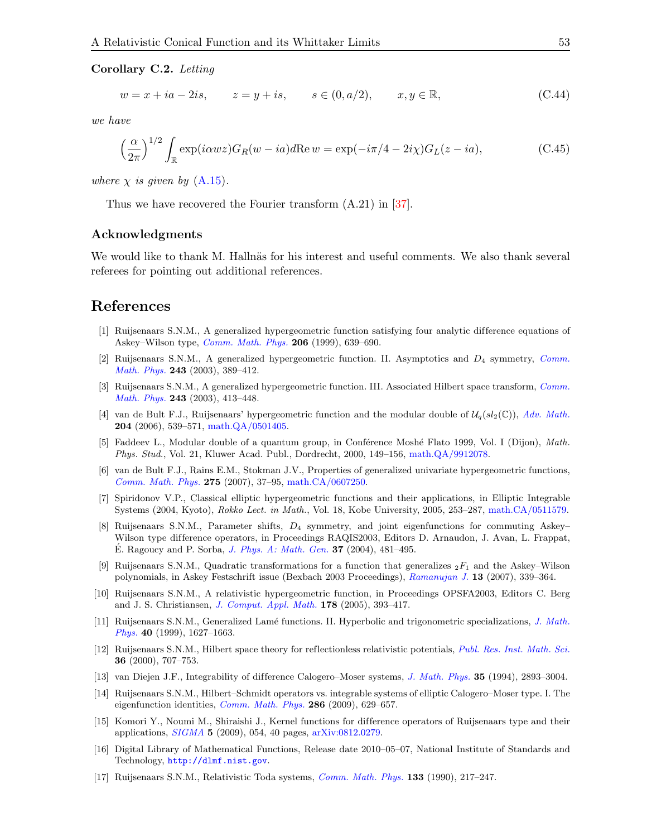<span id="page-52-18"></span>Corollary C.2. Letting

$$
w = x + ia - 2is, \t z = y + is, \t s \in (0, a/2), \t x, y \in \mathbb{R}, \t (C.44)
$$

we have

<span id="page-52-19"></span>
$$
\left(\frac{\alpha}{2\pi}\right)^{1/2} \int_{\mathbb{R}} \exp(i\alpha w z) G_R(w - ia) d\text{Re}\, w = \exp(-i\pi/4 - 2i\chi) G_L(z - ia),\tag{C.45}
$$

where  $\chi$  is given by  $(A.15)$ .

Thus we have recovered the Fourier transform (A.21) in [\[37\]](#page-53-19).

#### <span id="page-52-0"></span>Acknowledgments

We would like to thank M. Hallnäs for his interest and useful comments. We also thank several referees for pointing out additional references.

## References

- <span id="page-52-1"></span>[1] Ruijsenaars S.N.M., A generalized hypergeometric function satisfying four analytic dif ference equations of Askey–Wilson type, [Comm. Math. Phys.](http://dx.doi.org/10.1007/s002200050840) 206 (1999), 639–690.
- <span id="page-52-2"></span>[2] Ruijsenaars S.N.M., A generalized hypergeometric function. II. Asymptotics and D<sup>4</sup> symmetry, [Comm.](http://dx.doi.org/10.1007/s00220-003-0969-3) [Math. Phys.](http://dx.doi.org/10.1007/s00220-003-0969-3) 243 (2003), 389–412.
- <span id="page-52-3"></span>[3] Ruijsenaars S.N.M., A generalized hypergeometric function. III. Associated Hilbert space transform, [Comm.](http://dx.doi.org/10.1007/s00220-003-0970-x) [Math. Phys.](http://dx.doi.org/10.1007/s00220-003-0970-x) 243 (2003), 413–448.
- <span id="page-52-4"></span>[4] van de Bult F.J., Ruijsenaars' hypergeometric function and the modular double of  $\mathcal{U}_q(sl_2(\mathbb{C}))$ , [Adv. Math.](http://dx.doi.org/10.1016/j.aim.2005.05.023) 204 (2006), 539–571, [math.QA/0501405.](http://arxiv.org/abs/math.QA/0501405)
- <span id="page-52-5"></span>[5] Faddeev L., Modular double of a quantum group, in Conférence Moshé Flato 1999, Vol. I (Dijon), Math. Phys. Stud., Vol. 21, Kluwer Acad. Publ., Dordrecht, 2000, 149–156, [math.QA/9912078.](http://arxiv.org/abs/math.QA/9912078)
- <span id="page-52-6"></span>[6] van de Bult F.J., Rains E.M., Stokman J.V., Properties of generalized univariate hypergeometric functions, [Comm. Math. Phys.](http://dx.doi.org/10.1007/s00220-007-0289-0) 275 (2007), 37–95, [math.CA/0607250.](http://arxiv.org/abs/math.CA/0607250)
- <span id="page-52-7"></span>[7] Spiridonov V.P., Classical elliptic hypergeometric functions and their applications, in Elliptic Integrable Systems (2004, Kyoto), Rokko Lect. in Math., Vol. 18, Kobe University, 2005, 253–287, [math.CA/0511579.](http://arxiv.org/abs/math.CA/0511579)
- <span id="page-52-8"></span>[8] Ruijsenaars S.N.M., Parameter shifts, D<sup>4</sup> symmetry, and joint eigenfunctions for commuting Askey– Wilson type difference operators, in Proceedings RAQIS2003, Editors D. Arnaudon, J. Avan, L. Frappat, E. Ragoucy and P. Sorba, *[J. Phys. A: Math. Gen.](http://dx.doi.org/10.1088/0305-4470/37/2/016)* **37** (2004), 481–495.
- <span id="page-52-9"></span>[9] Ruijsenaars S.N.M., Quadratic transformations for a function that generalizes  ${}_2F_1$  and the Askey–Wilson polynomials, in Askey Festschrift issue (Bexbach 2003 Proceedings), [Ramanujan J.](http://dx.doi.org/10.1007/s11139-006-0257-x) 13 (2007), 339–364.
- <span id="page-52-10"></span>[10] Ruijsenaars S.N.M., A relativistic hypergeometric function, in Proceedings OPSFA2003, Editors C. Berg and J. S. Christiansen, [J. Comput. Appl. Math.](http://dx.doi.org/10.1016/j.cam.2004.05.024) 178 (2005), 393–417.
- <span id="page-52-11"></span>[11] Ruijsenaars S.N.M., Generalized Lamé functions. II. Hyperbolic and trigonometric specializations, [J. Math.](http://dx.doi.org/10.1063/1.532823) [Phys.](http://dx.doi.org/10.1063/1.532823) 40 (1999), 1627–1663.
- <span id="page-52-12"></span>[12] Ruijsenaars S.N.M., Hilbert space theory for reflectionless relativistic potentials, [Publ. Res. Inst. Math. Sci.](http://dx.doi.org/10.2977/prims/1195139643) 36 (2000), 707–753.
- <span id="page-52-13"></span>[13] van Diejen J.F., Integrability of difference Calogero–Moser systems, [J. Math. Phys.](http://dx.doi.org/10.1063/1.530498) 35 (1994), 2893–3004.
- <span id="page-52-14"></span>[14] Ruijsenaars S.N.M., Hilbert–Schmidt operators vs. integrable systems of elliptic Calogero–Moser type. I. The eigenfunction identities, [Comm. Math. Phys.](http://dx.doi.org/10.1007/s00220-008-0707-y) 286 (2009), 629–657.
- <span id="page-52-15"></span>[15] Komori Y., Noumi M., Shiraishi J., Kernel functions for difference operators of Ruijsenaars type and their applications, [SIGMA](http://dx.doi.org/10.3842/SIGMA.2009.054) 5 (2009), 054, 40 pages, [arXiv:0812.0279.](http://arxiv.org/abs/0812.0279)
- <span id="page-52-16"></span>[16] Digital Library of Mathematical Functions, Release date 2010–05–07, National Institute of Standards and Technology, <http://dlmf.nist.gov>.
- <span id="page-52-17"></span>[17] Ruijsenaars S.N.M., Relativistic Toda systems, [Comm. Math. Phys.](http://dx.doi.org/10.1007/BF02097366) 133 (1990), 217–247.